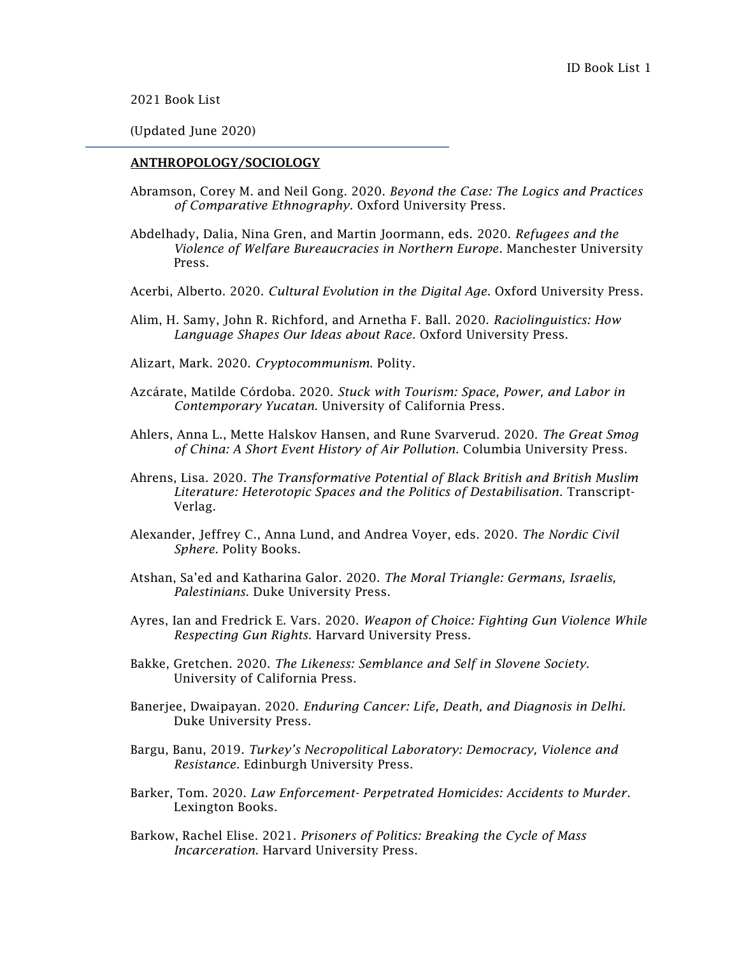2021 Book List

(Updated June 2020)

### ANTHROPOLOGY/SOCIOLOGY

- Abramson, Corey M. and Neil Gong. 2020. *Beyond the Case: The Logics and Practices of Comparative Ethnography*. Oxford University Press.
- Abdelhady, Dalia, Nina Gren, and Martin Joormann, eds. 2020. *Refugees and the Violence of Welfare Bureaucracies in Northern Europe*. Manchester University Press.
- Acerbi, Alberto. 2020. *Cultural Evolution in the Digital Age*. Oxford University Press.
- Alim, H. Samy, John R. Richford, and Arnetha F. Ball. 2020. *Raciolinguistics: How Language Shapes Our Ideas about Race.* Oxford University Press.
- Alizart, Mark. 2020. *Cryptocommunism*. Polity.
- Azcárate, Matilde Córdoba. 2020. *Stuck with Tourism: Space, Power, and Labor in Contemporary Yucatan*. University of California Press.
- Ahlers, Anna L., Mette Halskov Hansen, and Rune Svarverud. 2020. *The Great Smog of China: A Short Event History of Air Pollution*. Columbia University Press.
- Ahrens, Lisa. 2020. *The Transformative Potential of Black British and British Muslim Literature: Heterotopic Spaces and the Politics of Destabilisation*. Transcript-Verlag.
- Alexander, Jeffrey C., Anna Lund, and Andrea Voyer, eds. 2020. *The Nordic Civil Sphere*. Polity Books.
- Atshan, Sa'ed and Katharina Galor. 2020. *The Moral Triangle: Germans, Israelis, Palestinians*. Duke University Press.
- Ayres, Ian and Fredrick E. Vars. 2020. *Weapon of Choice: Fighting Gun Violence While Respecting Gun Rights*. Harvard University Press.
- Bakke, Gretchen. 2020. *The Likeness: Semblance and Self in Slovene Society*. University of California Press.
- Banerjee, Dwaipayan. 2020. *Enduring Cancer: Life, Death, and Diagnosis in Delhi.* Duke University Press.
- Bargu, Banu, 2019. *Turkey's Necropolitical Laboratory: Democracy, Violence and Resistance*. Edinburgh University Press.
- Barker, Tom. 2020. *Law Enforcement- Perpetrated Homicides: Accidents to Murder*. Lexington Books.
- Barkow, Rachel Elise. 2021. *Prisoners of Politics: Breaking the Cycle of Mass Incarceration*. Harvard University Press.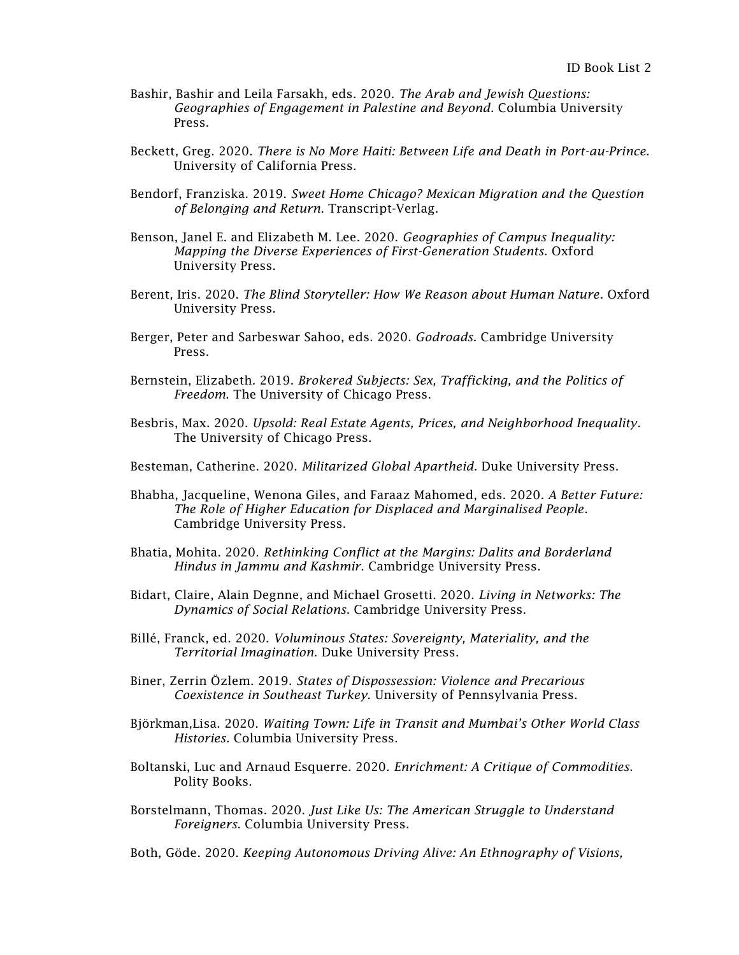- Bashir, Bashir and Leila Farsakh, eds. 2020. *The Arab and Jewish Questions: Geographies of Engagement in Palestine and Beyond*. Columbia University Press.
- Beckett, Greg. 2020. *There is No More Haiti: Between Life and Death in Port-au-Prince*. University of California Press.
- Bendorf, Franziska. 2019. *Sweet Home Chicago? Mexican Migration and the Question of Belonging and Return*. Transcript-Verlag.
- Benson, Janel E. and Elizabeth M. Lee. 2020. *Geographies of Campus Inequality: Mapping the Diverse Experiences of First-Generation Students*. Oxford University Press.
- Berent, Iris. 2020. *The Blind Storyteller: How We Reason about Human Nature*. Oxford University Press.
- Berger, Peter and Sarbeswar Sahoo, eds. 2020. *Godroads*. Cambridge University Press.
- Bernstein, Elizabeth. 2019. *Brokered Subjects: Sex, Trafficking, and the Politics of Freedom*. The University of Chicago Press.
- Besbris, Max. 2020. *Upsold: Real Estate Agents, Prices, and Neighborhood Inequality*. The University of Chicago Press.
- Besteman, Catherine. 2020. *Militarized Global Apartheid*. Duke University Press.
- Bhabha, Jacqueline, Wenona Giles, and Faraaz Mahomed, eds. 2020. *A Better Future: The Role of Higher Education for Displaced and Marginalised People*. Cambridge University Press.
- Bhatia, Mohita. 2020. *Rethinking Conflict at the Margins: Dalits and Borderland Hindus in Jammu and Kashmir*. Cambridge University Press.
- Bidart, Claire, Alain Degnne, and Michael Grosetti. 2020. *Living in Networks: The Dynamics of Social Relations*. Cambridge University Press.
- Billé, Franck, ed. 2020. *Voluminous States: Sovereignty, Materiality, and the Territorial Imagination*. Duke University Press.
- Biner, Zerrin Özlem. 2019. *States of Dispossession: Violence and Precarious Coexistence in Southeast Turkey*. University of Pennsylvania Press.
- Björkman,Lisa. 2020. *Waiting Town: Life in Transit and Mumbai's Other World Class Histories.* Columbia University Press.
- Boltanski, Luc and Arnaud Esquerre. 2020. *Enrichment: A Critique of Commodities*. Polity Books.
- Borstelmann, Thomas. 2020. *Just Like Us: The American Struggle to Understand Foreigners*. Columbia University Press.
- Both, Göde. 2020. *Keeping Autonomous Driving Alive: An Ethnography of Visions,*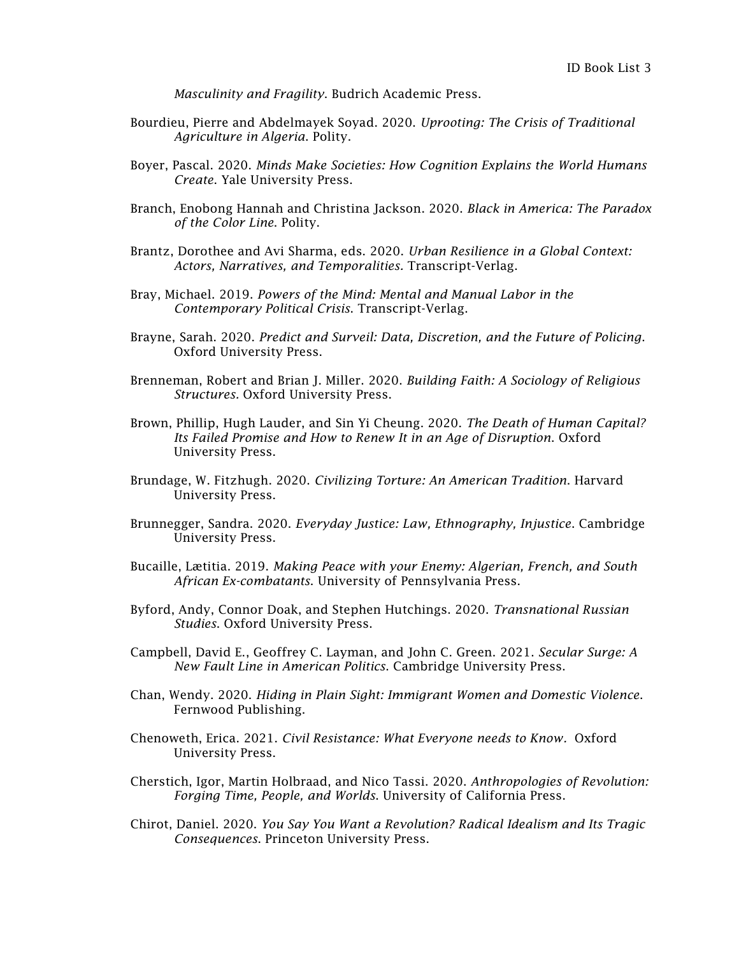*Masculinity and Fragility*. Budrich Academic Press.

- Bourdieu, Pierre and Abdelmayek Soyad. 2020. *Uprooting: The Crisis of Traditional Agriculture in Algeria*. Polity.
- Boyer, Pascal. 2020. *Minds Make Societies: How Cognition Explains the World Humans Create*. Yale University Press.
- Branch, Enobong Hannah and Christina Jackson. 2020. *Black in America: The Paradox of the Color Line*. Polity.
- Brantz, Dorothee and Avi Sharma, eds. 2020. *Urban Resilience in a Global Context: Actors, Narratives, and Temporalities.* Transcript-Verlag.
- Bray, Michael. 2019. *Powers of the Mind: Mental and Manual Labor in the Contemporary Political Crisis*. Transcript-Verlag.
- Brayne, Sarah. 2020. *Predict and Surveil: Data, Discretion, and the Future of Policing*. Oxford University Press.
- Brenneman, Robert and Brian J. Miller. 2020. *Building Faith: A Sociology of Religious Structures.* Oxford University Press.
- Brown, Phillip, Hugh Lauder, and Sin Yi Cheung. 2020. *The Death of Human Capital? Its Failed Promise and How to Renew It in an Age of Disruption*. Oxford University Press.
- Brundage, W. Fitzhugh. 2020. *Civilizing Torture: An American Tradition*. Harvard University Press.
- Brunnegger, Sandra. 2020. *Everyday Justice: Law, Ethnography, Injustice*. Cambridge University Press.
- Bucaille, Lætitia. 2019. *Making Peace with your Enemy: Algerian, French, and South African Ex-combatants*. University of Pennsylvania Press.
- Byford, Andy, Connor Doak, and Stephen Hutchings. 2020. *Transnational Russian Studies*. Oxford University Press.
- Campbell, David E., Geoffrey C. Layman, and John C. Green. 2021. *Secular Surge: A New Fault Line in American Politics*. Cambridge University Press.
- Chan, Wendy. 2020. *Hiding in Plain Sight: Immigrant Women and Domestic Violence*. Fernwood Publishing.
- Chenoweth, Erica. 2021. *Civil Resistance: What Everyone needs to Know.* Oxford University Press.
- Cherstich, Igor, Martin Holbraad, and Nico Tassi. 2020. *Anthropologies of Revolution: Forging Time, People, and Worlds*. University of California Press.
- Chirot, Daniel. 2020. *You Say You Want a Revolution? Radical Idealism and Its Tragic Consequences*. Princeton University Press.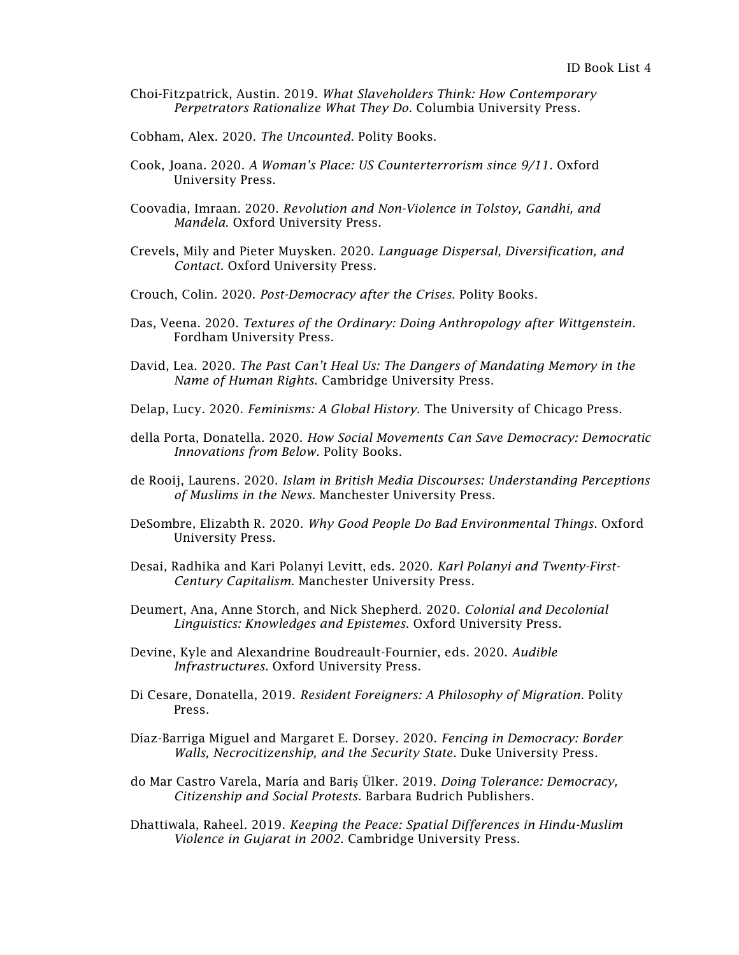- Choi-Fitzpatrick, Austin. 2019. *What Slaveholders Think: How Contemporary Perpetrators Rationalize What They Do*. Columbia University Press.
- Cobham, Alex. 2020. *The Uncounted*. Polity Books.
- Cook, Joana. 2020. *A Woman's Place: US Counterterrorism since 9/11*. Oxford University Press.
- Coovadia, Imraan. 2020. *Revolution and Non-Violence in Tolstoy, Gandhi, and Mandela*. Oxford University Press.
- Crevels, Mily and Pieter Muysken. 2020. *Language Dispersal, Diversification, and Contact*. Oxford University Press.
- Crouch, Colin. 2020. *Post-Democracy after the Crises*. Polity Books.
- Das, Veena. 2020. *Textures of the Ordinary: Doing Anthropology after Wittgenstein*. Fordham University Press.
- David, Lea. 2020. *The Past Can't Heal Us: The Dangers of Mandating Memory in the Name of Human Rights*. Cambridge University Press.
- Delap, Lucy. 2020. *Feminisms: A Global History.* The University of Chicago Press.
- della Porta, Donatella. 2020. *How Social Movements Can Save Democracy: Democratic Innovations from Below*. Polity Books.
- de Rooij, Laurens. 2020. *Islam in British Media Discourses: Understanding Perceptions of Muslims in the News*. Manchester University Press.
- DeSombre, Elizabth R. 2020. *Why Good People Do Bad Environmental Things*. Oxford University Press.
- Desai, Radhika and Kari Polanyi Levitt, eds. 2020. *Karl Polanyi and Twenty-First-Century Capitalism*. Manchester University Press.
- Deumert, Ana, Anne Storch, and Nick Shepherd. 2020. *Colonial and Decolonial Linguistics: Knowledges and Epistemes*. Oxford University Press.
- Devine, Kyle and Alexandrine Boudreault-Fournier, eds. 2020. *Audible Infrastructures*. Oxford University Press.
- Di Cesare, Donatella, 2019. *Resident Foreigners: A Philosophy of Migration*. Polity Press.
- Díaz-Barriga Miguel and Margaret E. Dorsey. 2020. *Fencing in Democracy: Border Walls, Necrocitizenship, and the Security State*. Duke University Press.
- do Mar Castro Varela, María and Bariş Ülker. 2019. *Doing Tolerance: Democracy, Citizenship and Social Protests*. Barbara Budrich Publishers.
- Dhattiwala, Raheel. 2019. *Keeping the Peace: Spatial Differences in Hindu-Muslim Violence in Gujarat in 2002*. Cambridge University Press.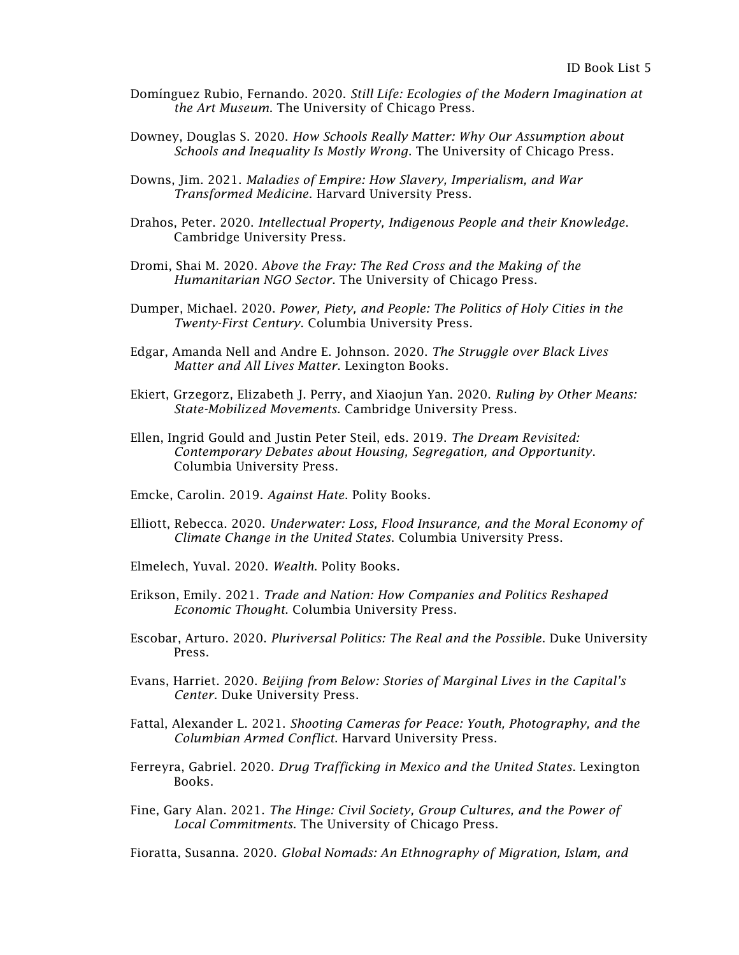- Domínguez Rubio, Fernando. 2020. *Still Life: Ecologies of the Modern Imagination at the Art Museum*. The University of Chicago Press.
- Downey, Douglas S. 2020. *How Schools Really Matter: Why Our Assumption about Schools and Inequality Is Mostly Wrong*. The University of Chicago Press.
- Downs, Jim. 2021. *Maladies of Empire: How Slavery, Imperialism, and War Transformed Medicine*. Harvard University Press.
- Drahos, Peter. 2020. *Intellectual Property, Indigenous People and their Knowledge*. Cambridge University Press.
- Dromi, Shai M. 2020. *Above the Fray: The Red Cross and the Making of the Humanitarian NGO Sector*. The University of Chicago Press.
- Dumper, Michael. 2020. *Power, Piety, and People: The Politics of Holy Cities in the Twenty-First Century*. Columbia University Press.
- Edgar, Amanda Nell and Andre E. Johnson. 2020. *The Struggle over Black Lives Matter and All Lives Matter*. Lexington Books.
- Ekiert, Grzegorz, Elizabeth J. Perry, and Xiaojun Yan. 2020. *Ruling by Other Means: State-Mobilized Movements*. Cambridge University Press.
- Ellen, Ingrid Gould and Justin Peter Steil, eds. 2019. *The Dream Revisited: Contemporary Debates about Housing, Segregation, and Opportunity*. Columbia University Press.
- Emcke, Carolin. 2019. *Against Hate*. Polity Books.
- Elliott, Rebecca. 2020. *Underwater: Loss, Flood Insurance, and the Moral Economy of Climate Change in the United States*. Columbia University Press.
- Elmelech, Yuval. 2020. *Wealth*. Polity Books.
- Erikson, Emily. 2021. *Trade and Nation: How Companies and Politics Reshaped Economic Thought*. Columbia University Press.
- Escobar, Arturo. 2020. *Pluriversal Politics: The Real and the Possible*. Duke University Press.
- Evans, Harriet. 2020. *Beijing from Below: Stories of Marginal Lives in the Capital's Center*. Duke University Press.
- Fattal, Alexander L. 2021. *Shooting Cameras for Peace: Youth, Photography, and the Columbian Armed Conflict*. Harvard University Press.
- Ferreyra, Gabriel. 2020. *Drug Trafficking in Mexico and the United States*. Lexington Books.
- Fine, Gary Alan. 2021. *The Hinge: Civil Society, Group Cultures, and the Power of Local Commitments*. The University of Chicago Press.

Fioratta, Susanna. 2020. *Global Nomads: An Ethnography of Migration, Islam, and*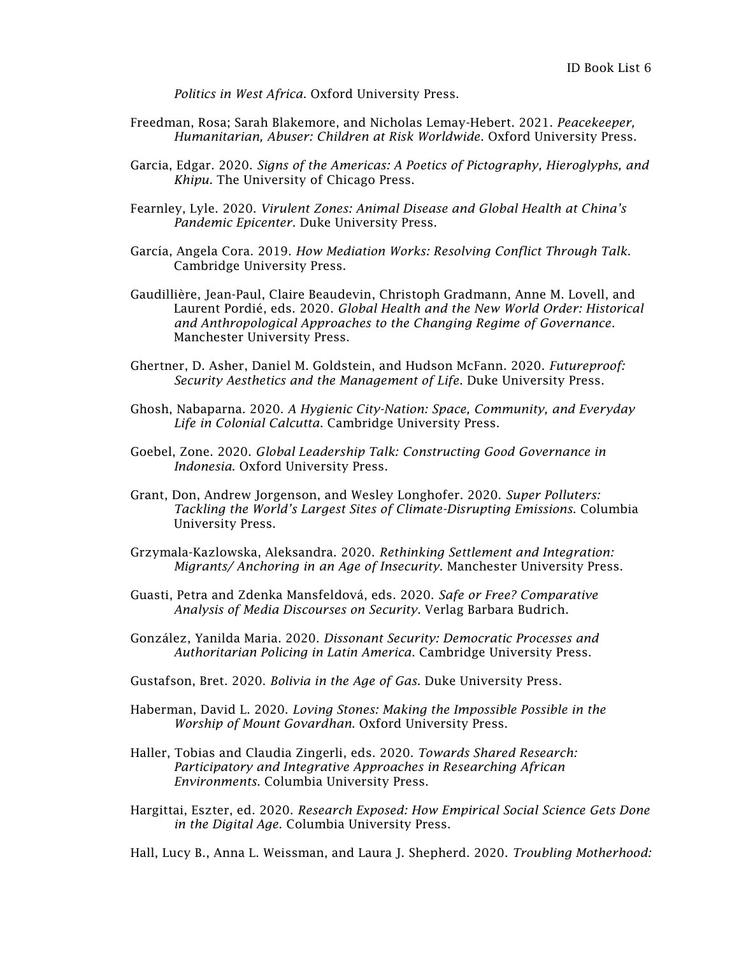*Politics in West Africa*. Oxford University Press.

- Freedman, Rosa; Sarah Blakemore, and Nicholas Lemay-Hebert. 2021. *Peacekeeper, Humanitarian, Abuser: Children at Risk Worldwide*. Oxford University Press.
- Garcia, Edgar. 2020. *Signs of the Americas: A Poetics of Pictography, Hieroglyphs, and Khipu.* The University of Chicago Press.
- Fearnley, Lyle. 2020. *Virulent Zones: Animal Disease and Global Health at China's Pandemic Epicenter*. Duke University Press.
- García, Angela Cora. 2019. *How Mediation Works: Resolving Conflict Through Talk*. Cambridge University Press.
- Gaudillière, Jean-Paul, Claire Beaudevin, Christoph Gradmann, Anne M. Lovell, and Laurent Pordié, eds. 2020. *Global Health and the New World Order: Historical and Anthropological Approaches to the Changing Regime of Governance*. Manchester University Press.
- Ghertner, D. Asher, Daniel M. Goldstein, and Hudson McFann. 2020. *Futureproof: Security Aesthetics and the Management of Life*. Duke University Press.
- Ghosh, Nabaparna. 2020. *A Hygienic City-Nation: Space, Community, and Everyday Life in Colonial Calcutta*. Cambridge University Press.
- Goebel, Zone. 2020. *Global Leadership Talk: Constructing Good Governance in Indonesia*. Oxford University Press.
- Grant, Don, Andrew Jorgenson, and Wesley Longhofer. 2020. *Super Polluters: Tackling the World's Largest Sites of Climate-Disrupting Emissions*. Columbia University Press.
- Grzymala-Kazlowska, Aleksandra. 2020. *Rethinking Settlement and Integration: Migrants/ Anchoring in an Age of Insecurity*. Manchester University Press.
- Guasti, Petra and Zdenka Mansfeldová, eds. 2020. *Safe or Free? Comparative Analysis of Media Discourses on Security*. Verlag Barbara Budrich.
- González, Yanilda Maria. 2020. *Dissonant Security: Democratic Processes and Authoritarian Policing in Latin America*. Cambridge University Press.
- Gustafson, Bret. 2020. *Bolivia in the Age of Gas*. Duke University Press.
- Haberman, David L. 2020. *Loving Stones: Making the Impossible Possible in the Worship of Mount Govardhan*. Oxford University Press.
- Haller, Tobias and Claudia Zingerli, eds. 2020. *Towards Shared Research: Participatory and Integrative Approaches in Researching African Environments*. Columbia University Press.
- Hargittai, Eszter, ed. 2020. *Research Exposed: How Empirical Social Science Gets Done in the Digital Age*. Columbia University Press.

Hall, Lucy B., Anna L. Weissman, and Laura J. Shepherd. 2020. *Troubling Motherhood:*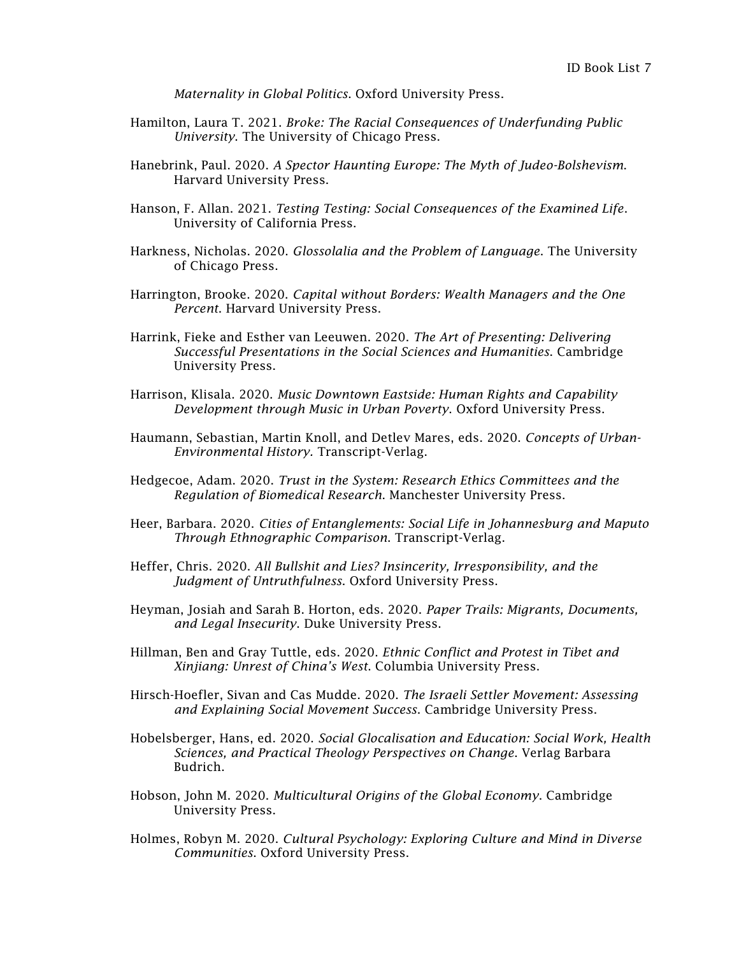*Maternality in Global Politics*. Oxford University Press.

- Hamilton, Laura T. 2021. *Broke: The Racial Consequences of Underfunding Public University*. The University of Chicago Press.
- Hanebrink, Paul. 2020. *A Spector Haunting Europe: The Myth of Judeo-Bolshevism*. Harvard University Press.
- Hanson, F. Allan. 2021. *Testing Testing: Social Consequences of the Examined Life*. University of California Press.
- Harkness, Nicholas. 2020. *Glossolalia and the Problem of Language*. The University of Chicago Press.
- Harrington, Brooke. 2020. *Capital without Borders: Wealth Managers and the One Percent*. Harvard University Press.
- Harrink, Fieke and Esther van Leeuwen. 2020. *The Art of Presenting: Delivering Successful Presentations in the Social Sciences and Humanities*. Cambridge University Press.
- Harrison, Klisala. 2020. *Music Downtown Eastside: Human Rights and Capability Development through Music in Urban Poverty*. Oxford University Press.
- Haumann, Sebastian, Martin Knoll, and Detlev Mares, eds. 2020. *Concepts of Urban-Environmental History.* Transcript-Verlag.
- Hedgecoe, Adam. 2020. *Trust in the System: Research Ethics Committees and the Regulation of Biomedical Research*. Manchester University Press.
- Heer, Barbara. 2020. *Cities of Entanglements: Social Life in Johannesburg and Maputo Through Ethnographic Comparison*. Transcript-Verlag.
- Heffer, Chris. 2020. *All Bullshit and Lies? Insincerity, Irresponsibility, and the Judgment of Untruthfulness*. Oxford University Press.
- Heyman, Josiah and Sarah B. Horton, eds. 2020. *Paper Trails: Migrants, Documents, and Legal Insecurity*. Duke University Press.
- Hillman, Ben and Gray Tuttle, eds. 2020. *Ethnic Conflict and Protest in Tibet and Xinjiang: Unrest of China's West*. Columbia University Press.
- Hirsch-Hoefler, Sivan and Cas Mudde. 2020. *The Israeli Settler Movement: Assessing and Explaining Social Movement Success*. Cambridge University Press.
- Hobelsberger, Hans, ed. 2020. *Social Glocalisation and Education: Social Work, Health Sciences, and Practical Theology Perspectives on Change*. Verlag Barbara Budrich.
- Hobson, John M. 2020. *Multicultural Origins of the Global Economy*. Cambridge University Press.
- Holmes, Robyn M. 2020. *Cultural Psychology: Exploring Culture and Mind in Diverse Communities*. Oxford University Press.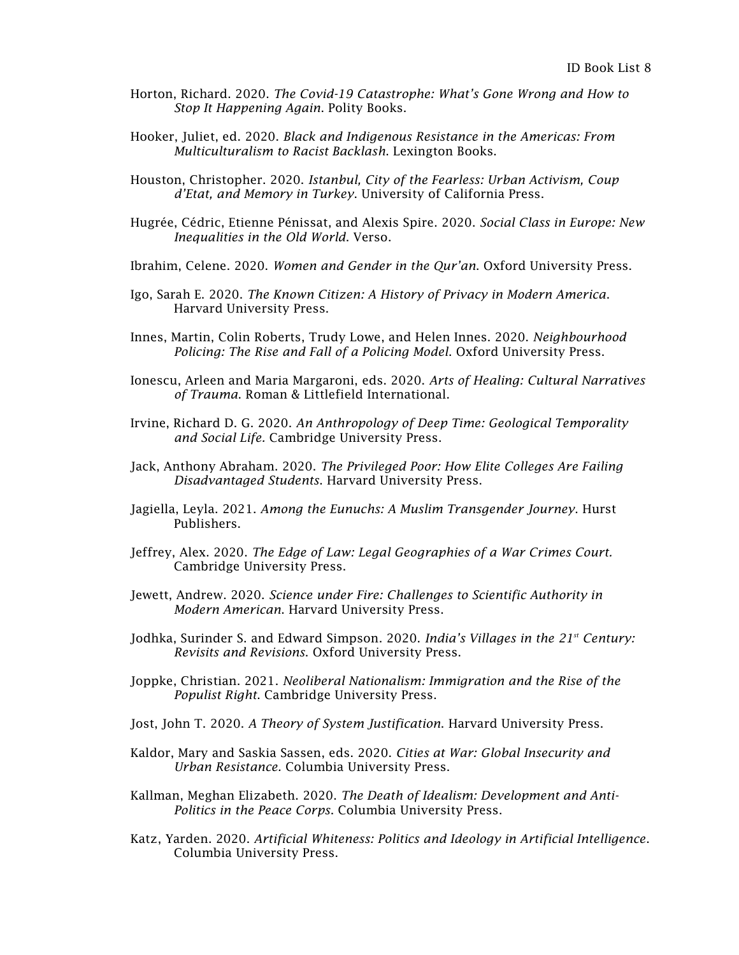- Horton, Richard. 2020. *The Covid-19 Catastrophe: What's Gone Wrong and How to Stop It Happening Again*. Polity Books.
- Hooker, Juliet, ed. 2020. *Black and Indigenous Resistance in the Americas: From Multiculturalism to Racist Backlash*. Lexington Books.
- Houston, Christopher. 2020. *Istanbul, City of the Fearless: Urban Activism, Coup d'Etat, and Memory in Turkey*. University of California Press.
- [Hugrée,](https://www.versobooks.com/authors/2434-cedric-hugree) Cédric, [Etienne Pénissat,](https://www.versobooks.com/authors/2435-etienne-penissat) and [Alexis Spire.](https://www.versobooks.com/authors/2436-alexis-spire) 2020. *Social Class in Europe: New Inequalities in the Old World*. Verso.
- Ibrahim, Celene. 2020. *Women and Gender in the Qur'an*. Oxford University Press.
- Igo, Sarah E. 2020. *The Known Citizen: A History of Privacy in Modern America*. Harvard University Press.
- Innes, Martin, Colin Roberts, Trudy Lowe, and Helen Innes. 2020. *Neighbourhood Policing: The Rise and Fall of a Policing Model*. Oxford University Press.
- Ionescu, Arleen and Maria Margaroni, eds. 2020. *Arts of Healing: Cultural Narratives of Trauma*. Roman & Littlefield International.
- Irvine, Richard D. G. 2020. *An Anthropology of Deep Time: Geological Temporality and Social Life.* Cambridge University Press.
- Jack, Anthony Abraham. 2020. *The Privileged Poor: How Elite Colleges Are Failing Disadvantaged Students*. Harvard University Press.
- Jagiella, Leyla. 2021. *Among the Eunuchs: A Muslim Transgender Journey*. Hurst Publishers.
- Jeffrey, Alex. 2020. *The Edge of Law: Legal Geographies of a War Crimes Court.* Cambridge University Press.
- Jewett, Andrew. 2020. *Science under Fire: Challenges to Scientific Authority in Modern American*. Harvard University Press.
- Jodhka, Surinder S. and Edward Simpson. 2020. *India's Villages in the 21<sup>st</sup>* Century: *Revisits and Revisions*. Oxford University Press.
- Joppke, Christian. 2021. *Neoliberal Nationalism: Immigration and the Rise of the Populist Right*. Cambridge University Press.
- Jost, John T. 2020. *A Theory of System Justification*. Harvard University Press.
- Kaldor, Mary and Saskia Sassen, eds. 2020. *Cities at War: Global Insecurity and Urban Resistance.* Columbia University Press.
- Kallman, Meghan Elizabeth. 2020. *The Death of Idealism: Development and Anti-Politics in the Peace Corps*. Columbia University Press.
- Katz, Yarden. 2020. *Artificial Whiteness: Politics and Ideology in Artificial Intelligence*. Columbia University Press.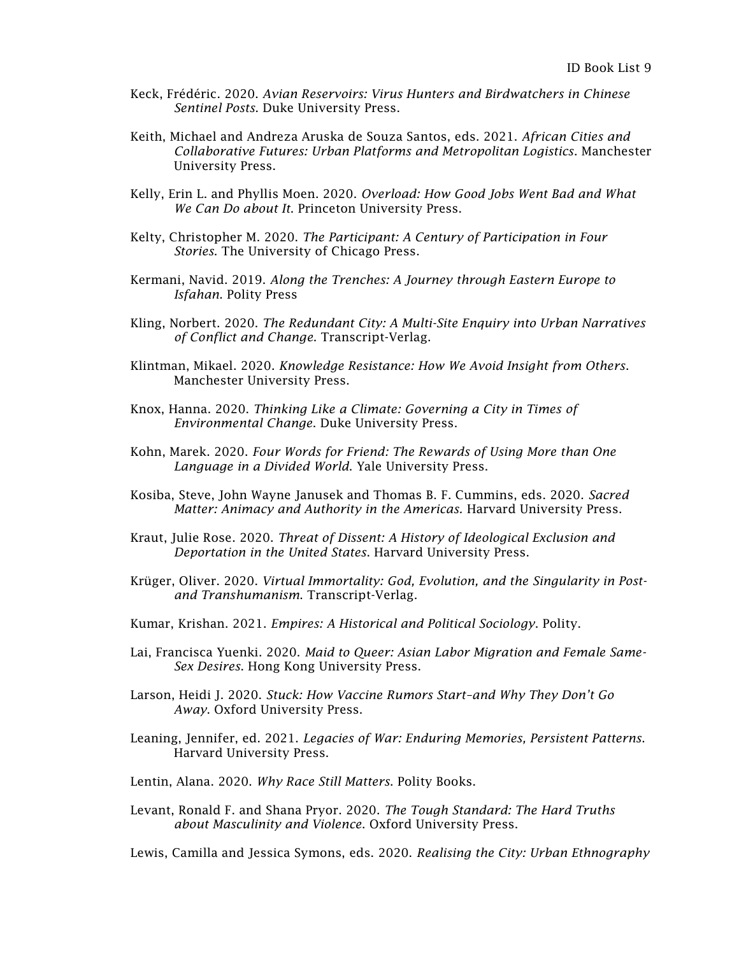- Keck, Frédéric. 2020. *Avian Reservoirs: Virus Hunters and Birdwatchers in Chinese Sentinel Posts*. Duke University Press.
- Keith, Michael and Andreza Aruska de Souza Santos, eds. 2021. *African Cities and Collaborative Futures: Urban Platforms and Metropolitan Logistics*. Manchester University Press.
- Kelly, Erin L. and Phyllis Moen. 2020. *Overload: How Good Jobs Went Bad and What We Can Do about It*. Princeton University Press.
- Kelty, Christopher M. 2020. *The Participant: A Century of Participation in Four Stories*. The University of Chicago Press.
- Kermani, Navid. 2019. *Along the Trenches: A Journey through Eastern Europe to Isfahan*. Polity Press
- Kling, Norbert. 2020. *The Redundant City: A Multi-Site Enquiry into Urban Narratives of Conflict and Change*. Transcript-Verlag.
- Klintman, Mikael. 2020. *Knowledge Resistance: How We Avoid Insight from Others*. Manchester University Press.
- Knox, Hanna. 2020. *Thinking Like a Climate: Governing a City in Times of Environmental Change*. Duke University Press.
- Kohn, Marek. 2020. *Four Words for Friend: The Rewards of Using More than One Language in a Divided World*. Yale University Press.
- Kosiba, Steve, John Wayne Janusek and Thomas B. F. Cummins, eds. 2020. *Sacred Matter: Animacy and Authority in the Americas.* Harvard University Press.
- Kraut, Julie Rose. 2020. *Threat of Dissent: A History of Ideological Exclusion and Deportation in the United States*. Harvard University Press.
- Krüger, Oliver. 2020. *Virtual Immortality: God, Evolution, and the Singularity in Postand Transhumanism*. Transcript-Verlag.
- Kumar, Krishan. 2021. *Empires: A Historical and Political Sociology*. Polity.
- Lai, Francisca Yuenki. 2020. *Maid to Queer: Asian Labor Migration and Female Same-Sex Desires*. Hong Kong University Press.
- Larson, Heidi J. 2020. *Stuck: How Vaccine Rumors Start–and Why They Don't Go Away*. Oxford University Press.
- Leaning, Jennifer, ed. 2021. *Legacies of War: Enduring Memories, Persistent Patterns*. Harvard University Press.
- Lentin, Alana. 2020. *Why Race Still Matters*. Polity Books.
- Levant, Ronald F. and Shana Pryor. 2020. *The Tough Standard: The Hard Truths about Masculinity and Violence*. Oxford University Press.

Lewis, Camilla and Jessica Symons, eds. 2020. *Realising the City: Urban Ethnography*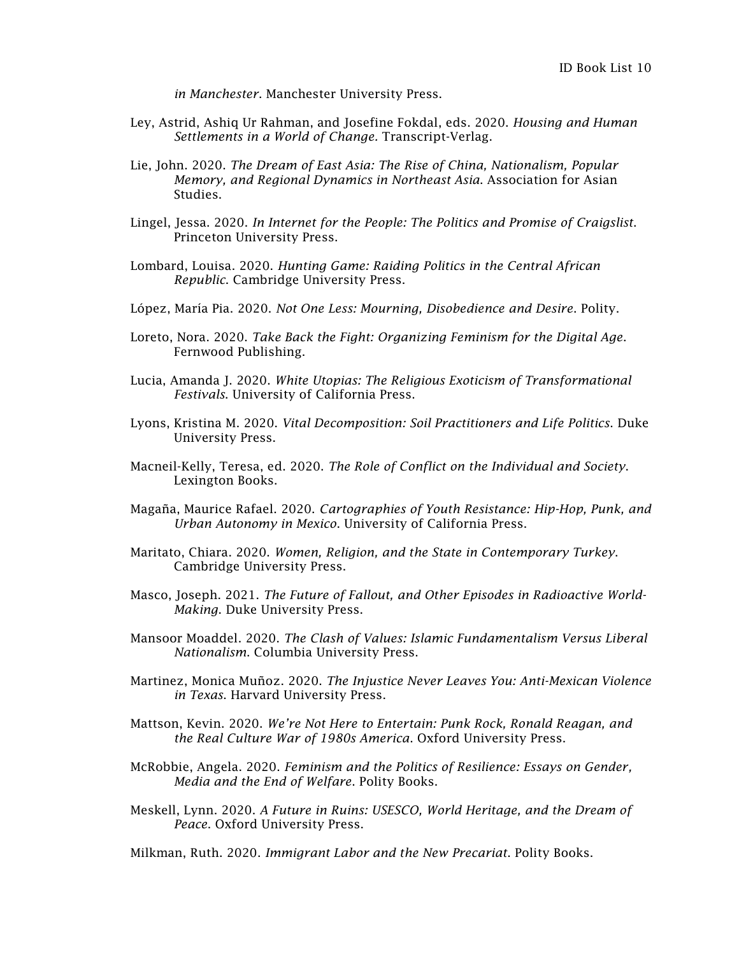*in Manchester*. Manchester University Press.

- Ley, Astrid, Ashiq Ur Rahman, and Josefine Fokdal, eds. 2020. *Housing and Human Settlements in a World of Change.* Transcript-Verlag.
- Lie, John. 2020. *The Dream of East Asia: The Rise of China, Nationalism, Popular Memory, and Regional Dynamics in Northeast Asia*. Association for Asian Studies.
- Lingel, Jessa. 2020. *In Internet for the People: The Politics and Promise of Craigslist*. Princeton University Press.
- Lombard, Louisa. 2020. *Hunting Game: Raiding Politics in the Central African Republic*. Cambridge University Press.
- López, María Pia. 2020. *Not One Less: Mourning, Disobedience and Desire*. Polity.
- Loreto, Nora. 2020. *Take Back the Fight: Organizing Feminism for the Digital Age*. Fernwood Publishing.
- Lucia, Amanda J. 2020. *White Utopias: The Religious Exoticism of Transformational Festivals*. University of California Press.
- Lyons, Kristina M. 2020. *Vital Decomposition: Soil Practitioners and Life Politics*. Duke University Press.
- Macneil-Kelly, Teresa, ed. 2020. *The Role of Conflict on the Individual and Society*. Lexington Books.
- Magaña, Maurice Rafael. 2020. *Cartographies of Youth Resistance: Hip-Hop, Punk, and Urban Autonomy in Mexico*. University of California Press.
- Maritato, Chiara. 2020. *Women, Religion, and the State in Contemporary Turkey*. Cambridge University Press.
- Masco, Joseph. 2021. *The Future of Fallout, and Other Episodes in Radioactive World-Making*. Duke University Press.
- Mansoor Moaddel. 2020. *The Clash of Values: Islamic Fundamentalism Versus Liberal Nationalism*. Columbia University Press.
- Martinez, Monica Muñoz. 2020. *The Injustice Never Leaves You: Anti-Mexican Violence in Texas*. Harvard University Press.
- Mattson, Kevin. 2020. *We're Not Here to Entertain: Punk Rock, Ronald Reagan, and the Real Culture War of 1980s America*. Oxford University Press.
- McRobbie, Angela. 2020. *Feminism and the Politics of Resilience: Essays on Gender, Media and the End of Welfare*. Polity Books.
- Meskell, Lynn. 2020. *A Future in Ruins: USESCO, World Heritage, and the Dream of Peace*. Oxford University Press.

Milkman, Ruth. 2020. *Immigrant Labor and the New Precariat*. Polity Books.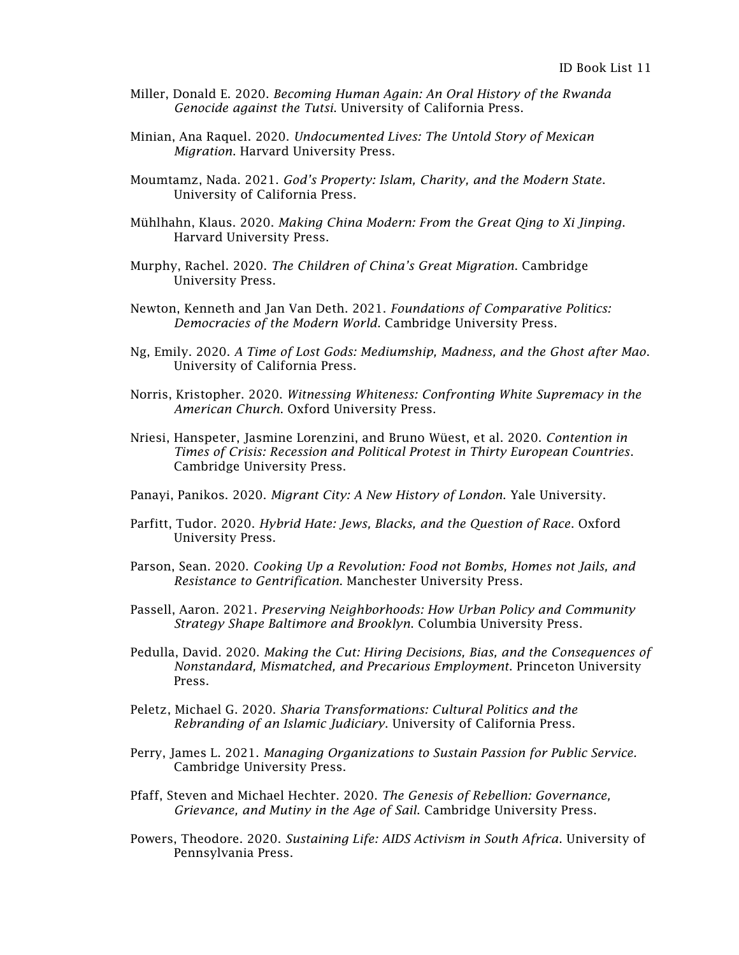- Miller, Donald E. 2020. *Becoming Human Again: An Oral History of the Rwanda Genocide against the Tutsi*. University of California Press.
- Minian, Ana Raquel. 2020. *Undocumented Lives: The Untold Story of Mexican Migration*. Harvard University Press.
- Moumtamz, Nada. 2021. *God's Property: Islam, Charity, and the Modern State*. University of California Press.
- [Mühlhahn,](https://www.hup.harvard.edu/results-list.php?author=8618) Klaus. 2020. *Making China Modern: From the Great Qing to Xi Jinping*. Harvard University Press.
- Murphy, Rachel. 2020. *The Children of China's Great Migration*. Cambridge University Press.
- Newton, Kenneth and Jan Van Deth. 2021. *Foundations of Comparative Politics: Democracies of the Modern World*. Cambridge University Press.
- Ng, Emily. 2020. *A Time of Lost Gods: Mediumship, Madness, and the Ghost after Mao*. University of California Press.
- Norris, Kristopher. 2020. *Witnessing Whiteness: Confronting White Supremacy in the American Church*. Oxford University Press.
- Nriesi, Hanspeter, Jasmine Lorenzini, and Bruno Wüest, et al. 2020. *Contention in Times of Crisis: Recession and Political Protest in Thirty European Countries*. Cambridge University Press.
- Panayi, Panikos. 2020. *Migrant City: A New History of London*. Yale University.
- Parfitt, Tudor. 2020. *Hybrid Hate: Jews, Blacks, and the Question of Race*. Oxford University Press.
- Parson, Sean. 2020. *Cooking Up a Revolution: Food not Bombs, Homes not Jails, and Resistance to Gentrification*. Manchester University Press.
- Passell, Aaron. 2021. *Preserving Neighborhoods: How Urban Policy and Community Strategy Shape Baltimore and Brooklyn*. Columbia University Press.
- Pedulla, David. 2020. *Making the Cut: Hiring Decisions, Bias, and the Consequences of Nonstandard, Mismatched, and Precarious Employment*. Princeton University Press.
- Peletz, Michael G. 2020. *Sharia Transformations: Cultural Politics and the Rebranding of an Islamic Judiciary*. University of California Press.
- Perry, James L. 2021. *Managing Organizations to Sustain Passion for Public Service.*  Cambridge University Press.
- Pfaff, Steven and Michael Hechter. 2020. *The Genesis of Rebellion: Governance, Grievance, and Mutiny in the Age of Sail*. Cambridge University Press.
- Powers, Theodore. 2020. *Sustaining Life: AIDS Activism in South Africa*. University of Pennsylvania Press.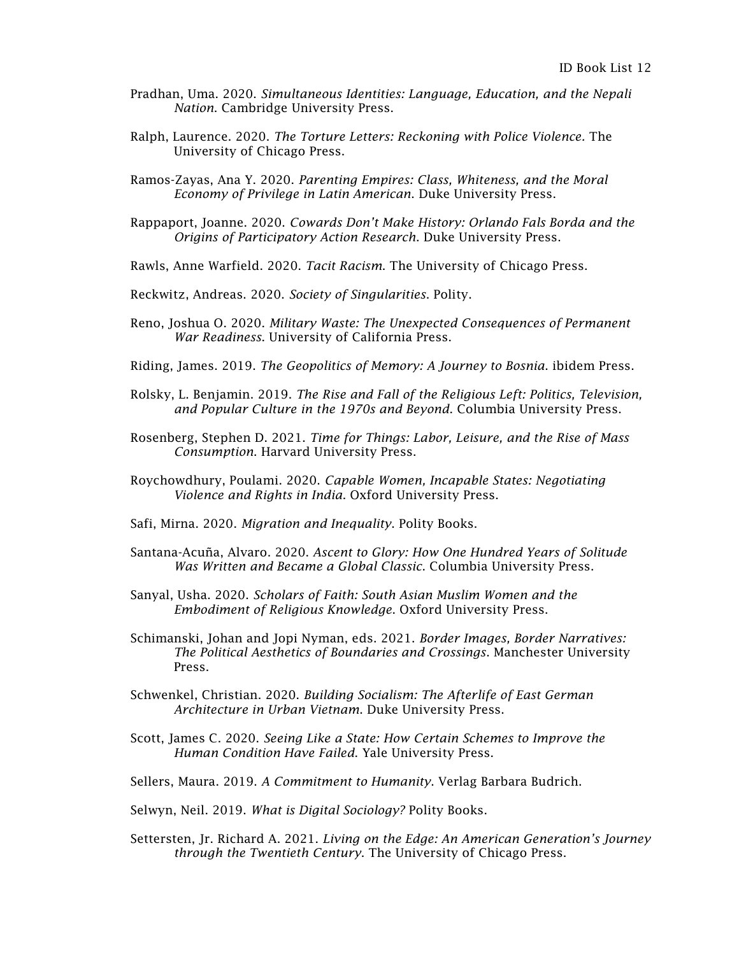- Pradhan, Uma. 2020. *Simultaneous Identities: Language, Education, and the Nepali Nation*. Cambridge University Press.
- Ralph, Laurence. 2020. *The Torture Letters: Reckoning with Police Violence.* The University of Chicago Press.
- Ramos-Zayas, Ana Y. 2020. *Parenting Empires: Class, Whiteness, and the Moral Economy of Privilege in Latin American*. Duke University Press.
- Rappaport, Joanne. 2020. *Cowards Don't Make History: Orlando Fals Borda and the Origins of Participatory Action Research*. Duke University Press.
- Rawls, Anne Warfield. 2020. *Tacit Racism*. The University of Chicago Press.
- Reckwitz, Andreas. 2020. *Society of Singularities*. Polity.
- Reno, Joshua O. 2020. *Military Waste: The Unexpected Consequences of Permanent War Readiness*. University of California Press.
- Riding, James. 2019. *The Geopolitics of Memory: A Journey to Bosnia*. ibidem Press.
- Rolsky, L. Benjamin. 2019. *The Rise and Fall of the Religious Left: Politics, Television, and Popular Culture in the 1970s and Beyond*. Columbia University Press.
- Rosenberg, Stephen D. 2021. *Time for Things: Labor, Leisure, and the Rise of Mass Consumption*. Harvard University Press.
- Roychowdhury, Poulami. 2020. *Capable Women, Incapable States: Negotiating Violence and Rights in India*. Oxford University Press.
- Safi, Mirna. 2020. *Migration and Inequality*. Polity Books.
- Santana-Acuña, Alvaro. 2020. *Ascent to Glory: How One Hundred Years of Solitude Was Written and Became a Global Classic*. Columbia University Press.
- Sanyal, Usha. 2020. *Scholars of Faith: South Asian Muslim Women and the Embodiment of Religious Knowledge*. Oxford University Press.
- Schimanski, Johan and Jopi Nyman, eds. 2021. *Border Images, Border Narratives: The Political Aesthetics of Boundaries and Crossings*. Manchester University Press.
- Schwenkel, Christian. 2020. *Building Socialism: The Afterlife of East German Architecture in Urban Vietnam*. Duke University Press.
- Scott, James C. 2020. *Seeing Like a State: How Certain Schemes to Improve the Human Condition Have Failed*. Yale University Press.
- Sellers, Maura. 2019. *A Commitment to Humanity*. Verlag Barbara Budrich.
- Selwyn, Neil. 2019. *What is Digital Sociology?* Polity Books.
- Settersten, Jr. Richard A. 2021. *Living on the Edge: An American Generation's Journey through the Twentieth Century*. The University of Chicago Press.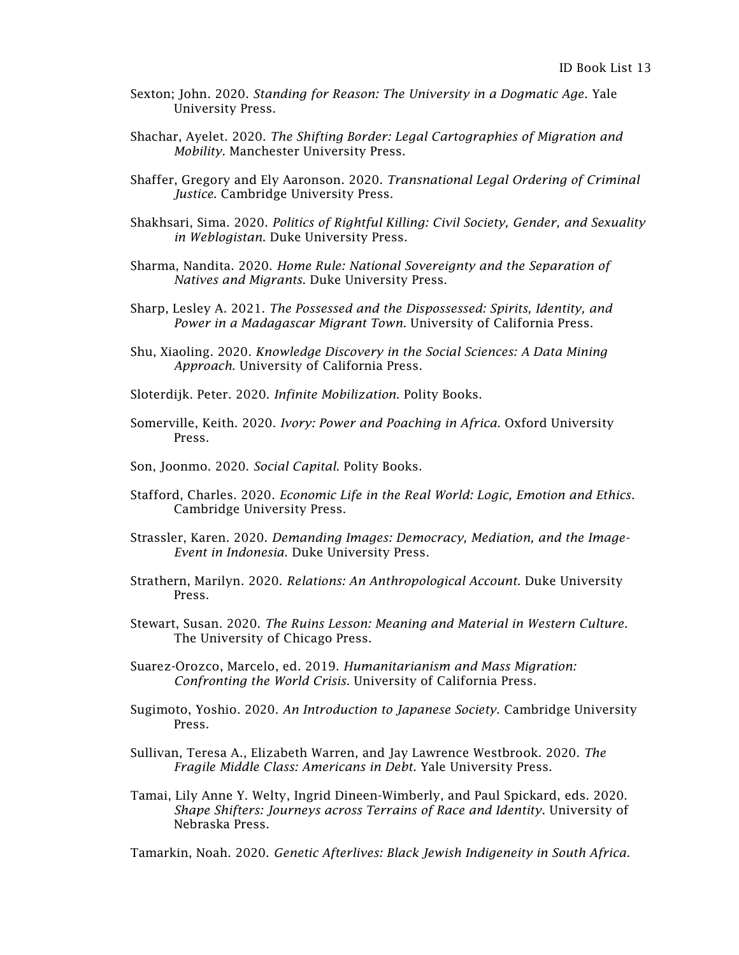- Sexton; John. 2020. *Standing for Reason: The University in a Dogmatic Age*. Yale University Press.
- Shachar, Ayelet. 2020. *The Shifting Border: Legal Cartographies of Migration and Mobility.* Manchester University Press.
- Shaffer, Gregory and Ely Aaronson. 2020. *Transnational Legal Ordering of Criminal Justice*. Cambridge University Press.
- Shakhsari, Sima. 2020. *Politics of Rightful Killing: Civil Society, Gender, and Sexuality in Weblogistan*. Duke University Press.
- Sharma, Nandita. 2020. *Home Rule: National Sovereignty and the Separation of Natives and Migrants*. Duke University Press.
- Sharp, Lesley A. 2021. *The Possessed and the Dispossessed: Spirits, Identity, and Power in a Madagascar Migrant Town*. University of California Press.
- Shu, Xiaoling. 2020. *Knowledge Discovery in the Social Sciences: A Data Mining Approach*. University of California Press.
- Sloterdijk. Peter. 2020. *Infinite Mobilization*. Polity Books.
- Somerville, Keith. 2020. *Ivory: Power and Poaching in Africa*. Oxford University Press.
- Son, Joonmo. 2020. *Social Capital*. Polity Books.
- Stafford, Charles. 2020. *Economic Life in the Real World: Logic, Emotion and Ethics*. Cambridge University Press.
- Strassler, Karen. 2020. *Demanding Images: Democracy, Mediation, and the Image-Event in Indonesia*. Duke University Press.
- Strathern, Marilyn. 2020. *Relations: An Anthropological Account*. Duke University Press.
- Stewart, Susan. 2020. *The Ruins Lesson: Meaning and Material in Western Culture*. The University of Chicago Press.
- Suarez-Orozco, Marcelo, ed. 2019. *Humanitarianism and Mass Migration: Confronting the World Crisis*. University of California Press.
- Sugimoto, Yoshio. 2020. *An Introduction to Japanese Society*. Cambridge University Press.
- Sullivan, Teresa A., Elizabeth Warren, and Jay Lawrence Westbrook. 2020. *The Fragile Middle Class: Americans in Debt*. Yale University Press.
- Tamai, Lily Anne Y. Welty, Ingrid Dineen-Wimberly, and Paul Spickard, eds. 2020. *Shape Shifters: Journeys across Terrains of Race and Identity*. University of Nebraska Press.

Tamarkin, Noah. 2020. *Genetic Afterlives: Black Jewish Indigeneity in South Africa*.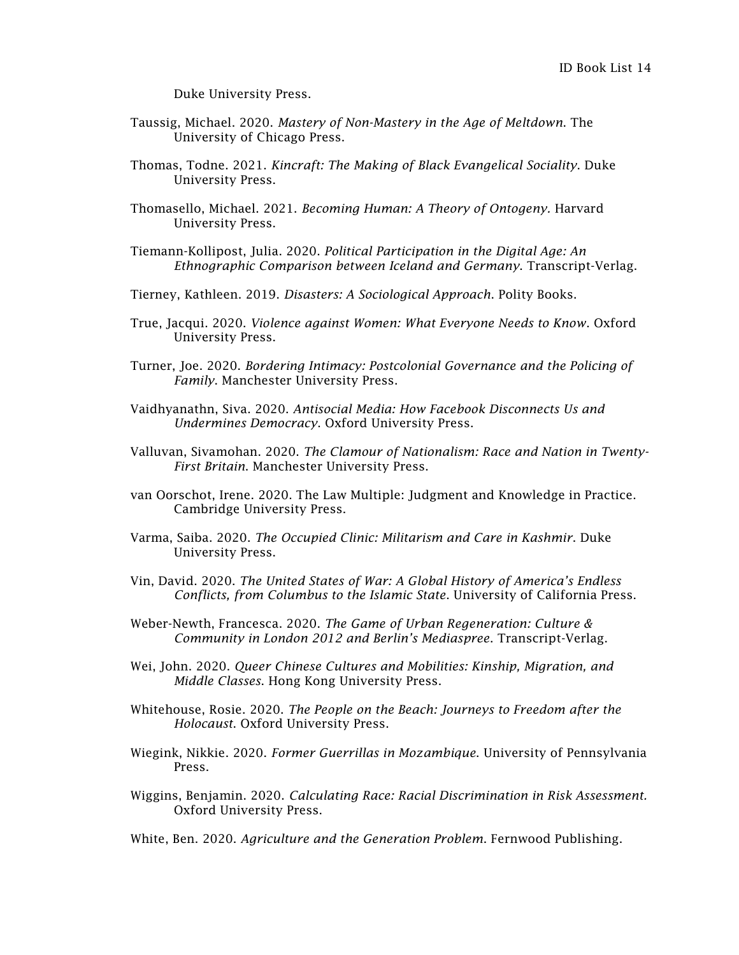Duke University Press.

- Taussig, Michael. 2020. *Mastery of Non-Mastery in the Age of Meltdown*. The University of Chicago Press.
- Thomas, Todne. 2021. *Kincraft: The Making of Black Evangelical Sociality*. Duke University Press.
- Thomasello, Michael. 2021. *Becoming Human: A Theory of Ontogeny.* Harvard University Press.
- Tiemann-Kollipost, Julia. 2020. *Political Participation in the Digital Age: An Ethnographic Comparison between Iceland and Germany*. Transcript-Verlag.
- Tierney, Kathleen. 2019. *Disasters: A Sociological Approach*. Polity Books.
- True, Jacqui. 2020. *Violence against Women: What Everyone Needs to Know*. Oxford University Press.
- Turner, Joe. 2020. *Bordering Intimacy: Postcolonial Governance and the Policing of Family*. Manchester University Press.
- Vaidhyanathn, Siva. 2020. *Antisocial Media: How Facebook Disconnects Us and Undermines Democracy*. Oxford University Press.
- Valluvan, Sivamohan. 2020. *The Clamour of Nationalism: Race and Nation in Twenty-First Britain*. Manchester University Press.
- van Oorschot, Irene. 2020. The Law Multiple: Judgment and Knowledge in Practice. Cambridge University Press.
- Varma, Saiba. 2020. *The Occupied Clinic: Militarism and Care in Kashmir*. Duke University Press.
- Vin, David. 2020. *The United States of War: A Global History of America's Endless Conflicts, from Columbus to the Islamic State*. University of California Press.
- Weber-Newth, Francesca. 2020. *The Game of Urban Regeneration: Culture & Community in London 2012 and Berlin's Mediaspree*. Transcript-Verlag.
- Wei, John. 2020. *Queer Chinese Cultures and Mobilities: Kinship, Migration, and Middle Classes*. Hong Kong University Press.
- Whitehouse, Rosie. 2020. *The People on the Beach: Journeys to Freedom after the Holocaust*. Oxford University Press.
- Wiegink, Nikkie. 2020. *Former Guerrillas in Mozambique*. University of Pennsylvania Press.
- Wiggins, Benjamin. 2020. *Calculating Race: Racial Discrimination in Risk Assessment.*  Oxford University Press.

White, Ben. 2020. *Agriculture and the Generation Problem*. Fernwood Publishing.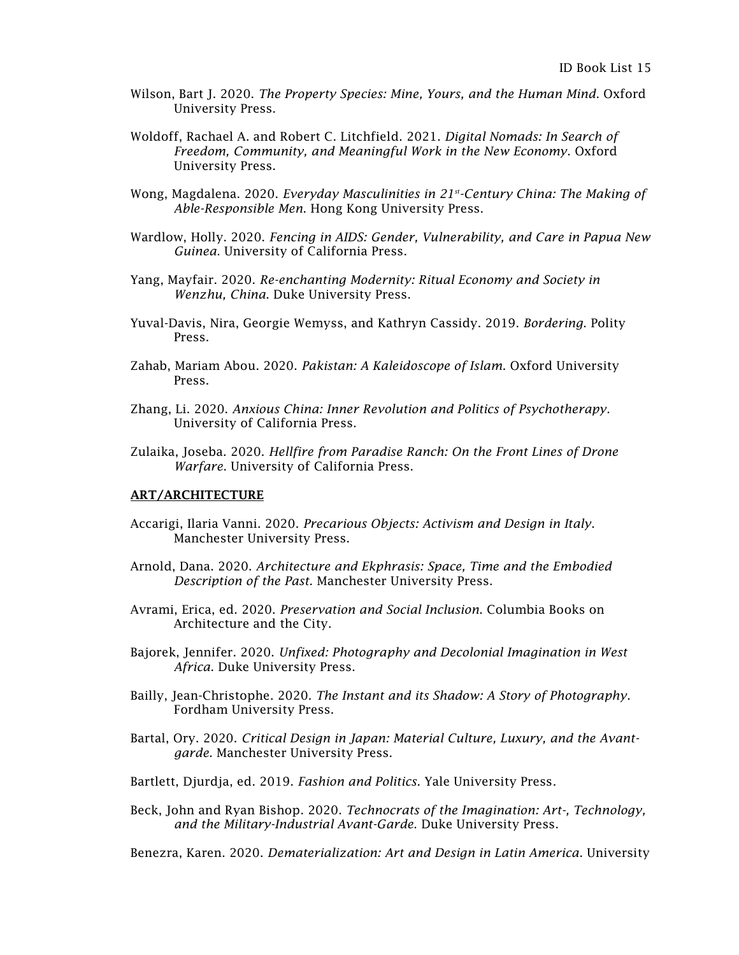- Wilson, Bart J. 2020. *The Property Species: Mine, Yours, and the Human Mind*. Oxford University Press.
- Woldoff, Rachael A. and Robert C. Litchfield. 2021. *Digital Nomads: In Search of Freedom, Community, and Meaningful Work in the New Economy*. Oxford University Press.
- Wong, Magdalena. 2020. *Everyday Masculinities in 21st -Century China: The Making of Able-Responsible Men*. Hong Kong University Press.
- Wardlow, Holly. 2020. *Fencing in AIDS: Gender, Vulnerability, and Care in Papua New Guinea*. University of California Press.
- Yang, Mayfair. 2020. *Re-enchanting Modernity: Ritual Economy and Society in Wenzhu, China*. Duke University Press.
- Yuval-Davis, Nira, Georgie Wemyss, and Kathryn Cassidy. 2019. *Bordering*. Polity Press.
- Zahab, Mariam Abou. 2020. *Pakistan: A Kaleidoscope of Islam*. Oxford University Press.
- Zhang, Li. 2020. *Anxious China: Inner Revolution and Politics of Psychotherapy*. University of California Press.
- Zulaika, Joseba. 2020. *Hellfire from Paradise Ranch: On the Front Lines of Drone Warfare*. University of California Press.

## ART/ARCHITECTURE

- Accarigi, Ilaria Vanni. 2020. *Precarious Objects: Activism and Design in Italy*. Manchester University Press.
- Arnold, Dana. 2020. *Architecture and Ekphrasis: Space, Time and the Embodied Description of the Past*. Manchester University Press.
- Avrami, Erica, ed. 2020. *Preservation and Social Inclusion*. Columbia Books on Architecture and the City.
- Bajorek, Jennifer. 2020. *Unfixed: Photography and Decolonial Imagination in West Africa*. Duke University Press.
- Bailly, Jean-Christophe. 2020. *The Instant and its Shadow: A Story of Photography*. Fordham University Press.
- Bartal, Ory. 2020. *Critical Design in Japan: Material Culture, Luxury, and the Avantgarde.* Manchester University Press.
- Bartlett, Djurdja, ed. 2019. *Fashion and Politics.* Yale University Press*.*
- Beck, John and Ryan Bishop. 2020. *Technocrats of the Imagination: Art-, Technology, and the Military-Industrial Avant-Garde*. Duke University Press.

Benezra, Karen. 2020. *Dematerialization: Art and Design in Latin America*. University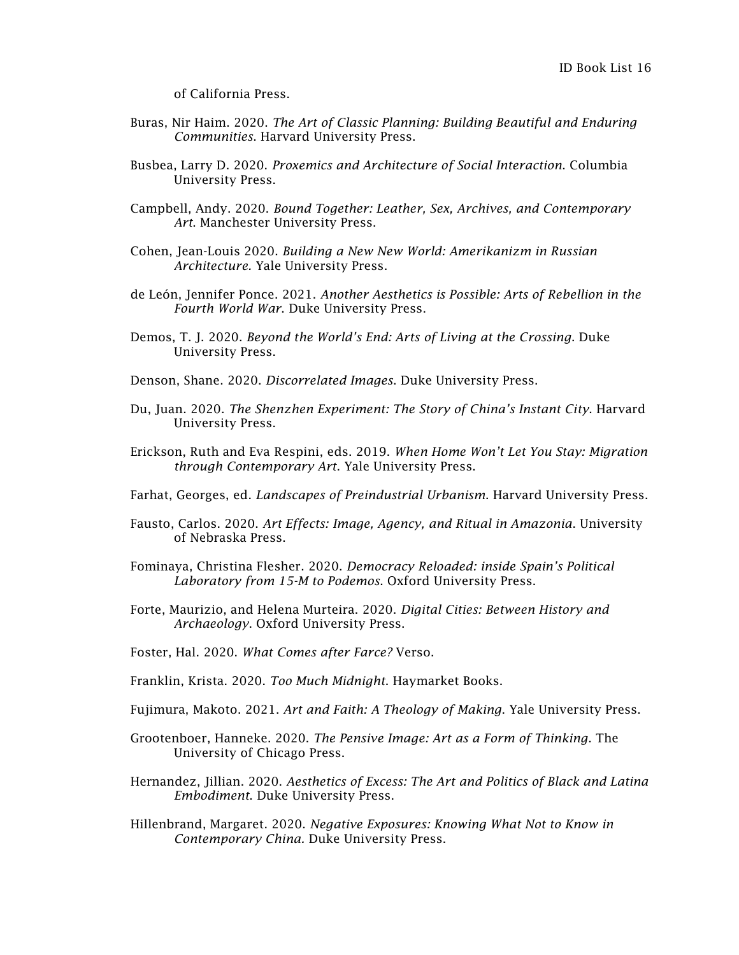of California Press.

- Buras, Nir Haim. 2020. *The Art of Classic Planning: Building Beautiful and Enduring Communities*. Harvard University Press.
- Busbea, Larry D. 2020. *Proxemics and Architecture of Social Interaction*. Columbia University Press.
- Campbell, Andy. 2020. *Bound Together: Leather, Sex, Archives, and Contemporary Art*. Manchester University Press.
- Cohen, Jean-Louis 2020. *Building a New New World: Amerikanizm in Russian Architecture.* Yale University Press.
- [de León,](https://www.dukeupress.edu/explore-subjects/browse?AuID=4298789) Jennifer Ponce. 2021. *Another Aesthetics is Possible: Arts of Rebellion in the Fourth World War*. Duke University Press.
- Demos, T. J. 2020. *Beyond the World's End: Arts of Living at the Crossing*. Duke University Press.
- Denson, Shane. 2020. *Discorrelated Images*. Duke University Press.
- Du, Juan. 2020. *The Shenzhen Experiment: The Story of China's Instant City*. Harvard University Press.
- Erickson, Ruth and Eva Respini, eds. 2019. *When Home Won't Let You Stay: Migration through Contemporary Art*. Yale University Press.
- Farhat, Georges, ed. *Landscapes of Preindustrial Urbanism*. Harvard University Press.
- Fausto, Carlos. 2020. *Art Effects: Image, Agency, and Ritual in Amazonia*. University of Nebraska Press.
- Fominaya, Christina Flesher. 2020. *Democracy Reloaded: inside Spain's Political Laboratory from 15-M to Podemos*. Oxford University Press.
- Forte, Maurizio, and Helena Murteira. 2020. *Digital Cities: Between History and Archaeology*. Oxford University Press.
- Foster, Hal. 2020. *What Comes after Farce?* Verso.
- Franklin, Krista. 2020. *Too Much Midnight*. Haymarket Books.
- Fujimura, Makoto. 2021. *Art and Faith: A Theology of Making*. Yale University Press.
- Grootenboer, Hanneke. 2020. *The Pensive Image: Art as a Form of Thinking*. The University of Chicago Press.
- Hernandez, Jillian. 2020. *Aesthetics of Excess: The Art and Politics of Black and Latina Embodiment*. Duke University Press.
- Hillenbrand, Margaret. 2020. *Negative Exposures: Knowing What Not to Know in Contemporary China.* Duke University Press.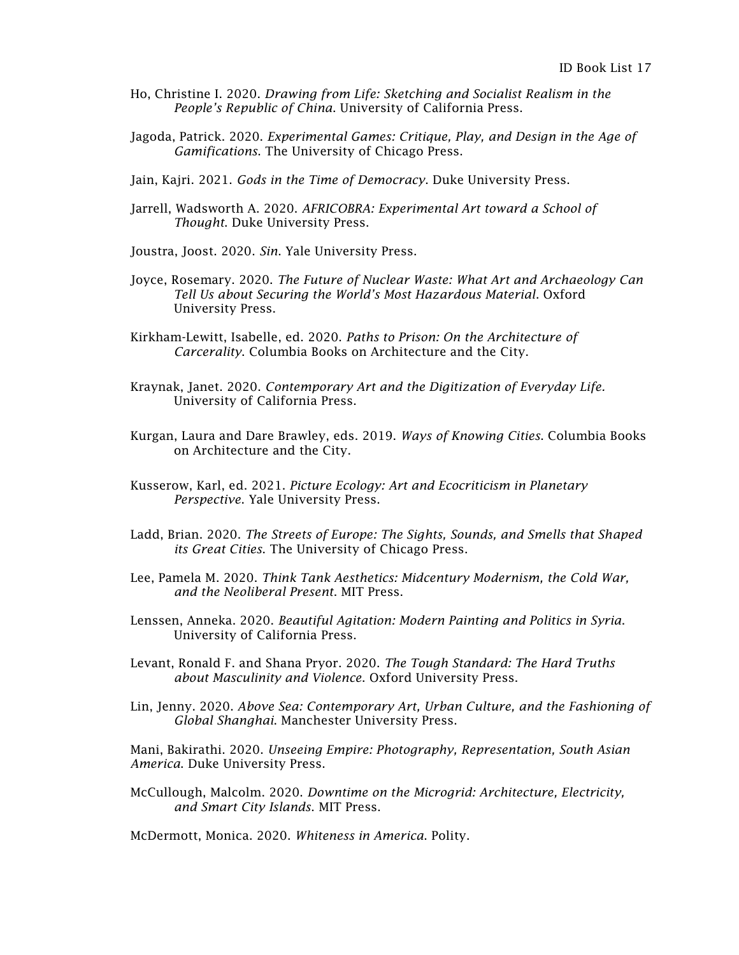- Ho, Christine I. 2020. *Drawing from Life: Sketching and Socialist Realism in the People's Republic of China*. University of California Press.
- Jagoda, Patrick. 2020. *Experimental Games: Critique, Play, and Design in the Age of Gamifications*. The University of Chicago Press.
- Jain, Kajri. 2021. *Gods in the Time of Democracy*. Duke University Press.
- Jarrell, Wadsworth A. 2020. *AFRICOBRA: Experimental Art toward a School of Thought*. Duke University Press.
- Joustra, Joost. 2020. *Sin*. Yale University Press.
- Joyce, Rosemary. 2020. *The Future of Nuclear Waste: What Art and Archaeology Can Tell Us about Securing the World's Most Hazardous Material*. Oxford University Press.
- Kirkham-Lewitt, Isabelle, ed. 2020. *Paths to Prison: On the Architecture of Carcerality*. Columbia Books on Architecture and the City.
- Kraynak, Janet. 2020. *Contemporary Art and the Digitization of Everyday Life.* University of California Press.
- Kurgan, Laura and Dare Brawley, eds. 2019. *Ways of Knowing Cities*. Columbia Books on Architecture and the City.
- Kusserow, Karl, ed. 2021. *Picture Ecology: Art and Ecocriticism in Planetary Perspective*. Yale University Press.
- Ladd, Brian. 2020. *The Streets of Europe: The Sights, Sounds, and Smells that Shaped its Great Cities*. The University of Chicago Press.
- Lee, Pamela M. 2020. *Think Tank Aesthetics: Midcentury Modernism, the Cold War, and the Neoliberal Present*. MIT Press.
- Lenssen, Anneka. 2020. *Beautiful Agitation: Modern Painting and Politics in Syria*. University of California Press.
- Levant, Ronald F. and Shana Pryor. 2020. *The Tough Standard: The Hard Truths about Masculinity and Violence*. Oxford University Press.
- Lin, Jenny. 2020. *Above Sea: Contemporary Art, Urban Culture, and the Fashioning of Global Shanghai*. Manchester University Press.

Mani, Bakirathi. 2020. *Unseeing Empire: Photography, Representation, South Asian America*. Duke University Press.

McCullough, Malcolm. 2020. *Downtime on the Microgrid: Architecture, Electricity, and Smart City Islands*. MIT Press.

McDermott, Monica. 2020. *Whiteness in America*. Polity.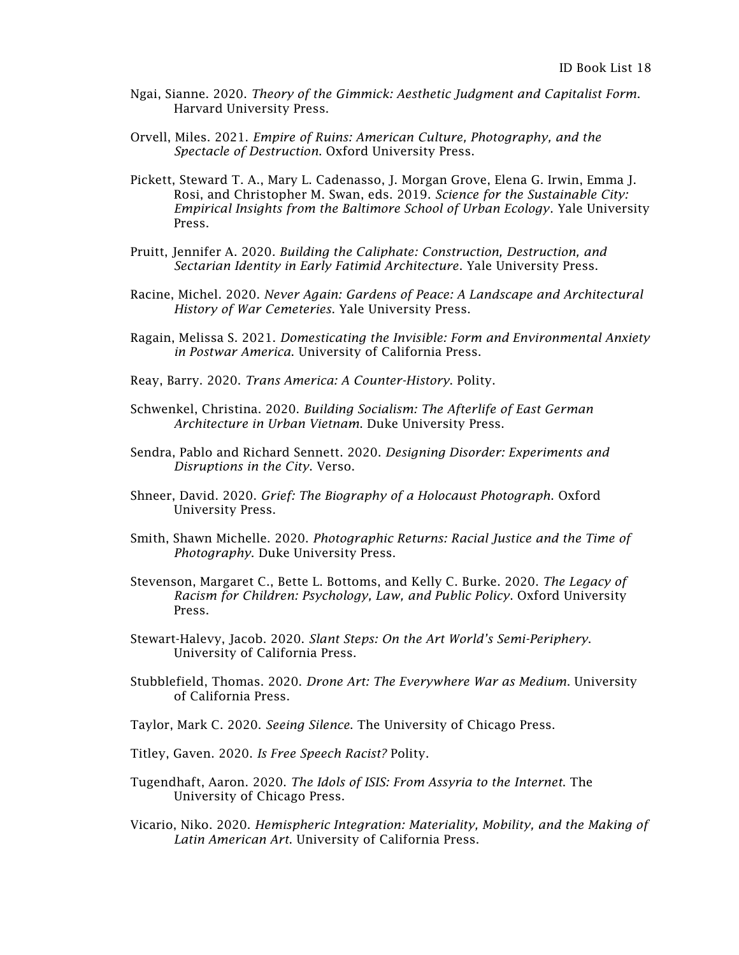- Ngai, Sianne. 2020. *Theory of the Gimmick: Aesthetic Judgment and Capitalist Form*. Harvard University Press.
- Orvell, Miles. 2021. *Empire of Ruins: American Culture, Photography, and the Spectacle of Destruction*. Oxford University Press.
- Pickett, Steward T. A., Mary L. Cadenasso, J. Morgan Grove, Elena G. Irwin, Emma J. Rosi, and Christopher M. Swan, eds. 2019. *Science for the Sustainable City: Empirical Insights from the Baltimore School of Urban Ecology*. Yale University Press.
- Pruitt, Jennifer A. 2020*. Building the Caliphate: Construction, Destruction, and Sectarian Identity in Early Fatimid Architecture*. Yale University Press.
- Racine, Michel. 2020. *Never Again: Gardens of Peace: A Landscape and Architectural History of War Cemeteries*. Yale University Press.
- Ragain, Melissa S. 2021. *Domesticating the Invisible: Form and Environmental Anxiety in Postwar America*. University of California Press.
- Reay, Barry. 2020. *Trans America: A Counter-History*. Polity.
- Schwenkel, Christina. 2020. *Building Socialism: The Afterlife of East German Architecture in Urban Vietnam*. Duke University Press.
- Sendra, Pablo and Richard Sennett. 2020. *Designing Disorder: Experiments and Disruptions in the City*. Verso.
- Shneer, David. 2020. *Grief: The Biography of a Holocaust Photograph*. Oxford University Press.
- Smith, Shawn Michelle. 2020. *Photographic Returns: Racial Justice and the Time of Photography*. Duke University Press.
- Stevenson, Margaret C., Bette L. Bottoms, and Kelly C. Burke. 2020. *The Legacy of Racism for Children: Psychology, Law, and Public Policy*. Oxford University Press.
- Stewart-Halevy, Jacob. 2020. *Slant Steps: On the Art World's Semi-Periphery*. University of California Press.
- Stubblefield, Thomas. 2020. *Drone Art: The Everywhere War as Medium*. University of California Press.
- Taylor, Mark C. 2020. *Seeing Silence*. The University of Chicago Press.
- Titley, Gaven. 2020. *Is Free Speech Racist?* Polity.
- Tugendhaft, Aaron. 2020. *The Idols of ISIS: From Assyria to the Internet*. The University of Chicago Press.
- Vicario, Niko. 2020. *Hemispheric Integration: Materiality, Mobility, and the Making of Latin American Art*. University of California Press.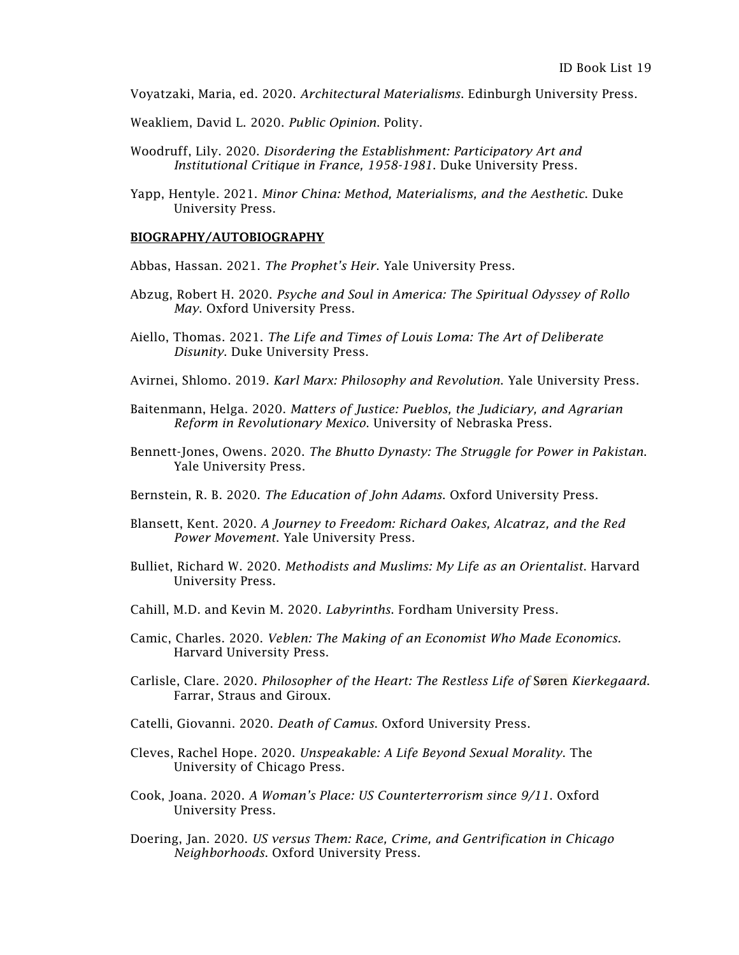Voyatzaki, Maria, ed. 2020. *Architectural Materialisms*. Edinburgh University Press.

Weakliem, David L. 2020. *Public Opinion*. Polity.

- Woodruff, Lily. 2020. *Disordering the Establishment: Participatory Art and Institutional Critique in France, 1958-1981*. Duke University Press.
- Yapp, Hentyle. 2021. *Minor China: Method, Materialisms, and the Aesthetic*. Duke University Press.

### BIOGRAPHY/AUTOBIOGRAPHY

Abbas, Hassan. 2021. *The Prophet's Heir*. Yale University Press.

- Abzug, Robert H. 2020. *Psyche and Soul in America: The Spiritual Odyssey of Rollo May*. Oxford University Press.
- Aiello, Thomas. 2021. *The Life and Times of Louis Loma: The Art of Deliberate Disunity*. Duke University Press.
- Avirnei, Shlomo. 2019. *Karl Marx: Philosophy and Revolution*. Yale University Press.
- Baitenmann, Helga. 2020. *Matters of Justice: Pueblos, the Judiciary, and Agrarian Reform in Revolutionary Mexico*. University of Nebraska Press.
- Bennett-Jones, Owens. 2020. *The Bhutto Dynasty: The Struggle for Power in Pakistan*. Yale University Press.
- Bernstein, R. B. 2020. *The Education of John Adams*. Oxford University Press.
- Blansett, Kent. 2020. *A Journey to Freedom: Richard Oakes, Alcatraz, and the Red Power Movement*. Yale University Press.
- Bulliet, Richard W. 2020. *Methodists and Muslims: My Life as an Orientalist*. Harvard University Press.
- Cahill, M.D. and Kevin M. 2020. *Labyrinths*. Fordham University Press.
- Camic, Charles. 2020. *Veblen: The Making of an Economist Who Made Economics.* Harvard University Press.
- Carlisle, Clare. 2020. *Philosopher of the Heart: The Restless Life of* Søren *Kierkegaard*. Farrar, Straus and Giroux.
- Catelli, Giovanni. 2020. *Death of Camus*. Oxford University Press.
- Cleves, Rachel Hope. 2020. *Unspeakable: A Life Beyond Sexual Morality*. The University of Chicago Press.
- Cook, Joana. 2020. *A Woman's Place: US Counterterrorism since 9/11*. Oxford University Press.
- Doering, Jan. 2020. *US versus Them: Race, Crime, and Gentrification in Chicago Neighborhoods*. Oxford University Press.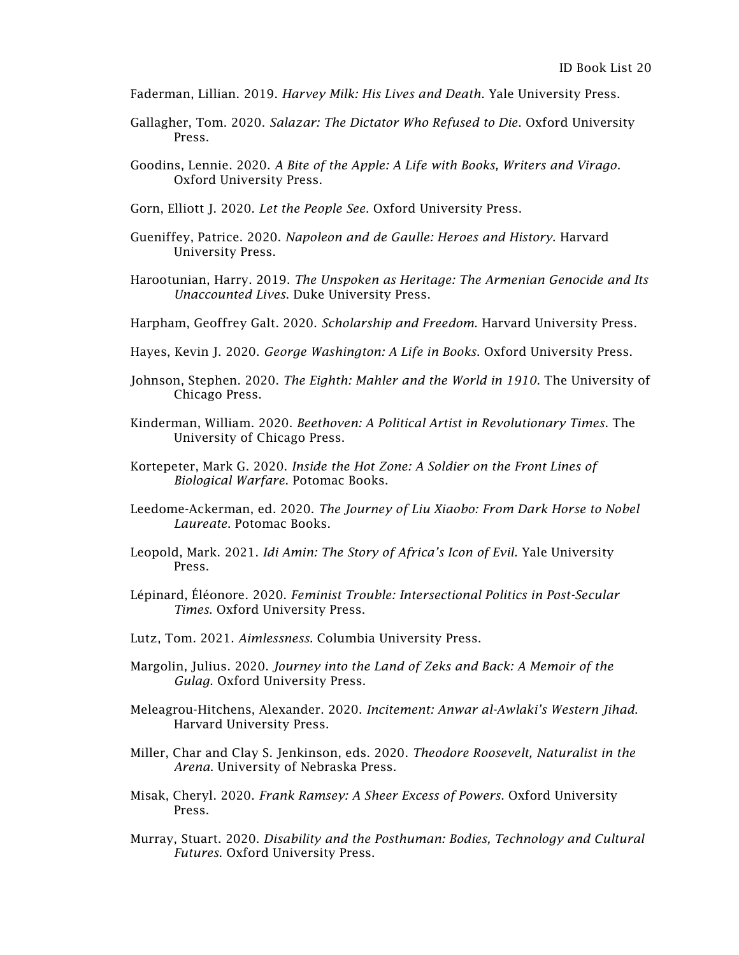- Faderman, Lillian. 2019. *Harvey Milk: His Lives and Death*. Yale University Press.
- Gallagher, Tom. 2020. *Salazar: The Dictator Who Refused to Die*. Oxford University Press.
- Goodins, Lennie. 2020. *A Bite of the Apple: A Life with Books, Writers and Virago*. Oxford University Press.
- Gorn, Elliott J. 2020. *Let the People See*. Oxford University Press.
- Gueniffey, Patrice. 2020. *Napoleon and de Gaulle: Heroes and History*. Harvard University Press.
- Harootunian, Harry. 2019. *The Unspoken as Heritage: The Armenian Genocide and Its Unaccounted Lives*. Duke University Press.
- Harpham, Geoffrey Galt. 2020. *Scholarship and Freedom*. Harvard University Press.
- Hayes, Kevin J. 2020. *George Washington: A Life in Books*. Oxford University Press.
- Johnson, Stephen. 2020. *The Eighth: Mahler and the World in 1910*. The University of Chicago Press.
- Kinderman, William. 2020. *Beethoven: A Political Artist in Revolutionary Times*. The University of Chicago Press.
- Kortepeter, Mark G. 2020. *Inside the Hot Zone: A Soldier on the Front Lines of Biological Warfare*. Potomac Books.
- Leedome-Ackerman, ed. 2020. *The Journey of Liu Xiaobo: From Dark Horse to Nobel Laureate*. Potomac Books.
- Leopold, Mark. 2021. *Idi Amin: The Story of Africa's Icon of Evil*. Yale University Press.
- Lépinard, Éléonore. 2020. *Feminist Trouble: Intersectional Politics in Post-Secular Times*. Oxford University Press.
- Lutz, Tom. 2021. *Aimlessness*. Columbia University Press.
- Margolin, Julius. 2020. *Journey into the Land of Zeks and Back: A Memoir of the Gulag*. Oxford University Press.
- Meleagrou-Hitchens, Alexander. 2020. *Incitement: Anwar al-Awlaki's Western Jihad*. Harvard University Press.
- Miller, Char and Clay S. Jenkinson, eds. 2020. *Theodore Roosevelt, Naturalist in the Arena*. University of Nebraska Press.
- Misak, Cheryl. 2020. *Frank Ramsey: A Sheer Excess of Powers*. Oxford University Press.
- Murray, Stuart. 2020. *Disability and the Posthuman: Bodies, Technology and Cultural Futures*. Oxford University Press.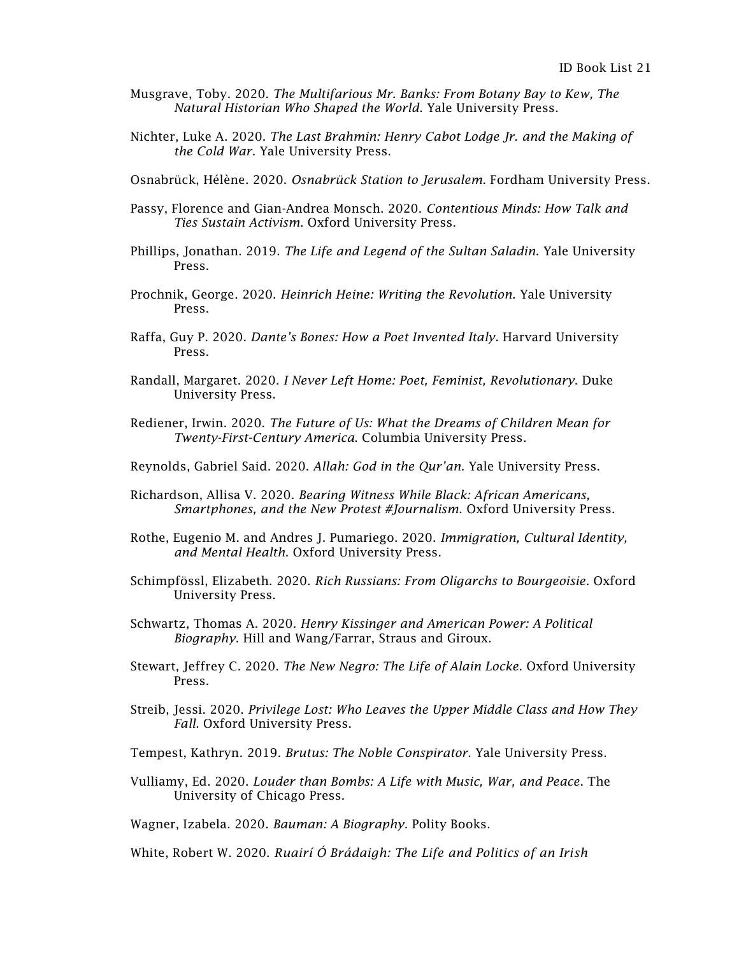- Musgrave, Toby. 2020. *The Multifarious Mr. Banks: From Botany Bay to Kew, The Natural Historian Who Shaped the World*. Yale University Press.
- Nichter, Luke A. 2020. *The Last Brahmin: Henry Cabot Lodge Jr. and the Making of the Cold War*. Yale University Press.
- Osnabrück, Hélène. 2020. *Osnabrück Station to Jerusalem*. Fordham University Press.
- Passy, Florence and Gian-Andrea Monsch. 2020. *Contentious Minds: How Talk and Ties Sustain Activism*. Oxford University Press.
- Phillips, Jonathan. 2019. *The Life and Legend of the Sultan Saladin*. Yale University Press.
- Prochnik, George. 2020. *Heinrich Heine: Writing the Revolution*. Yale University Press.
- Raffa, Guy P. 2020. *Dante's Bones: How a Poet Invented Italy*. Harvard University Press.
- Randall, Margaret. 2020. *I Never Left Home: Poet, Feminist, Revolutionary*. Duke University Press.
- Rediener, Irwin. 2020. *The Future of Us: What the Dreams of Children Mean for Twenty-First-Century America*. Columbia University Press.
- Reynolds, Gabriel Said. 2020. *Allah: God in the Qur'an*. Yale University Press.
- Richardson, Allisa V. 2020. *Bearing Witness While Black: African Americans, Smartphones, and the New Protest #Journalism*. Oxford University Press.
- Rothe, Eugenio M. and Andres J. Pumariego. 2020. *Immigration, Cultural Identity, and Mental Health*. Oxford University Press.
- Schimpfössl, Elizabeth. 2020. *Rich Russians: From Oligarchs to Bourgeoisie*. Oxford University Press.
- Schwartz, Thomas A. 2020. *Henry Kissinger and American Power: A Political Biography*. Hill and Wang/Farrar, Straus and Giroux.
- Stewart, Jeffrey C. 2020. *The New Negro: The Life of Alain Locke*. Oxford University Press.
- Streib, Jessi. 2020. *Privilege Lost: Who Leaves the Upper Middle Class and How They Fall*. Oxford University Press.
- Tempest, Kathryn. 2019. *Brutus: The Noble Conspirator*. Yale University Press.
- Vulliamy, Ed. 2020. *Louder than Bombs: A Life with Music, War, and Peace*. The University of Chicago Press.

Wagner, Izabela. 2020. *Bauman: A Biography*. Polity Books.

White, Robert W. 2020. *Ruairí Ó Brádaigh: The Life and Politics of an Irish*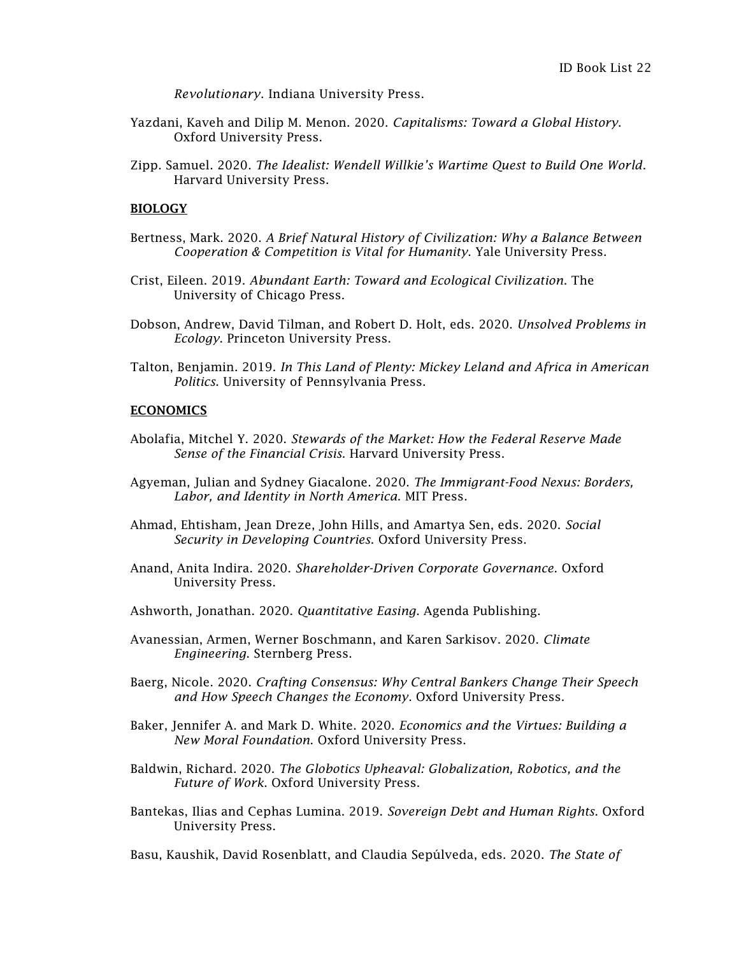*Revolutionary*. Indiana University Press.

- Yazdani, Kaveh and Dilip M. Menon. 2020. *Capitalisms: Toward a Global History*. Oxford University Press.
- Zipp. Samuel. 2020. *The Idealist: Wendell Willkie's Wartime Quest to Build One World*. Harvard University Press.

# BIOLOGY

- Bertness, Mark. 2020. *A Brief Natural History of Civilization: Why a Balance Between Cooperation & Competition is Vital for Humanity*. Yale University Press.
- Crist, Eileen. 2019. *Abundant Earth: Toward and Ecological Civilization*. The University of Chicago Press.
- Dobson, Andrew, David Tilman, and Robert D. Holt, eds. 2020. *Unsolved Problems in Ecology*. Princeton University Press.
- Talton, Benjamin. 2019. *In This Land of Plenty: Mickey Leland and Africa in American Politics*. University of Pennsylvania Press.

## **ECONOMICS**

- Abolafia, Mitchel Y. 2020. *Stewards of the Market: How the Federal Reserve Made Sense of the Financial Crisis*. Harvard University Press.
- Agyeman, Julian and Sydney Giacalone. 2020. *The Immigrant-Food Nexus: Borders, Labor, and Identity in North America*. MIT Press.
- Ahmad, Ehtisham, Jean Dreze, John Hills, and Amartya Sen, eds. 2020. *Social Security in Developing Countries*. Oxford University Press.
- Anand, Anita Indira. 2020. *Shareholder-Driven Corporate Governance*. Oxford University Press.
- Ashworth, Jonathan. 2020. *Quantitative Easing*. Agenda Publishing.
- Avanessian, Armen, Werner Boschmann, and Karen Sarkisov. 2020. *Climate Engineering*. Sternberg Press.
- Baerg, Nicole. 2020. *Crafting Consensus: Why Central Bankers Change Their Speech and How Speech Changes the Economy*. Oxford University Press.
- Baker, Jennifer A. and Mark D. White. 2020. *Economics and the Virtues: Building a New Moral Foundation*. Oxford University Press.
- Baldwin, Richard. 2020. *The Globotics Upheaval: Globalization, Robotics, and the Future of Work*. Oxford University Press.
- Bantekas, Ilias and Cephas Lumina. 2019. *Sovereign Debt and Human Rights*. Oxford University Press.

Basu, Kaushik, David Rosenblatt, and Claudia Sepúlveda, eds. 2020. *The State of*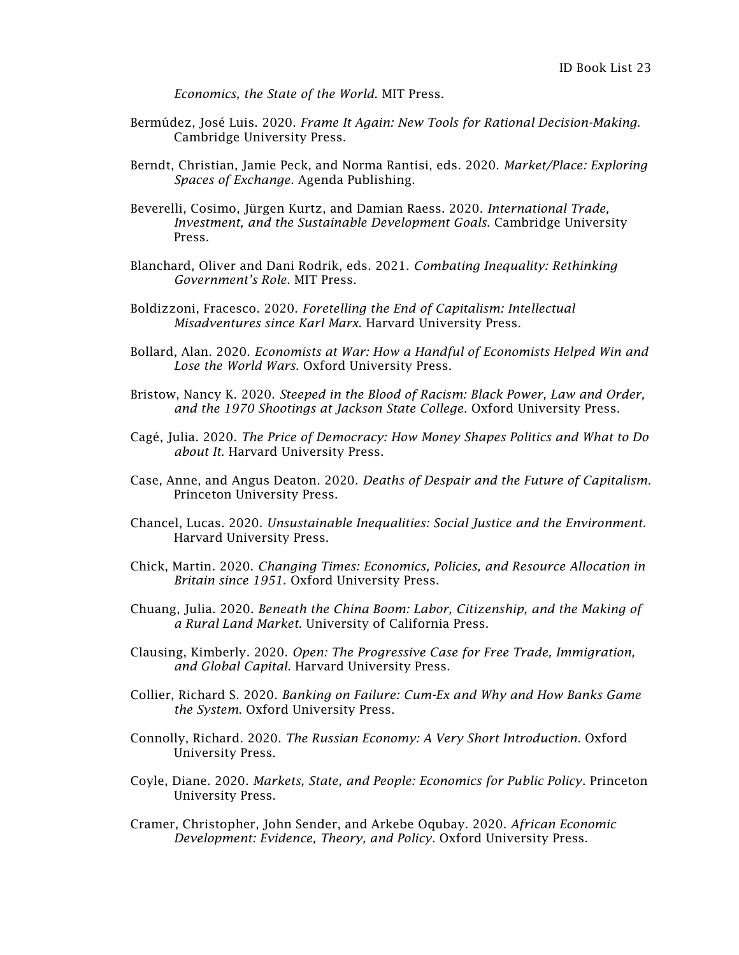*Economics, the State of the World*. MIT Press.

- Bermúdez, José Luis. 2020. *Frame It Again: New Tools for Rational Decision-Making*. Cambridge University Press.
- Berndt, Christian, Jamie Peck, and Norma Rantisi, eds. 2020. *Market/Place: Exploring Spaces of Exchange*. Agenda Publishing.
- Beverelli, Cosimo, Jürgen Kurtz, and Damian Raess. 2020. *International Trade, Investment, and the Sustainable Development Goals*. Cambridge University Press.
- Blanchard, Oliver and Dani Rodrik, eds. 2021. *Combating Inequality: Rethinking Government's Role*. MIT Press.
- Boldizzoni, Fracesco. 2020. *Foretelling the End of Capitalism: Intellectual Misadventures since Karl Marx*. Harvard University Press.
- Bollard, Alan. 2020. *Economists at War: How a Handful of Economists Helped Win and Lose the World Wars*. Oxford University Press.
- Bristow, Nancy K. 2020. *Steeped in the Blood of Racism: Black Power, Law and Order, and the 1970 Shootings at Jackson State College*. Oxford University Press.
- [Cagé,](https://www.hup.harvard.edu/results-list.php?author=21796) Julia. 2020. *The Price of Democracy: How Money Shapes Politics and What to Do about It*. Harvard University Press.
- Case, Anne, and Angus Deaton. 2020. *Deaths of Despair and the Future of Capitalism*. Princeton University Press.
- Chancel, Lucas. 2020. *Unsustainable Inequalities: Social Justice and the Environment.*  Harvard University Press.
- Chick, Martin. 2020. *Changing Times: Economics, Policies, and Resource Allocation in Britain since 1951*. Oxford University Press.
- Chuang, Julia. 2020. *Beneath the China Boom: Labor, Citizenship, and the Making of a Rural Land Market*. University of California Press.
- Clausing, Kimberly. 2020. *Open: The Progressive Case for Free Trade, Immigration, and Global Capital*. Harvard University Press.
- Collier, Richard S. 2020. *Banking on Failure: Cum-Ex and Why and How Banks Game the System*. Oxford University Press.
- Connolly, Richard. 2020. *The Russian Economy: A Very Short Introduction*. Oxford University Press.
- Coyle, Diane. 2020. *Markets, State, and People: Economics for Public Policy*. Princeton University Press.
- Cramer, Christopher, John Sender, and Arkebe Oqubay. 2020. *African Economic Development: Evidence, Theory, and Policy*. Oxford University Press.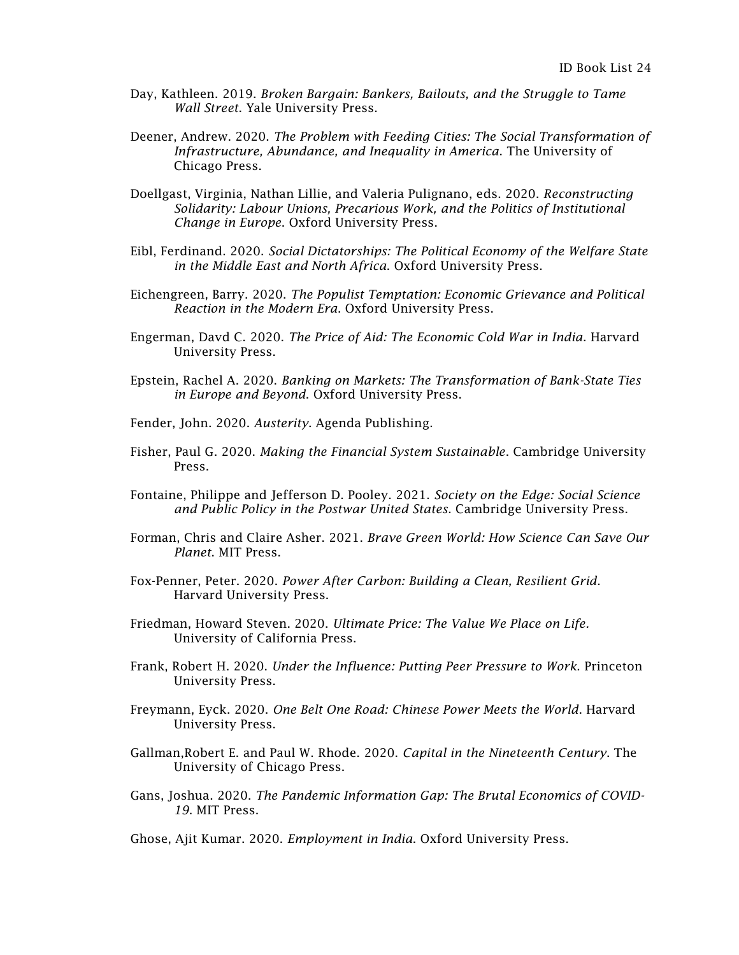- Day, Kathleen. 2019. *Broken Bargain: Bankers, Bailouts, and the Struggle to Tame Wall Street*. Yale University Press.
- Deener, Andrew. 2020. *The Problem with Feeding Cities: The Social Transformation of Infrastructure, Abundance, and Inequality in America*. The University of Chicago Press.
- Doellgast, Virginia, Nathan Lillie, and Valeria Pulignano, eds. 2020. *Reconstructing Solidarity: Labour Unions, Precarious Work, and the Politics of Institutional Change in Europe*. Oxford University Press.
- Eibl, Ferdinand. 2020. *Social Dictatorships: The Political Economy of the Welfare State in the Middle East and North Africa*. Oxford University Press.
- Eichengreen, Barry. 2020. *The Populist Temptation: Economic Grievance and Political Reaction in the Modern Era*. Oxford University Press.
- Engerman, Davd C. 2020. *The Price of Aid: The Economic Cold War in India*. Harvard University Press.
- Epstein, Rachel A. 2020. *Banking on Markets: The Transformation of Bank-State Ties in Europe and Beyond*. Oxford University Press.
- Fender, John. 2020. *Austerity*. Agenda Publishing.
- Fisher, Paul G. 2020. *Making the Financial System Sustainable*. Cambridge University Press.
- Fontaine, Philippe and Jefferson D. Pooley. 2021. *Society on the Edge: Social Science and Public Policy in the Postwar United States*. Cambridge University Press.
- Forman, Chris and Claire Asher. 2021. *Brave Green World: How Science Can Save Our Planet*. MIT Press.
- Fox-Penner, Peter. 2020. *Power After Carbon: Building a Clean, Resilient Grid*. Harvard University Press.
- Friedman, Howard Steven. 2020. *Ultimate Price: The Value We Place on Life.* University of California Press.
- Frank, Robert H. 2020. *Under the Influence: Putting Peer Pressure to Work*. Princeton University Press.
- Freymann, Eyck. 2020. *One Belt One Road: Chinese Power Meets the World*. Harvard University Press.
- Gallman,Robert E. and Paul W. Rhode. 2020. *Capital in the Nineteenth Century*. The University of Chicago Press.
- Gans, Joshua. 2020. *The Pandemic Information Gap: The Brutal Economics of COVID-19*. MIT Press.

Ghose, Ajit Kumar. 2020. *Employment in India*. Oxford University Press.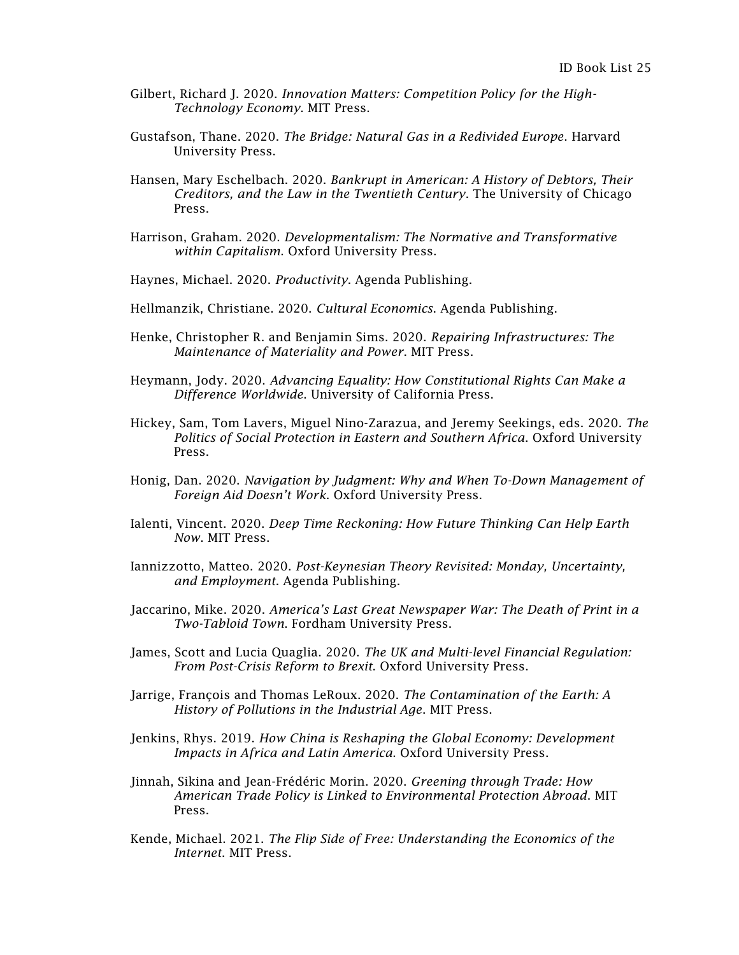- Gilbert, Richard J. 2020. *Innovation Matters: Competition Policy for the High-Technology Economy*. MIT Press.
- Gustafson, Thane. 2020. *The Bridge: Natural Gas in a Redivided Europe*. Harvard University Press.
- Hansen, Mary Eschelbach. 2020. *Bankrupt in American: A History of Debtors, Their Creditors, and the Law in the Twentieth Century*. The University of Chicago Press.
- Harrison, Graham. 2020. *Developmentalism: The Normative and Transformative within Capitalism*. Oxford University Press.
- Haynes, Michael. 2020. *Productivity*. Agenda Publishing.
- Hellmanzik, Christiane. 2020. *Cultural Economics*. Agenda Publishing.
- Henke, Christopher R. and Benjamin Sims. 2020. *Repairing Infrastructures: The Maintenance of Materiality and Power*. MIT Press.
- Heymann, Jody. 2020. *Advancing Equality: How Constitutional Rights Can Make a Difference Worldwide*. University of California Press.
- Hickey, Sam, Tom Lavers, Miguel Nino-Zarazua, and Jeremy Seekings, eds. 2020. *The Politics of Social Protection in Eastern and Southern Africa*. Oxford University Press.
- Honig, Dan. 2020. *Navigation by Judgment: Why and When To-Down Management of Foreign Aid Doesn't Work*. Oxford University Press.
- Ialenti, Vincent. 2020. *Deep Time Reckoning: How Future Thinking Can Help Earth Now*. MIT Press.
- Iannizzotto, Matteo. 2020. *Post-Keynesian Theory Revisited: Monday, Uncertainty, and Employment*. Agenda Publishing.
- Jaccarino, Mike. 2020. *America's Last Great Newspaper War: The Death of Print in a Two-Tabloid Town*. Fordham University Press.
- James, Scott and Lucia Quaglia. 2020. *The UK and Multi-level Financial Regulation: From Post-Crisis Reform to Brexit*. Oxford University Press.
- Jarrige, François and Thomas LeRoux. 2020. *The Contamination of the Earth: A History of Pollutions in the Industrial Age*. MIT Press.
- Jenkins, Rhys. 2019. *How China is Reshaping the Global Economy: Development Impacts in Africa and Latin America*. Oxford University Press.
- Jinnah, Sikina and Jean-Frédéric Morin. 2020. *Greening through Trade: How American Trade Policy is Linked to Environmental Protection Abroad*. MIT Press.
- Kende, Michael. 2021. *The Flip Side of Free: Understanding the Economics of the Internet*. MIT Press.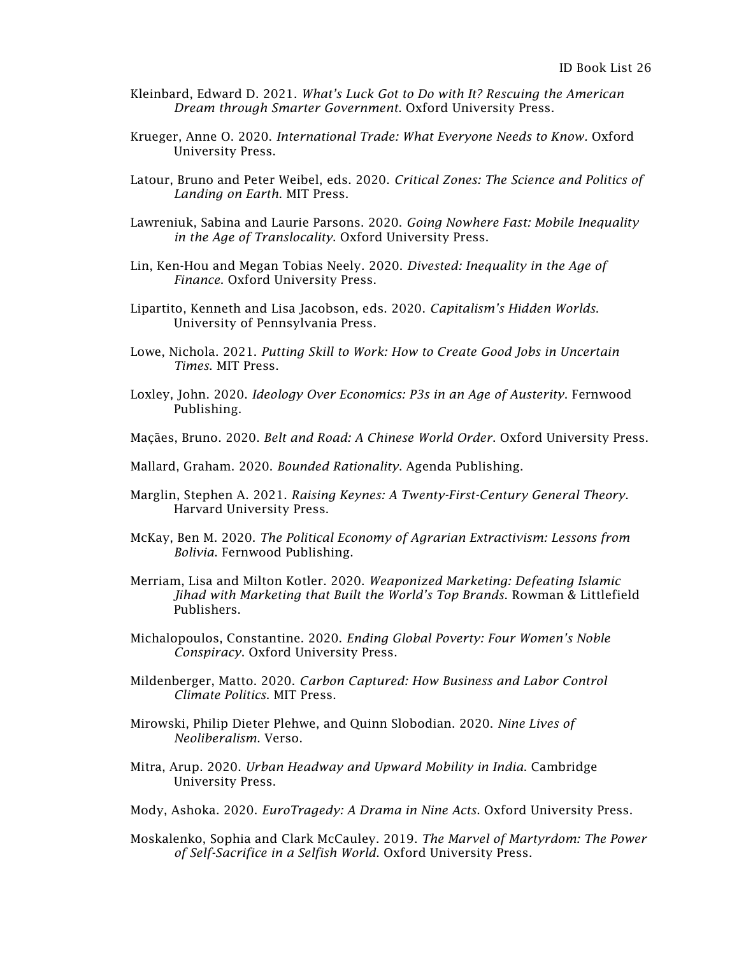- Kleinbard, Edward D. 2021. *What's Luck Got to Do with It? Rescuing the American Dream through Smarter Government*. Oxford University Press.
- Krueger, Anne O. 2020. *International Trade: What Everyone Needs to Know.* Oxford University Press.
- Latour, Bruno and Peter Weibel, eds. 2020. *Critical Zones: The Science and Politics of Landing on Earth*. MIT Press.
- Lawreniuk, Sabina and Laurie Parsons. 2020. *Going Nowhere Fast: Mobile Inequality in the Age of Translocality*. Oxford University Press.
- Lin, Ken-Hou and Megan Tobias Neely. 2020. *Divested: Inequality in the Age of Finance*. Oxford University Press.
- Lipartito, Kenneth and Lisa Jacobson, eds. 2020. *Capitalism's Hidden Worlds*. University of Pennsylvania Press.
- Lowe, Nichola. 2021. *Putting Skill to Work: How to Create Good Jobs in Uncertain Times*. MIT Press.
- Loxley, John. 2020. *Ideology Over Economics: P3s in an Age of Austerity*. Fernwood Publishing.
- Maçães, Bruno. 2020. *Belt and Road: A Chinese World Order*. Oxford University Press.
- Mallard, Graham. 2020. *Bounded Rationality*. Agenda Publishing.
- Marglin, Stephen A. 2021. *Raising Keynes: A Twenty-First-Century General Theory*. Harvard University Press.
- McKay, Ben M. 2020. *The Political Economy of Agrarian Extractivism: Lessons from Bolivia*. Fernwood Publishing.
- Merriam, Lisa and Milton Kotler. 2020. *Weaponized Marketing: Defeating Islamic Jihad with Marketing that Built the World's Top Brands*. Rowman & Littlefield Publishers.
- Michalopoulos, Constantine. 2020. *Ending Global Poverty: Four Women's Noble Conspiracy*. Oxford University Press.
- Mildenberger, Matto. 2020. *Carbon Captured: How Business and Labor Control Climate Politics*. MIT Press.
- Mirowski, Philip Dieter Plehwe, and Quinn Slobodian. 2020. *Nine Lives of Neoliberalism*. Verso.
- Mitra, Arup. 2020. *Urban Headway and Upward Mobility in India*. Cambridge University Press.
- Mody, Ashoka. 2020. *EuroTragedy: A Drama in Nine Acts*. Oxford University Press.
- Moskalenko, Sophia and Clark McCauley. 2019. *The Marvel of Martyrdom: The Power of Self-Sacrifice in a Selfish World*. Oxford University Press.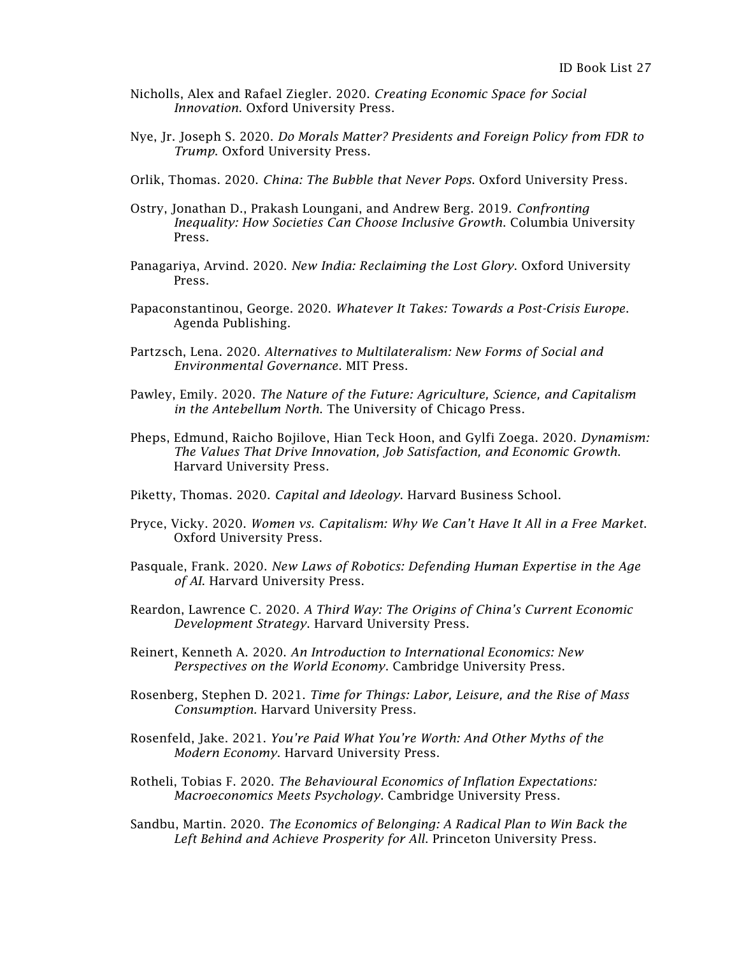- Nicholls, Alex and Rafael Ziegler. 2020. *Creating Economic Space for Social Innovation*. Oxford University Press.
- Nye, Jr. Joseph S. 2020. *Do Morals Matter? Presidents and Foreign Policy from FDR to Trump*. Oxford University Press.
- Orlik, Thomas. 2020. *China: The Bubble that Never Pops*. Oxford University Press.
- Ostry, Jonathan D., Prakash Loungani, and Andrew Berg. 2019. *Confronting Inequality: How Societies Can Choose Inclusive Growth*. Columbia University Press.
- Panagariya, Arvind. 2020. *New India: Reclaiming the Lost Glory*. Oxford University Press.
- Papaconstantinou, George. 2020. *Whatever It Takes: Towards a Post-Crisis Europe*. Agenda Publishing.
- Partzsch, Lena. 2020. *Alternatives to Multilateralism: New Forms of Social and Environmental Governance*. MIT Press.
- Pawley, Emily. 2020. *The Nature of the Future: Agriculture, Science, and Capitalism in the Antebellum North*. The University of Chicago Press.
- Pheps, Edmund, Raicho Bojilove, Hian Teck Hoon, and Gylfi Zoega. 2020. *Dynamism: The Values That Drive Innovation, Job Satisfaction, and Economic Growth*. Harvard University Press.
- Piketty, Thomas. 2020. *Capital and Ideology*. Harvard Business School.
- Pryce, Vicky. 2020. *Women vs. Capitalism: Why We Can't Have It All in a Free Market*. Oxford University Press.
- Pasquale, Frank. 2020. *New Laws of Robotics: Defending Human Expertise in the Age of AI*. Harvard University Press.
- Reardon, Lawrence C. 2020. *A Third Way: The Origins of China's Current Economic Development Strategy*. Harvard University Press.
- Reinert, Kenneth A. 2020. *An Introduction to International Economics: New Perspectives on the World Economy*. Cambridge University Press.
- Rosenberg, Stephen D. 2021. *Time for Things: Labor, Leisure, and the Rise of Mass Consumption.* Harvard University Press.
- Rosenfeld, Jake. 2021. *You're Paid What You're Worth: And Other Myths of the Modern Economy*. Harvard University Press.
- Rotheli, Tobias F. 2020. *The Behavioural Economics of Inflation Expectations: Macroeconomics Meets Psychology*. Cambridge University Press.
- Sandbu, Martin. 2020. *The Economics of Belonging: A Radical Plan to Win Back the Left Behind and Achieve Prosperity for All*. Princeton University Press.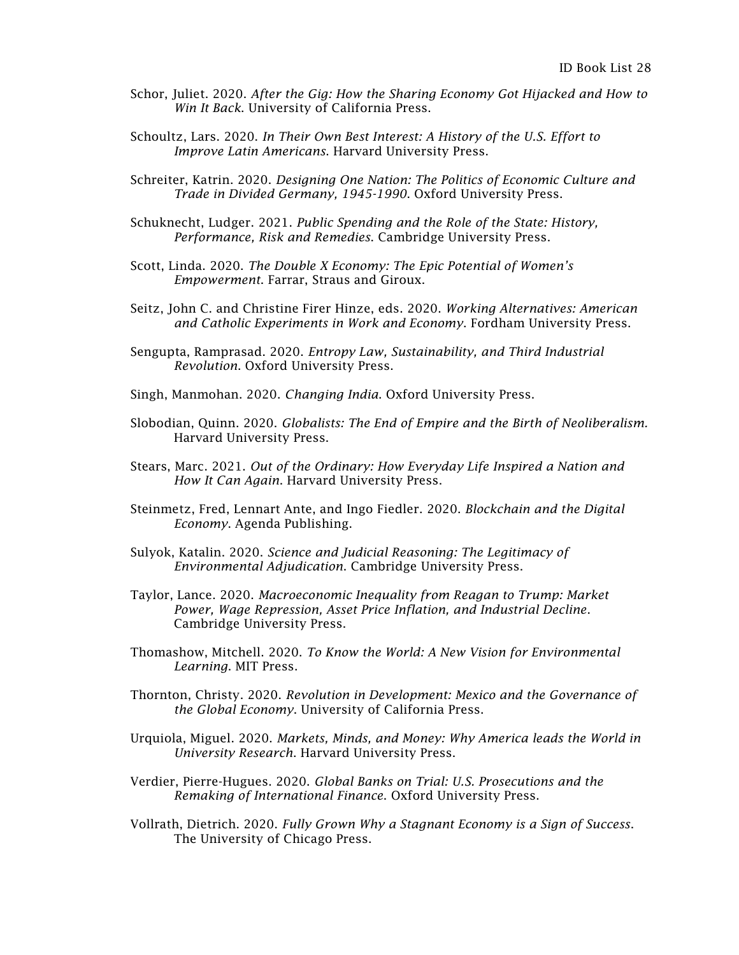- Schor, Juliet. 2020. *After the Gig: How the Sharing Economy Got Hijacked and How to Win It Back*. University of California Press.
- Schoultz, Lars. 2020. *In Their Own Best Interest: A History of the U.S. Effort to Improve Latin Americans*. Harvard University Press.
- Schreiter, Katrin. 2020. *Designing One Nation: The Politics of Economic Culture and Trade in Divided Germany, 1945-1990*. Oxford University Press.
- Schuknecht, Ludger. 2021. *Public Spending and the Role of the State: History, Performance, Risk and Remedies*. Cambridge University Press.
- Scott, Linda. 2020. *The Double X Economy: The Epic Potential of Women's Empowerment*. Farrar, Straus and Giroux.
- Seitz, John C. and Christine Firer Hinze, eds. 2020. *Working Alternatives: American and Catholic Experiments in Work and Economy*. Fordham University Press.
- Sengupta, Ramprasad. 2020. *Entropy Law, Sustainability, and Third Industrial Revolution*. Oxford University Press.
- Singh, Manmohan. 2020. *Changing India*. Oxford University Press.
- Slobodian, Quinn. 2020. *Globalists: The End of Empire and the Birth of Neoliberalism.*  Harvard University Press.
- Stears, Marc. 2021. *Out of the Ordinary: How Everyday Life Inspired a Nation and How It Can Again*. Harvard University Press.
- Steinmetz, Fred, Lennart Ante, and Ingo Fiedler. 2020. *Blockchain and the Digital Economy*. Agenda Publishing.
- Sulyok, Katalin. 2020. *Science and Judicial Reasoning: The Legitimacy of Environmental Adjudication*. Cambridge University Press.
- Taylor, Lance. 2020. *Macroeconomic Inequality from Reagan to Trump: Market Power, Wage Repression, Asset Price Inflation, and Industrial Decline*. Cambridge University Press.
- Thomashow, Mitchell. 2020. *To Know the World: A New Vision for Environmental Learning*. MIT Press.
- Thornton, Christy. 2020. *Revolution in Development: Mexico and the Governance of the Global Economy*. University of California Press.
- Urquiola, Miguel. 2020. *Markets, Minds, and Money: Why America leads the World in University Research*. Harvard University Press.
- Verdier, Pierre-Hugues. 2020. *Global Banks on Trial: U.S. Prosecutions and the Remaking of International Finance*. Oxford University Press.
- Vollrath, Dietrich. 2020. *Fully Grown Why a Stagnant Economy is a Sign of Success*. The University of Chicago Press.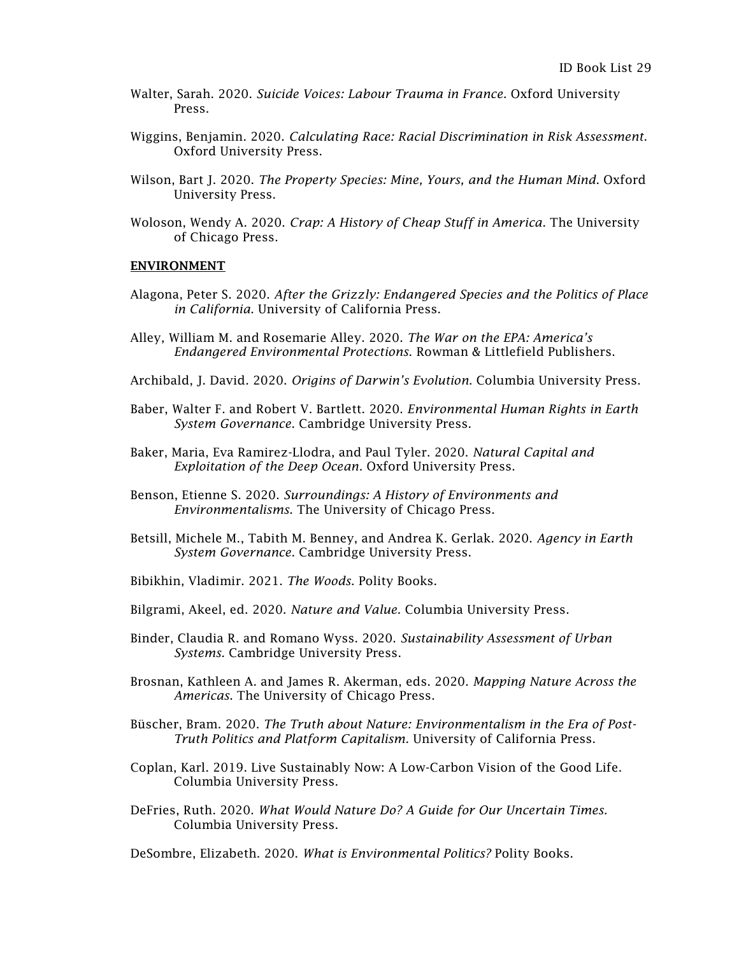- Walter, Sarah. 2020. *Suicide Voices: Labour Trauma in France*. Oxford University Press.
- Wiggins, Benjamin. 2020. *Calculating Race: Racial Discrimination in Risk Assessment*. Oxford University Press.
- Wilson, Bart J. 2020. *The Property Species: Mine, Yours, and the Human Mind*. Oxford University Press.
- Woloson, Wendy A. 2020. *Crap: A History of Cheap Stuff in America*. The University of Chicago Press.

#### ENVIRONMENT

- Alagona, Peter S. 2020. *After the Grizzly: Endangered Species and the Politics of Place in California*. University of California Press.
- Alley, William M. and Rosemarie Alley. 2020. *The War on the EPA: America's Endangered Environmental Protections*. Rowman & Littlefield Publishers.
- Archibald, J. David. 2020. *Origins of Darwin's Evolution*. Columbia University Press.
- Baber, Walter F. and Robert V. Bartlett. 2020. *Environmental Human Rights in Earth System Governance*. Cambridge University Press.
- Baker, Maria, Eva Ramirez-Llodra, and Paul Tyler. 2020. *Natural Capital and Exploitation of the Deep Ocean*. Oxford University Press.
- Benson, Etienne S. 2020. *Surroundings: A History of Environments and Environmentalisms*. The University of Chicago Press.
- Betsill, Michele M., Tabith M. Benney, and Andrea K. Gerlak. 2020. *Agency in Earth System Governance*. Cambridge University Press.
- Bibikhin, Vladimir. 2021. *The Woods*. Polity Books.
- Bilgrami, Akeel, ed. 2020. *Nature and Value*. Columbia University Press.
- Binder, Claudia R. and Romano Wyss. 2020. *Sustainability Assessment of Urban Systems.* Cambridge University Press.
- Brosnan, Kathleen A. and James R. Akerman, eds. 2020. *Mapping Nature Across the Americas*. The University of Chicago Press.
- Büscher, Bram. 2020. *The Truth about Nature: Environmentalism in the Era of Post-Truth Politics and Platform Capitalism*. University of California Press.
- Coplan, Karl. 2019. Live Sustainably Now: A Low-Carbon Vision of the Good Life. Columbia University Press.
- DeFries, Ruth. 2020. *What Would Nature Do? A Guide for Our Uncertain Times.* Columbia University Press.
- DeSombre, Elizabeth. 2020. *What is Environmental Politics?* Polity Books.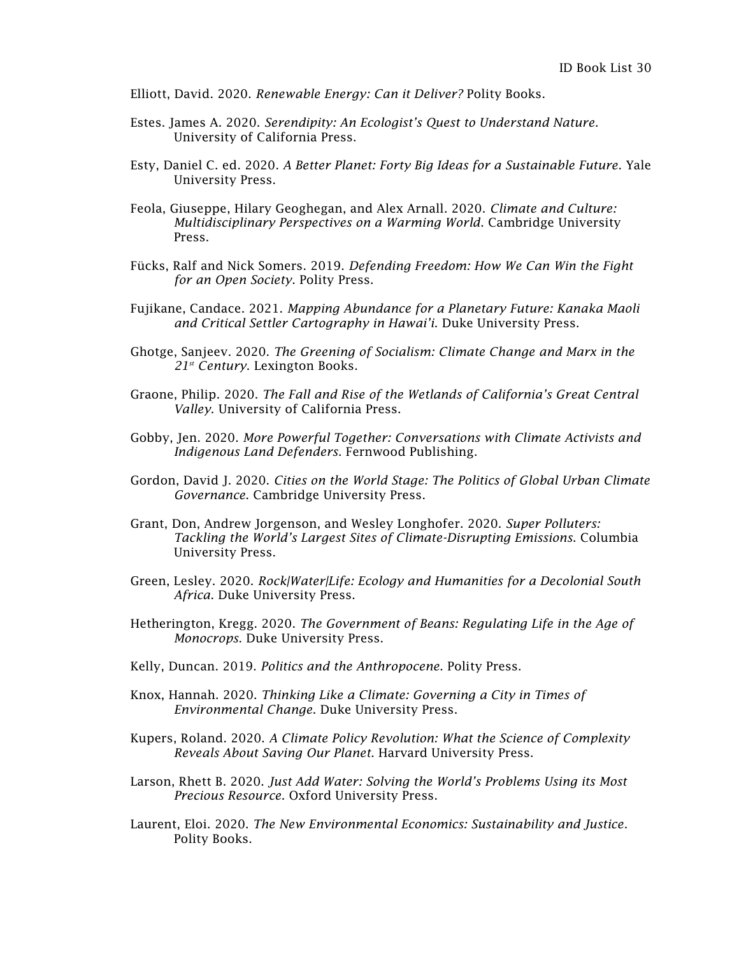Elliott, David. 2020. *Renewable Energy: Can it Deliver?* Polity Books.

- Estes. James A. 2020. *Serendipity: An Ecologist's Quest to Understand Nature*. University of California Press.
- Esty, Daniel C. ed. 2020. *A Better Planet: Forty Big Ideas for a Sustainable Future*. Yale University Press.
- Feola, Giuseppe, Hilary Geoghegan, and Alex Arnall. 2020. *Climate and Culture: Multidisciplinary Perspectives on a Warming World*. Cambridge University Press.
- Fücks, Ralf and Nick Somers. 2019. *Defending Freedom: How We Can Win the Fight for an Open Society*. Polity Press.
- Fujikane, Candace. 2021. *Mapping Abundance for a Planetary Future: Kanaka Maoli and Critical Settler Cartography in Hawai'i*. Duke University Press.
- Ghotge, Sanjeev. 2020. *The Greening of Socialism: Climate Change and Marx in the 21st Century*. Lexington Books.
- Graone, Philip. 2020. *The Fall and Rise of the Wetlands of California's Great Central Valley*. University of California Press.
- Gobby, Jen. 2020. *More Powerful Together: Conversations with Climate Activists and Indigenous Land Defenders*. Fernwood Publishing.
- Gordon, David J. 2020. *Cities on the World Stage: The Politics of Global Urban Climate Governance*. Cambridge University Press.
- Grant, Don, Andrew Jorgenson, and Wesley Longhofer. 2020. *Super Polluters: Tackling the World's Largest Sites of Climate-Disrupting Emissions*. Columbia University Press.
- Green, Lesley. 2020. *Rock|Water|Life: Ecology and Humanities for a Decolonial South Africa*. Duke University Press.
- Hetherington, Kregg. 2020. *The Government of Beans: Regulating Life in the Age of Monocrops*. Duke University Press.
- Kelly, Duncan. 2019. *Politics and the Anthropocene*. Polity Press.
- Knox, Hannah. 2020. *Thinking Like a Climate: Governing a City in Times of Environmental Change*. Duke University Press.
- Kupers, Roland. 2020. *A Climate Policy Revolution: What the Science of Complexity Reveals About Saving Our Planet*. Harvard University Press.
- Larson, Rhett B. 2020. *Just Add Water: Solving the World's Problems Using its Most Precious Resource*. Oxford University Press.
- Laurent, Eloi. 2020. *The New Environmental Economics: Sustainability and Justice*. Polity Books.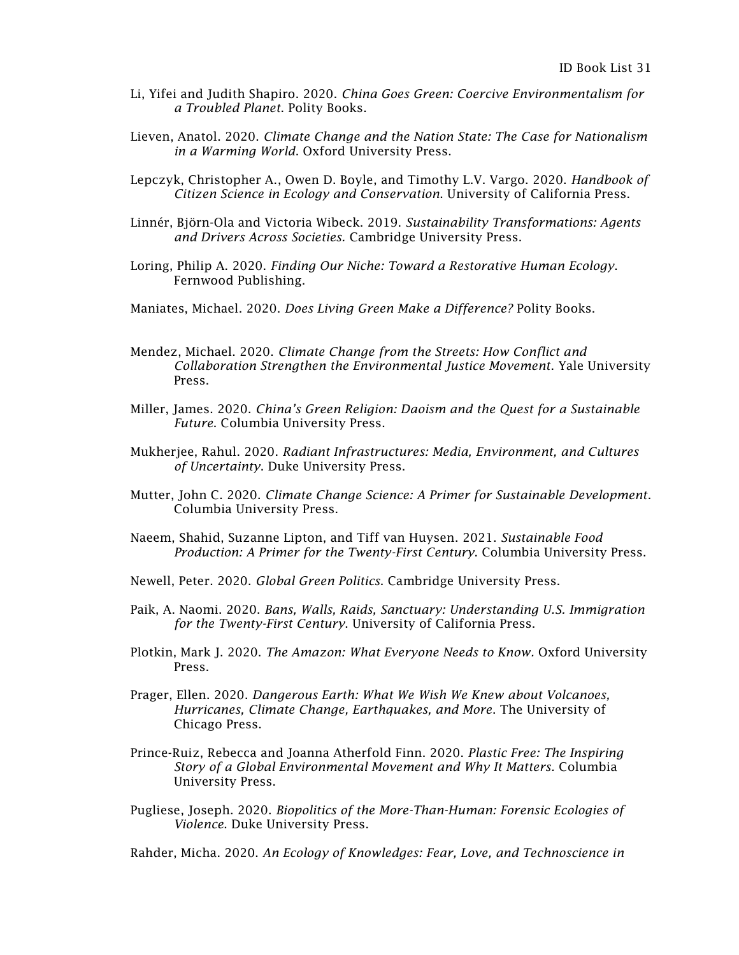- Li, Yifei and Judith Shapiro. 2020. *China Goes Green: Coercive Environmentalism for a Troubled Planet*. Polity Books.
- Lieven, Anatol. 2020. *Climate Change and the Nation State: The Case for Nationalism in a Warming World*. Oxford University Press.
- Lepczyk, Christopher A., Owen D. Boyle, and Timothy L.V. Vargo. 2020. *Handbook of Citizen Science in Ecology and Conservation*. University of California Press.
- Linnér, Björn-Ola and Victoria Wibeck. 2019. *Sustainability Transformations: Agents and Drivers Across Societies.* Cambridge University Press.
- Loring, Philip A. 2020. *Finding Our Niche: Toward a Restorative Human Ecology*. Fernwood Publishing.
- Maniates, Michael. 2020. *Does Living Green Make a Difference?* Polity Books.
- Mendez, Michael. 2020. *Climate Change from the Streets: How Conflict and Collaboration Strengthen the Environmental Justice Movement*. Yale University Press.
- Miller, James. 2020. *China's Green Religion: Daoism and the Quest for a Sustainable Future*. Columbia University Press.
- Mukherjee, Rahul. 2020. *Radiant Infrastructures: Media, Environment, and Cultures of Uncertainty*. Duke University Press.
- Mutter, John C. 2020. *Climate Change Science: A Primer for Sustainable Development*. Columbia University Press.
- Naeem, Shahid, Suzanne Lipton, and Tiff van Huysen. 2021. *Sustainable Food Production: A Primer for the Twenty-First Century*. Columbia University Press.
- Newell, Peter. 2020. *Global Green Politics*. Cambridge University Press.
- Paik, A. Naomi. 2020. *Bans, Walls, Raids, Sanctuary: Understanding U.S. Immigration for the Twenty-First Century*. University of California Press.
- Plotkin, Mark J. 2020. *The Amazon: What Everyone Needs to Know.* Oxford University Press.
- Prager, Ellen. 2020. *Dangerous Earth: What We Wish We Knew about Volcanoes, Hurricanes, Climate Change, Earthquakes, and More*. The University of Chicago Press.
- Prince-Ruiz, Rebecca and Joanna Atherfold Finn. 2020. *Plastic Free: The Inspiring Story of a Global Environmental Movement and Why It Matters.* Columbia University Press.
- Pugliese, Joseph. 2020. *Biopolitics of the More-Than-Human: Forensic Ecologies of Violence*. Duke University Press.

Rahder, Micha. 2020. *An Ecology of Knowledges: Fear, Love, and Technoscience in*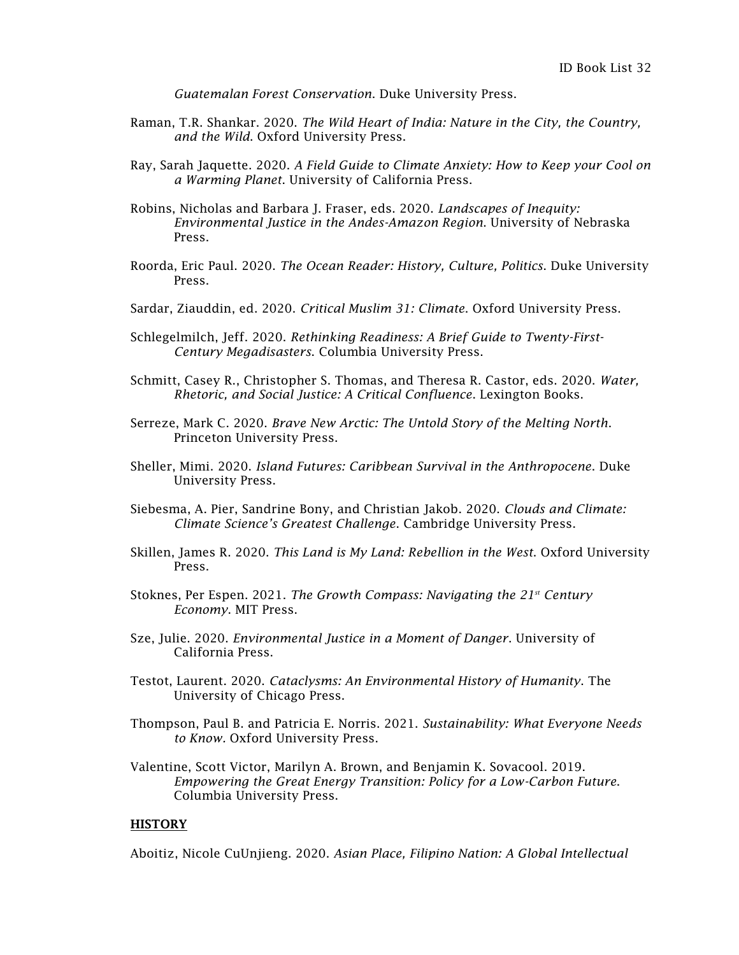*Guatemalan Forest Conservation*. Duke University Press.

- Raman, T.R. Shankar. 2020. *The Wild Heart of India: Nature in the City, the Country, and the Wild*. Oxford University Press.
- Ray, Sarah Jaquette. 2020. *A Field Guide to Climate Anxiety: How to Keep your Cool on a Warming Planet*. University of California Press.
- Robins, Nicholas and Barbara J. Fraser, eds. 2020. *Landscapes of Inequity: Environmental Justice in the Andes-Amazon Region*. University of Nebraska Press.
- Roorda, Eric Paul. 2020. *The Ocean Reader: History, Culture, Politics*. Duke University Press.
- Sardar, Ziauddin, ed. 2020. *Critical Muslim 31: Climate*. Oxford University Press.
- Schlegelmilch, Jeff. 2020. *Rethinking Readiness: A Brief Guide to Twenty-First-Century Megadisasters*. Columbia University Press.
- Schmitt, Casey R., Christopher S. Thomas, and Theresa R. Castor, eds. 2020. *Water, Rhetoric, and Social Justice: A Critical Confluence*. Lexington Books.
- Serreze, Mark C. 2020. *Brave New Arctic: The Untold Story of the Melting North*. Princeton University Press.
- Sheller, Mimi. 2020. *Island Futures: Caribbean Survival in the Anthropocene*. Duke University Press.
- Siebesma, A. Pier, Sandrine Bony, and Christian Jakob. 2020. *Clouds and Climate: Climate Science's Greatest Challenge*. Cambridge University Press.
- Skillen, James R. 2020. *This Land is My Land: Rebellion in the West*. Oxford University Press.
- Stoknes, Per Espen. 2021. *The Growth Compass: Navigating the 21st Century Economy*. MIT Press.
- Sze, Julie. 2020. *Environmental Justice in a Moment of Danger*. University of California Press.
- Testot, Laurent. 2020. *Cataclysms: An Environmental History of Humanity*. The University of Chicago Press.
- Thompson, Paul B. and Patricia E. Norris. 2021. *Sustainability: What Everyone Needs to Know.* Oxford University Press.
- Valentine, Scott Victor, Marilyn A. Brown, and Benjamin K. Sovacool. 2019. *Empowering the Great Energy Transition: Policy for a Low-Carbon Future*. Columbia University Press.

## **HISTORY**

Aboitiz, Nicole CuUnjieng. 2020. *Asian Place, Filipino Nation: A Global Intellectual*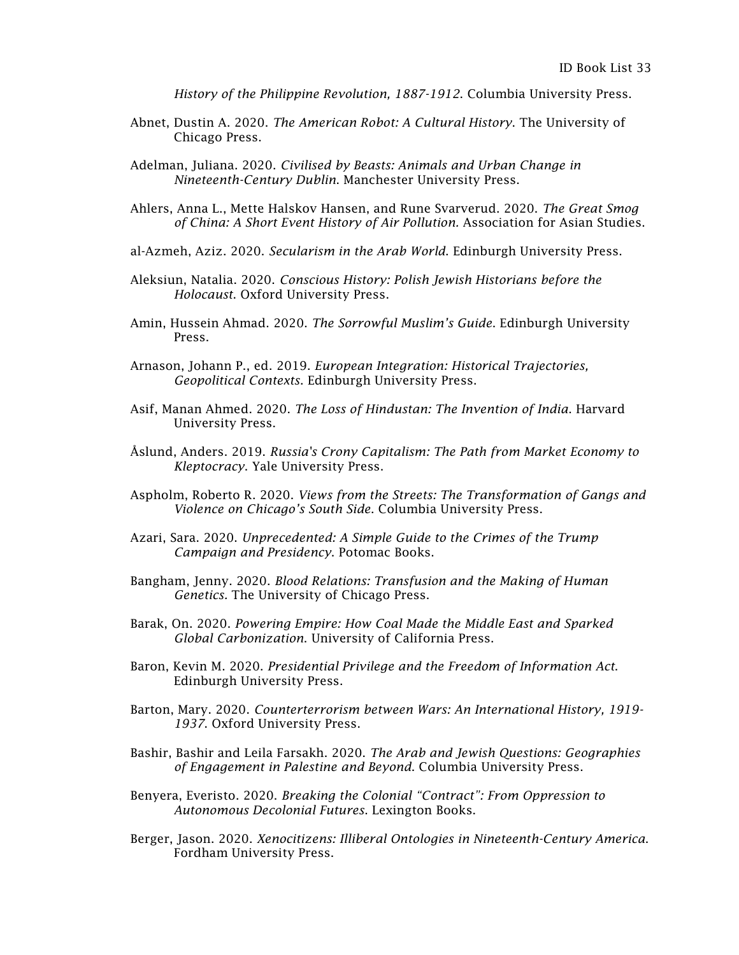*History of the Philippine Revolution, 1887-1912*. Columbia University Press.

- Abnet, Dustin A. 2020. *The American Robot: A Cultural History*. The University of Chicago Press.
- Adelman, Juliana. 2020. *Civilised by Beasts: Animals and Urban Change in Nineteenth-Century Dublin*. Manchester University Press.
- Ahlers, Anna L., Mette Halskov Hansen, and Rune Svarverud. 2020. *The Great Smog of China: A Short Event History of Air Pollution.* Association for Asian Studies.
- al-Azmeh, Aziz. 2020. *Secularism in the Arab World*. Edinburgh University Press.
- Aleksiun, Natalia. 2020. *Conscious History: Polish Jewish Historians before the Holocaust*. Oxford University Press.
- Amin, Hussein Ahmad. 2020. *The Sorrowful Muslim's Guide*. Edinburgh University Press.
- Arnason, Johann P., ed. 2019. *European Integration: Historical Trajectories, Geopolitical Contexts*. Edinburgh University Press.
- Asif, Manan Ahmed. 2020. *The Loss of Hindustan: The Invention of India*. Harvard University Press.
- Åslund, Anders. 2019. *Russia's Crony Capitalism: The Path from Market Economy to Kleptocracy*. Yale University Press.
- Aspholm, Roberto R. 2020. *Views from the Streets: The Transformation of Gangs and Violence on Chicago's South Side*. Columbia University Press.
- Azari, Sara. 2020. *Unprecedented: A Simple Guide to the Crimes of the Trump Campaign and Presidency*. Potomac Books.
- Bangham, Jenny. 2020. *Blood Relations: Transfusion and the Making of Human Genetics.* The University of Chicago Press.
- Barak, On. 2020. *Powering Empire: How Coal Made the Middle East and Sparked Global Carbonization*. University of California Press.
- Baron, Kevin M. 2020. *Presidential Privilege and the Freedom of Information Act*. Edinburgh University Press.
- Barton, Mary. 2020. *Counterterrorism between Wars: An International History, 1919- 1937*. Oxford University Press.
- Bashir, Bashir and Leila Farsakh. 2020. *The Arab and Jewish Questions: Geographies of Engagement in Palestine and Beyond*. Columbia University Press.
- Benyera, Everisto. 2020. *Breaking the Colonial "Contract": From Oppression to Autonomous Decolonial Futures*. Lexington Books.
- Berger, Jason. 2020. *Xenocitizens: Illiberal Ontologies in Nineteenth-Century America*. Fordham University Press.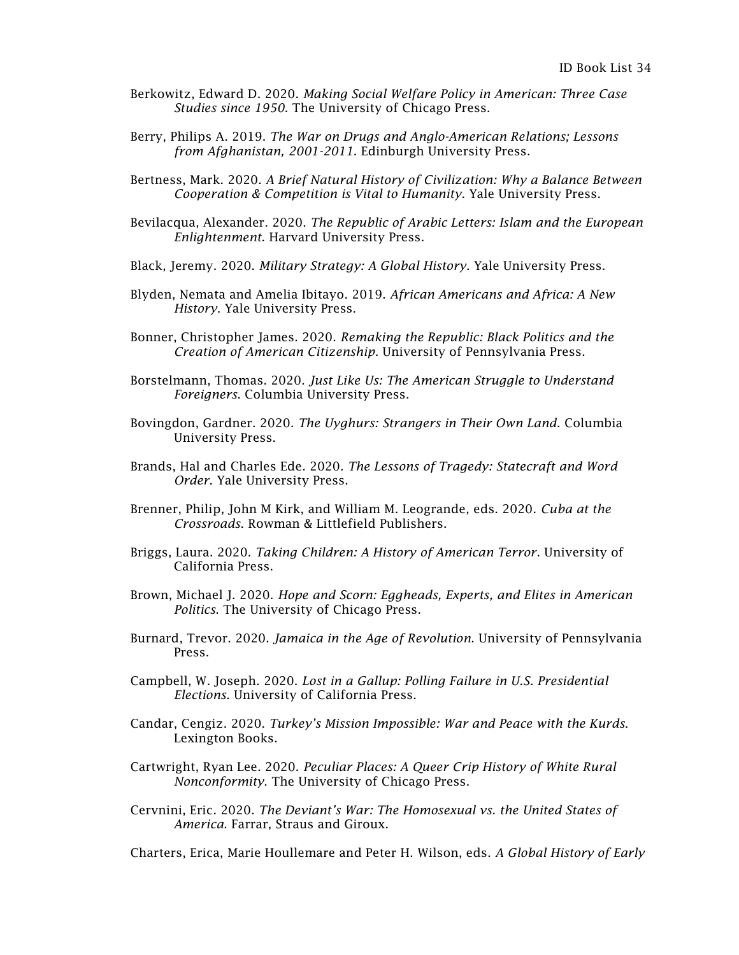- Berkowitz, Edward D. 2020. *Making Social Welfare Policy in American: Three Case Studies since 1950*. The University of Chicago Press.
- Berry, Philips A. 2019. *The War on Drugs and Anglo-American Relations; Lessons from Afghanistan, 2001-2011*. Edinburgh University Press.
- Bertness, Mark. 2020. *A Brief Natural History of Civilization: Why a Balance Between Cooperation & Competition is Vital to Humanity*. Yale University Press.
- Bevilacqua, Alexander. 2020. *The Republic of Arabic Letters: Islam and the European Enlightenment.* Harvard University Press.
- Black, Jeremy. 2020. *Military Strategy: A Global History*. Yale University Press.
- Blyden, Nemata and Amelia Ibitayo. 2019. *African Americans and Africa: A New History*. Yale University Press.
- Bonner, Christopher James. 2020. *Remaking the Republic: Black Politics and the Creation of American Citizenship*. University of Pennsylvania Press.
- Borstelmann, Thomas. 2020. *Just Like Us: The American Struggle to Understand Foreigners*. Columbia University Press.
- Bovingdon, Gardner. 2020. *The Uyghurs: Strangers in Their Own Land*. Columbia University Press.
- Brands, Hal and Charles Ede. 2020. *The Lessons of Tragedy: Statecraft and Word Order*. Yale University Press.
- Brenner, Philip, John M Kirk, and William M. Leogrande, eds. 2020. *Cuba at the Crossroads*. Rowman & Littlefield Publishers.
- Briggs, Laura. 2020. *Taking Children: A History of American Terror*. University of California Press.
- Brown, Michael J. 2020. *Hope and Scorn: Eggheads, Experts, and Elites in American Politics*. The University of Chicago Press.
- Burnard, Trevor. 2020. *Jamaica in the Age of Revolution*. University of Pennsylvania Press.
- Campbell, W. Joseph. 2020. *Lost in a Gallup: Polling Failure in U.S. Presidential Elections*. University of California Press.
- Candar, Cengiz. 2020. *Turkey's Mission Impossible: War and Peace with the Kurds*. Lexington Books.
- Cartwright, Ryan Lee. 2020. *Peculiar Places: A Queer Crip History of White Rural Nonconformity*. The University of Chicago Press.
- Cervnini, Eric. 2020. *The Deviant's War: The Homosexual vs. the United States of America*. Farrar, Straus and Giroux.

Charters, Erica, Marie Houllemare and Peter H. Wilson, eds. *A Global History of Early*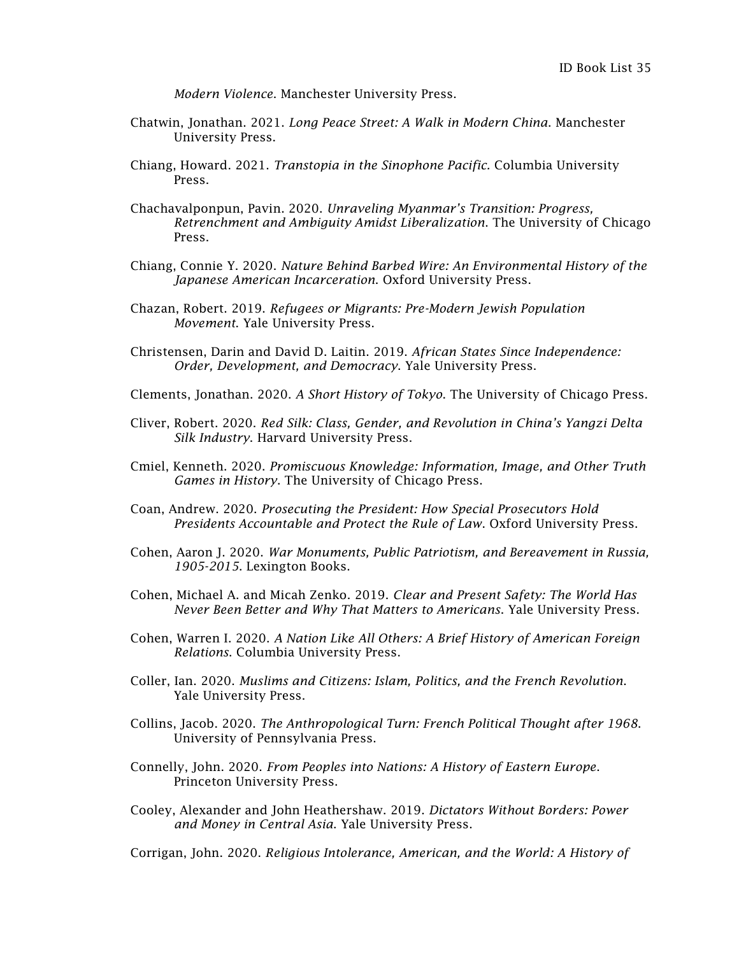*Modern Violence*. Manchester University Press.

- Chatwin, Jonathan. 2021. *Long Peace Street: A Walk in Modern China*. Manchester University Press.
- Chiang, Howard. 2021. *Transtopia in the Sinophone Pacific.* Columbia University Press.
- Chachavalponpun, Pavin. 2020. *Unraveling Myanmar's Transition: Progress, Retrenchment and Ambiguity Amidst Liberalization*. The University of Chicago Press.
- Chiang, Connie Y. 2020. *Nature Behind Barbed Wire: An Environmental History of the Japanese American Incarceration*. Oxford University Press.
- Chazan, Robert. 2019. *Refugees or Migrants: Pre-Modern Jewish Population Movement*. Yale University Press.
- Christensen, Darin and David D. Laitin. 2019. *African States Since Independence: Order, Development, and Democracy*. Yale University Press.
- Clements, Jonathan. 2020. *A Short History of Tokyo*. The University of Chicago Press.
- Cliver, Robert. 2020. *Red Silk: Class, Gender, and Revolution in China's Yangzi Delta Silk Industry*. Harvard University Press.
- Cmiel, Kenneth. 2020. *Promiscuous Knowledge: Information, Image, and Other Truth Games in History*. The University of Chicago Press.
- Coan, Andrew. 2020. *Prosecuting the President: How Special Prosecutors Hold Presidents Accountable and Protect the Rule of Law*. Oxford University Press.
- Cohen, Aaron J. 2020. *War Monuments, Public Patriotism, and Bereavement in Russia, 1905-2015*. Lexington Books.
- Cohen, Michael A. and Micah Zenko. 2019. *Clear and Present Safety: The World Has Never Been Better and Why That Matters to Americans*. Yale University Press.
- Cohen, Warren I. 2020. *A Nation Like All Others: A Brief History of American Foreign Relations*. Columbia University Press.
- Coller, Ian. 2020. *Muslims and Citizens: Islam, Politics, and the French Revolution*. Yale University Press.
- Collins, Jacob. 2020. *The Anthropological Turn: French Political Thought after 1968*. University of Pennsylvania Press.
- Connelly, John. 2020. *From Peoples into Nations: A History of Eastern Europe*. Princeton University Press.
- Cooley, Alexander and John Heathershaw. 2019. *Dictators Without Borders: Power and Money in Central Asia*. Yale University Press.

Corrigan, John. 2020. *Religious Intolerance, American, and the World: A History of*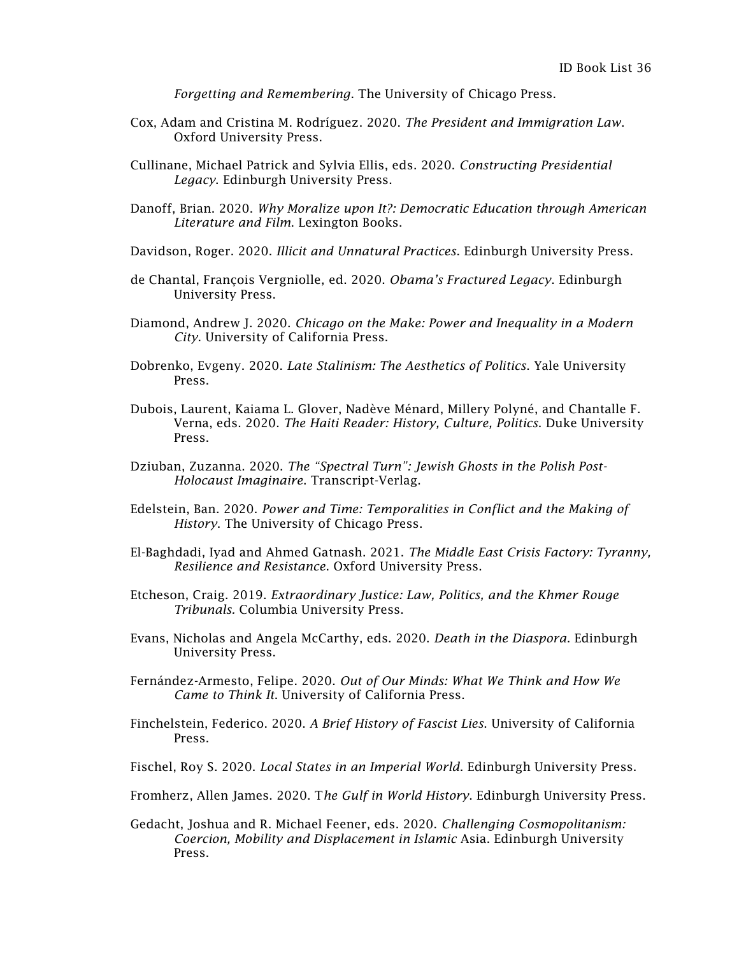*Forgetting and Remembering*. The University of Chicago Press.

- Cox, Adam and Cristina M. Rodríguez. 2020. *The President and Immigration Law*. Oxford University Press.
- Cullinane, Michael Patrick and Sylvia Ellis, eds. 2020. *Constructing Presidential Legacy*. Edinburgh University Press.
- Danoff, Brian. 2020. *Why Moralize upon It?: Democratic Education through American Literature and Film*. Lexington Books.
- Davidson, Roger. 2020. *Illicit and Unnatural Practices*. Edinburgh University Press.
- de Chantal, [François](https://edinburghuniversitypress.com/francois-vergniolle-de-chantal.html) Vergniolle, ed. 2020. *Obama's Fractured Legacy*. Edinburgh University Press.
- Diamond, Andrew J. 2020. *Chicago on the Make: Power and Inequality in a Modern City*. University of California Press.
- Dobrenko, Evgeny. 2020. *Late Stalinism: The Aesthetics of Politics*. Yale University Press.
- Dubois, Laurent, Kaiama L. Glover, [Nadève Ménard,](https://www.dukeupress.edu/explore-subjects/browse?AuID=2826586) Millery [Polyné,](https://www.dukeupress.edu/explore-subjects/browse?AuID=1443487) and Chantalle F. Verna, eds. 2020. *The Haiti Reader: History, Culture, Politics*. Duke University Press.
- Dziuban, Zuzanna. 2020. *The "Spectral Turn": Jewish Ghosts in the Polish Post-Holocaust Imaginaire*. Transcript-Verlag.
- Edelstein, Ban. 2020. *Power and Time: Temporalities in Conflict and the Making of History*. The University of Chicago Press.
- El-Baghdadi, Iyad and Ahmed Gatnash. 2021. *The Middle East Crisis Factory: Tyranny, Resilience and Resistance*. Oxford University Press.
- Etcheson, Craig. 2019. *Extraordinary Justice: Law, Politics, and the Khmer Rouge Tribunals.* Columbia University Press.
- Evans, Nicholas and Angela McCarthy, eds. 2020. *Death in the Diaspora*. Edinburgh University Press.
- Fernández-Armesto, Felipe. 2020. *Out of Our Minds: What We Think and How We Came to Think It*. University of California Press.
- Finchelstein, Federico. 2020. *A Brief History of Fascist Lies*. University of California Press.
- Fischel, Roy S. 2020. *Local States in an Imperial World*. Edinburgh University Press.
- Fromherz, Allen James. 2020. T*he Gulf in World History*. Edinburgh University Press.
- Gedacht, Joshua and R. Michael Feener, eds. 2020. *Challenging Cosmopolitanism: Coercion, Mobility and Displacement in Islamic* Asia. Edinburgh University Press.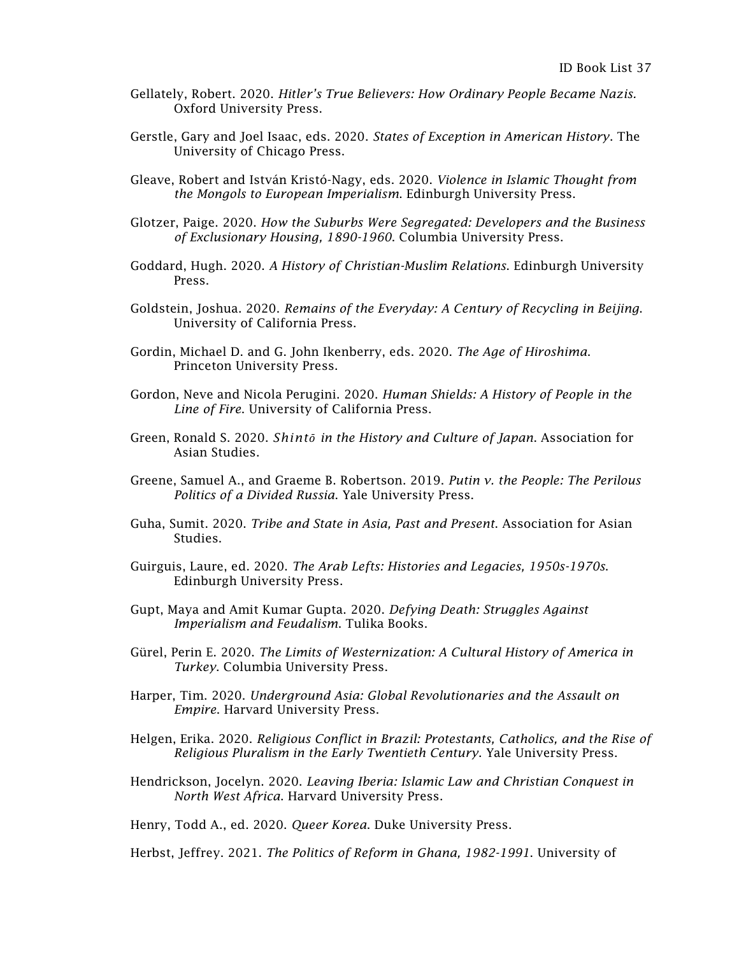- Gellately, Robert. 2020. *Hitler's True Believers: How Ordinary People Became Nazis.* Oxford University Press.
- Gerstle, Gary and Joel Isaac, eds. 2020. *States of Exception in American History*. The University of Chicago Press.
- Gleave, Robert and [István Kristó-](https://edinburghuniversitypress.com/istvan-kristo-nagy.html)Nagy, eds. 2020. *Violence in Islamic Thought from the Mongols to European Imperialism*. Edinburgh University Press.
- Glotzer, Paige. 2020. *How the Suburbs Were Segregated: Developers and the Business of Exclusionary Housing, 1890-1960*. Columbia University Press.
- Goddard, Hugh. 2020. *A History of Christian-Muslim Relations*. Edinburgh University Press.
- Goldstein, Joshua. 2020. *Remains of the Everyday: A Century of Recycling in Beijing*. University of California Press.
- Gordin, Michael D. and G. John Ikenberry, eds. 2020. *The Age of Hiroshima*. Princeton University Press.
- Gordon, Neve and Nicola Perugini. 2020. *Human Shields: A History of People in the Line of Fire*. University of California Press.
- Green, Ronald S. 2020. *Shintō in the History and Culture of Japan*. Association for Asian Studies.
- Greene, Samuel A., and Graeme B. Robertson. 2019. *Putin v. the People: The Perilous Politics of a Divided Russia*. Yale University Press.
- Guha, Sumit. 2020. *Tribe and State in Asia, Past and Present*. Association for Asian Studies.
- Guirguis, Laure, ed. 2020. *The Arab Lefts: Histories and Legacies, 1950s-1970s*. Edinburgh University Press.
- Gupt, Maya and Amit Kumar Gupta. 2020. *Defying Death: Struggles Against Imperialism and Feudalism*. Tulika Books.
- Gürel, Perin E. 2020. *The Limits of Westernization: A Cultural History of America in Turkey*. Columbia University Press.
- Harper, Tim. 2020. *Underground Asia: Global Revolutionaries and the Assault on Empire*. Harvard University Press.
- Helgen, Erika. 2020. *Religious Conflict in Brazil: Protestants, Catholics, and the Rise of Religious Pluralism in the Early Twentieth Century*. Yale University Press.
- Hendrickson, Jocelyn. 2020. *Leaving Iberia: Islamic Law and Christian Conquest in North West Africa*. Harvard University Press.

Henry, Todd A., ed. 2020. *Queer Korea*. Duke University Press.

Herbst, Jeffrey. 2021. *The Politics of Reform in Ghana, 1982-1991*. University of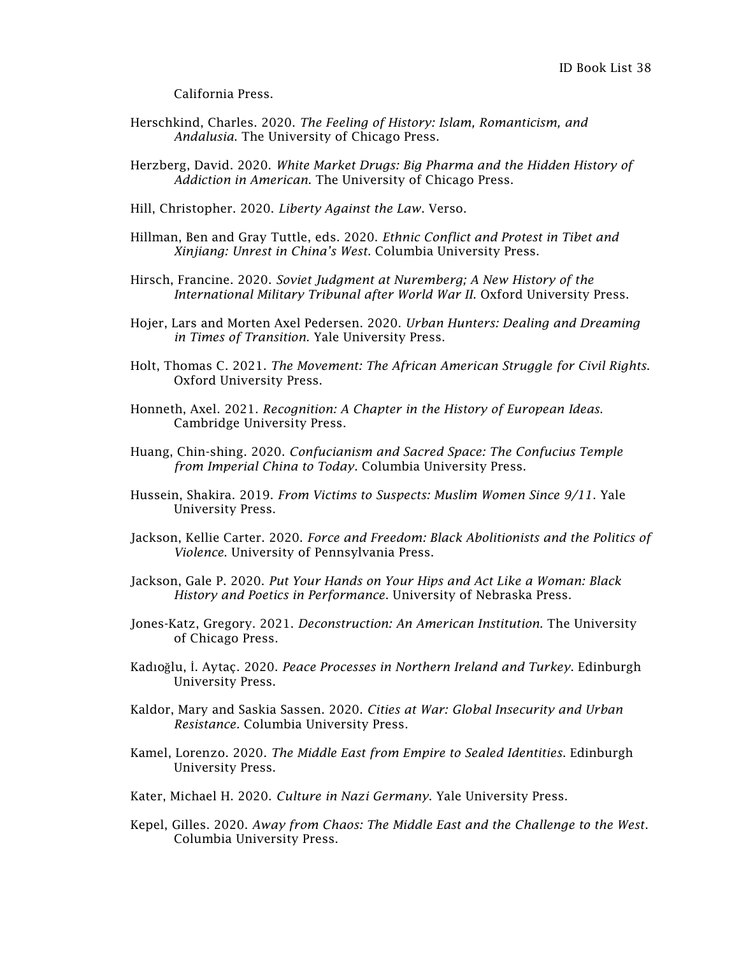California Press.

- Herschkind, Charles. 2020. *The Feeling of History: Islam, Romanticism, and Andalusia*. The University of Chicago Press.
- Herzberg, David. 2020. *White Market Drugs: Big Pharma and the Hidden History of Addiction in American*. The University of Chicago Press.
- Hill, Christopher. 2020. *Liberty Against the Law*. Verso.
- Hillman, Ben and Gray Tuttle, eds. 2020. *Ethnic Conflict and Protest in Tibet and Xinjiang: Unrest in China's West*. Columbia University Press.
- Hirsch, Francine. 2020. *Soviet Judgment at Nuremberg; A New History of the International Military Tribunal after World War II*. Oxford University Press.
- Hojer, Lars and Morten Axel Pedersen. 2020. *Urban Hunters: Dealing and Dreaming in Times of Transition*. Yale University Press.
- Holt, Thomas C. 2021. *The Movement: The African American Struggle for Civil Rights*. Oxford University Press.
- Honneth, Axel. 2021. *Recognition: A Chapter in the History of European Ideas*. Cambridge University Press.
- Huang, Chin-shing. 2020. *Confucianism and Sacred Space: The Confucius Temple from Imperial China to Today*. Columbia University Press.
- Hussein, Shakira. 2019. *From Victims to Suspects: Muslim Women Since 9/11*. Yale University Press.
- Jackson, Kellie Carter. 2020. *Force and Freedom: Black Abolitionists and the Politics of Violence*. University of Pennsylvania Press.
- Jackson, Gale P. 2020. *Put Your Hands on Your Hips and Act Like a Woman: Black History and Poetics in Performance*. University of Nebraska Press.
- Jones-Katz, Gregory. 2021. *Deconstruction: An American Institution.* The University of Chicago Press.
- Kadıoğlu, İ[. Aytaç.](https://edinburghuniversitypress.com/i-aytac-kadioglu.html) 2020. *Peace Processes in Northern Ireland and Turkey*. Edinburgh University Press.
- Kaldor, Mary and Saskia Sassen. 2020. *Cities at War: Global Insecurity and Urban Resistance.* Columbia University Press.
- Kamel, Lorenzo. 2020. *The Middle East from Empire to Sealed Identities*. Edinburgh University Press.
- Kater, Michael H. 2020. *Culture in Nazi Germany*. Yale University Press.
- Kepel, Gilles. 2020. *Away from Chaos: The Middle East and the Challenge to the West*. Columbia University Press.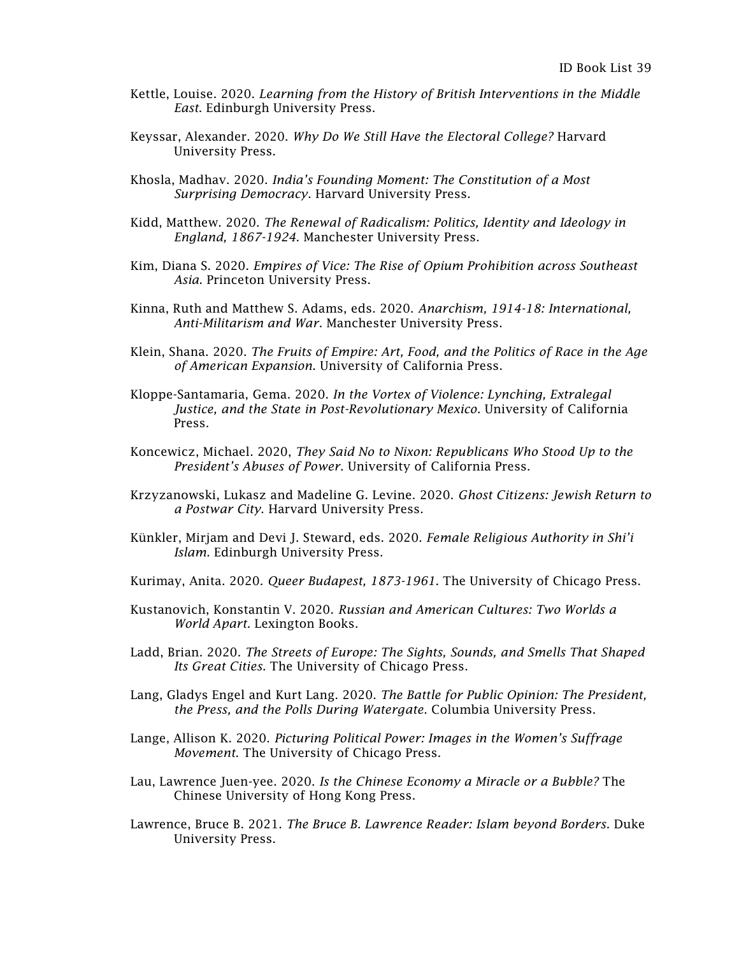- Kettle, Louise. 2020. *Learning from the History of British Interventions in the Middle East*. Edinburgh University Press.
- Keyssar, Alexander. 2020. *Why Do We Still Have the Electoral College?* Harvard University Press.
- Khosla, Madhav. 2020. *India's Founding Moment: The Constitution of a Most Surprising Democracy*. Harvard University Press.
- Kidd, Matthew. 2020. *The Renewal of Radicalism: Politics, Identity and Ideology in England, 1867-1924*. Manchester University Press.
- Kim, Diana S. 2020. *Empires of Vice: The Rise of Opium Prohibition across Southeast Asia*. Princeton University Press.
- Kinna, Ruth and Matthew S. Adams, eds. 2020. *Anarchism, 1914-18: International, Anti-Militarism and War*. Manchester University Press.
- Klein, Shana. 2020. *The Fruits of Empire: Art, Food, and the Politics of Race in the Age of American Expansion*. University of California Press.
- Kloppe-Santamaria, Gema. 2020. *In the Vortex of Violence: Lynching, Extralegal Justice, and the State in Post-Revolutionary Mexico*. University of California Press.
- Koncewicz, Michael. 2020, *They Said No to Nixon: Republicans Who Stood Up to the President's Abuses of Power*. University of California Press.
- Krzyzanowski, Lukasz and Madeline G. Levine. 2020. *Ghost Citizens: Jewish Return to a Postwar City*. Harvard University Press.
- [Künkler,](https://edinburghuniversitypress.com/mirjam-kunkler.html) Mirjam and Devi J. Steward, eds. 2020. *Female Religious Authority in Shi'i Islam.* Edinburgh University Press.
- Kurimay, Anita. 2020. *Queer Budapest, 1873-1961*. The University of Chicago Press.
- Kustanovich, Konstantin V. 2020. *Russian and American Cultures: Two Worlds a World Apart*. Lexington Books.
- Ladd, Brian. 2020. *The Streets of Europe: The Sights, Sounds, and Smells That Shaped Its Great Cities*. The University of Chicago Press.
- Lang, Gladys Engel and Kurt Lang. 2020. *The Battle for Public Opinion: The President, the Press, and the Polls During Watergate*. Columbia University Press.
- Lange, Allison K. 2020. *Picturing Political Power: Images in the Women's Suffrage Movement*. The University of Chicago Press.
- Lau, Lawrence Juen-yee. 2020. *Is the Chinese Economy a Miracle or a Bubble?* The Chinese University of Hong Kong Press.
- Lawrence, Bruce B. 2021. *The Bruce B. Lawrence Reader: Islam beyond Borders*. Duke University Press.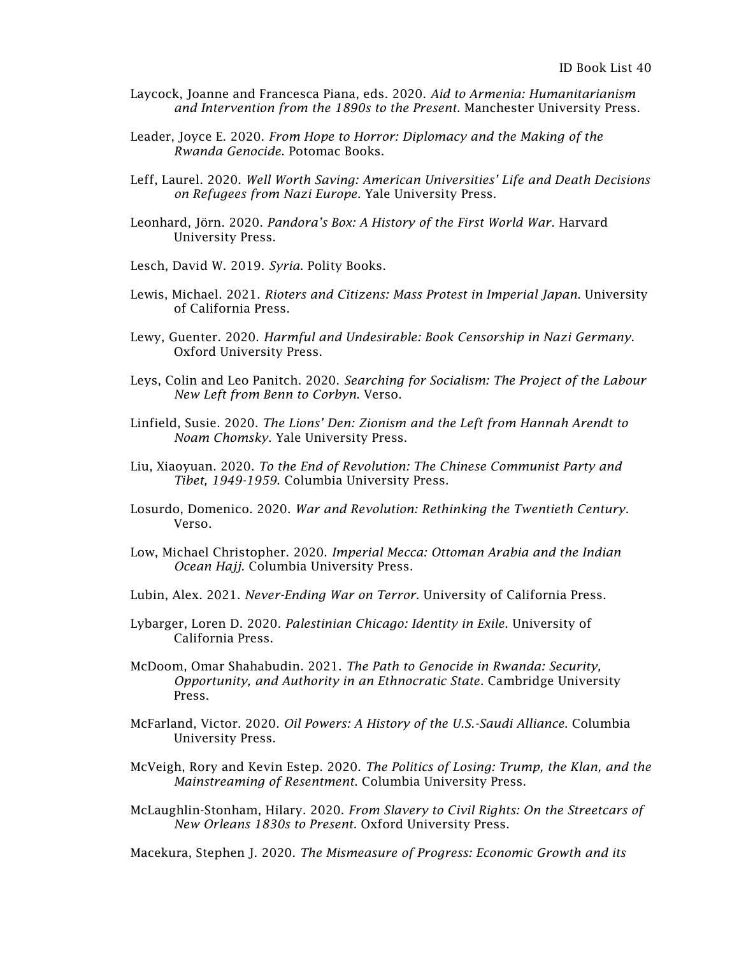- Laycock, Joanne and Francesca Piana, eds. 2020. *Aid to Armenia: Humanitarianism and Intervention from the 1890s to the Present*. Manchester University Press.
- Leader, Joyce E. 2020. *From Hope to Horror: Diplomacy and the Making of the Rwanda Genocide*. Potomac Books.
- Leff, Laurel. 2020. *Well Worth Saving: American Universities' Life and Death Decisions on Refugees from Nazi Europe*. Yale University Press.
- Leonhard, Jörn. 2020. *Pandora's Box: A History of the First World War*. Harvard University Press.
- Lesch, David W. 2019. *Syria*. Polity Books.
- Lewis, Michael. 2021. *Rioters and Citizens: Mass Protest in Imperial Japan*. University of California Press.
- Lewy, Guenter. 2020. *Harmful and Undesirable: Book Censorship in Nazi Germany*. Oxford University Press.
- Leys, Colin and Leo Panitch. 2020. *Searching for Socialism: The Project of the Labour New Left from Benn to Corbyn*. Verso.
- Linfield, Susie. 2020. *The Lions' Den: Zionism and the Left from Hannah Arendt to Noam Chomsky*. Yale University Press.
- Liu, Xiaoyuan. 2020. *To the End of Revolution: The Chinese Communist Party and Tibet, 1949-1959*. Columbia University Press.
- Losurdo, Domenico. 2020. *War and Revolution: Rethinking the Twentieth Century*. Verso.
- Low, Michael Christopher. 2020. *Imperial Mecca: Ottoman Arabia and the Indian Ocean Hajj*. Columbia University Press.
- Lubin, Alex. 2021. *Never-Ending War on Terror*. University of California Press.
- Lybarger, Loren D. 2020. *Palestinian Chicago: Identity in Exile*. University of California Press.
- McDoom, Omar Shahabudin. 2021. *The Path to Genocide in Rwanda: Security, Opportunity, and Authority in an Ethnocratic State*. Cambridge University Press.
- McFarland, Victor. 2020. *Oil Powers: A History of the U.S.-Saudi Alliance*. Columbia University Press.
- McVeigh, Rory and Kevin Estep. 2020. *The Politics of Losing: Trump, the Klan, and the Mainstreaming of Resentment*. Columbia University Press.
- McLaughlin-Stonham, Hilary. 2020. *From Slavery to Civil Rights: On the Streetcars of New Orleans 1830s to Present*. Oxford University Press.

Macekura, Stephen J. 2020. *The Mismeasure of Progress: Economic Growth and its*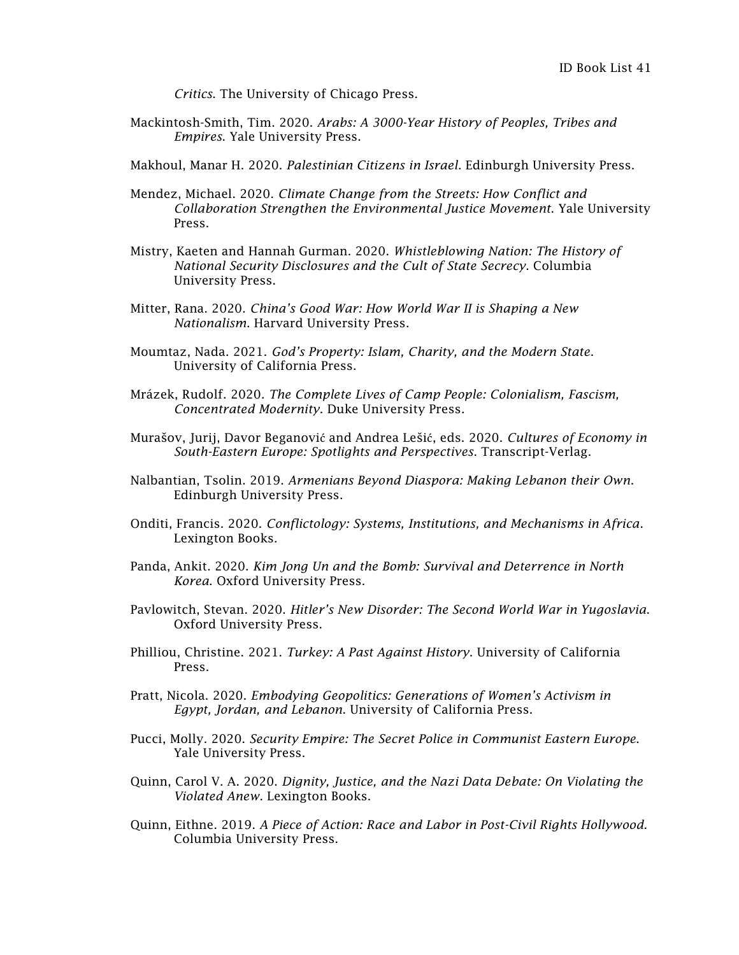*Critics*. The University of Chicago Press.

- Mackintosh-Smith, Tim. 2020. *Arabs: A 3000-Year History of Peoples, Tribes and Empires*. Yale University Press.
- Makhoul, Manar H. 2020. *Palestinian Citizens in Israel*. Edinburgh University Press.
- Mendez, Michael. 2020. *Climate Change from the Streets: How Conflict and Collaboration Strengthen the Environmental Justice Movement*. Yale University Press.
- Mistry, Kaeten and Hannah Gurman. 2020. *Whistleblowing Nation: The History of National Security Disclosures and the Cult of State Secrecy*. Columbia University Press.
- Mitter, Rana. 2020. *China's Good War: How World War II is Shaping a New Nationalism*. Harvard University Press.
- Moumtaz, Nada. 2021. *God's Property: Islam, Charity, and the Modern State*. University of California Press.
- [Mrázek,](https://www.dukeupress.edu/explore-subjects/browse?AuID=2566665) Rudolf. 2020. *The Complete Lives of Camp People: Colonialism, Fascism, Concentrated Modernity*. Duke University Press.
- Murašov, Jurij, Davor Beganović and Andrea Lešić, eds. 2020. *Cultures of Economy in South-Eastern Europe: Spotlights and Perspectives*. Transcript-Verlag.
- Nalbantian, Tsolin. 2019. *Armenians Beyond Diaspora: Making Lebanon their Own*. Edinburgh University Press.
- Onditi, Francis. 2020. *Conflictology: Systems, Institutions, and Mechanisms in Africa*. Lexington Books.
- Panda, Ankit. 2020. *Kim Jong Un and the Bomb: Survival and Deterrence in North Korea*. Oxford University Press.
- Pavlowitch, Stevan. 2020. *Hitler's New Disorder: The Second World War in Yugoslavia*. Oxford University Press.
- Philliou, Christine. 2021. *Turkey: A Past Against History*. University of California Press.
- Pratt, Nicola. 2020. *Embodying Geopolitics: Generations of Women's Activism in Egypt, Jordan, and Lebanon*. University of California Press.
- Pucci, Molly. 2020. *Security Empire: The Secret Police in Communist Eastern Europe*. Yale University Press.
- Quinn, Carol V. A. 2020. *Dignity, Justice, and the Nazi Data Debate: On Violating the Violated Anew*. Lexington Books.
- Quinn, Eithne. 2019. *A Piece of Action: Race and Labor in Post-Civil Rights Hollywood*. Columbia University Press.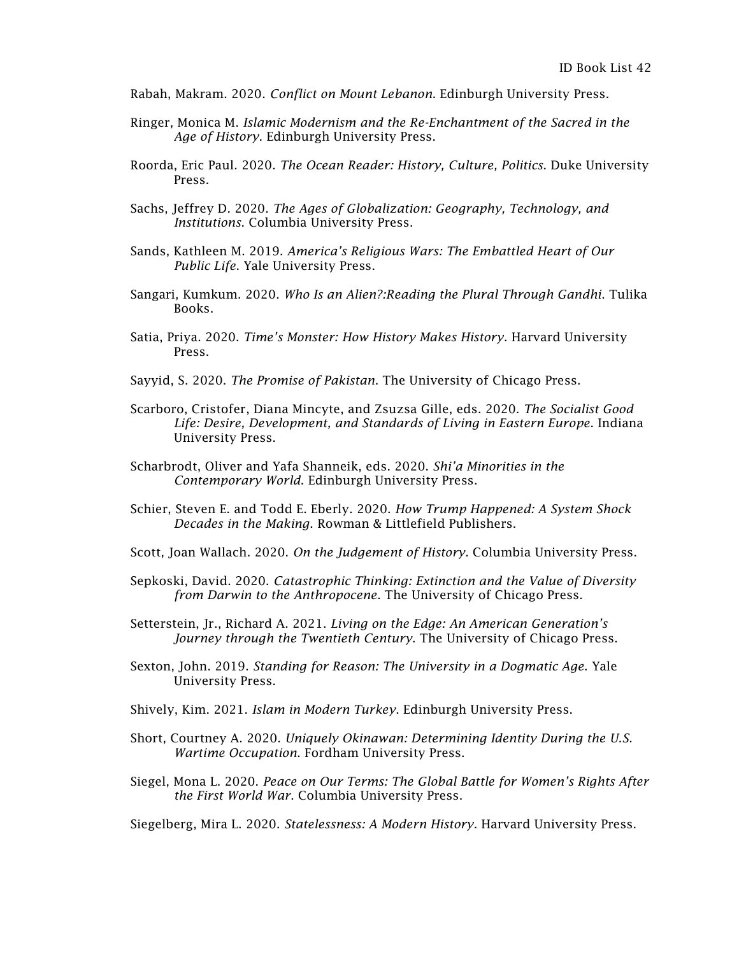- Rabah, Makram. 2020. *Conflict on Mount Lebanon*. Edinburgh University Press.
- Ringer, Monica M. *Islamic Modernism and the Re-Enchantment of the Sacred in the Age of History*. Edinburgh University Press.
- Roorda, Eric Paul. 2020. *The Ocean Reader: History, Culture, Politics*. Duke University Press.
- Sachs, Jeffrey D. 2020. *The Ages of Globalization: Geography, Technology, and Institutions*. Columbia University Press.
- Sands, Kathleen M. 2019. *America's Religious Wars: The Embattled Heart of Our Public Life*. Yale University Press.
- Sangari, Kumkum. 2020. *Who Is an Alien?:Reading the Plural Through Gandhi*. Tulika Books.
- Satia, Priya. 2020. *Time's Monster: How History Makes History*. Harvard University Press.
- Sayyid, S. 2020. *The Promise of Pakistan*. The University of Chicago Press.
- Scarboro, Cristofer, Diana Mincyte, and Zsuzsa Gille, eds. 2020. *The Socialist Good Life: Desire, Development, and Standards of Living in Eastern Europe*. Indiana University Press.
- Scharbrodt, Oliver and Yafa Shanneik, eds. 2020. *Shi'a Minorities in the Contemporary World*. Edinburgh University Press.
- Schier, Steven E. and Todd E. Eberly. 2020. *How Trump Happened: A System Shock Decades in the Making*. Rowman & Littlefield Publishers.
- Scott, Joan Wallach. 2020. *On the Judgement of History*. Columbia University Press.
- Sepkoski, David. 2020. *Catastrophic Thinking: Extinction and the Value of Diversity from Darwin to the Anthropocene*. The University of Chicago Press.
- Setterstein, Jr., Richard A. 2021. *Living on the Edge: An American Generation's Journey through the Twentieth Century*. The University of Chicago Press.
- Sexton, John. 2019. *Standing for Reason: The University in a Dogmatic Age.* Yale University Press.
- Shively, Kim. 2021. *Islam in Modern Turkey*. Edinburgh University Press.
- Short, Courtney A. 2020. *Uniquely Okinawan: Determining Identity During the U.S. Wartime Occupation*. Fordham University Press.
- Siegel, Mona L. 2020. *Peace on Our Terms: The Global Battle for Women's Rights After the First World War*. Columbia University Press.

Siegelberg, Mira L. 2020. *Statelessness: A Modern History*. Harvard University Press.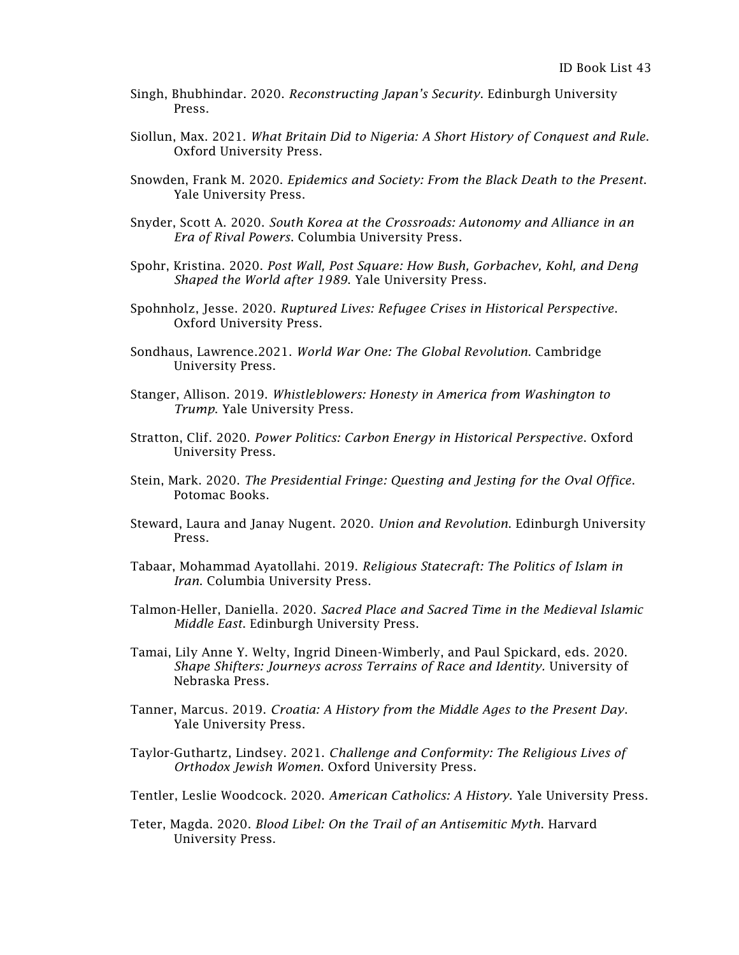- Singh, Bhubhindar. 2020. *Reconstructing Japan's Security*. Edinburgh University Press.
- Siollun, Max. 2021. *What Britain Did to Nigeria: A Short History of Conquest and Rule*. Oxford University Press.
- Snowden, Frank M. 2020. *Epidemics and Society: From the Black Death to the Present*. Yale University Press.
- Snyder, Scott A. 2020. *South Korea at the Crossroads: Autonomy and Alliance in an Era of Rival Powers*. Columbia University Press.
- Spohr, Kristina. 2020. *Post Wall, Post Square: How Bush, Gorbachev, Kohl, and Deng Shaped the World after 1989*. Yale University Press.
- Spohnholz, Jesse. 2020. *Ruptured Lives: Refugee Crises in Historical Perspective*. Oxford University Press.
- Sondhaus, Lawrence.2021. *World War One: The Global Revolution*. Cambridge University Press.
- Stanger, Allison. 2019. *Whistleblowers: Honesty in America from Washington to Trump*. Yale University Press.
- Stratton, Clif. 2020. *Power Politics: Carbon Energy in Historical Perspective*. Oxford University Press.
- Stein, Mark. 2020. *The Presidential Fringe: Questing and Jesting for the Oval Office*. Potomac Books.
- Steward, Laura and Janay Nugent. 2020. *Union and Revolution*. Edinburgh University Press.
- Tabaar, Mohammad Ayatollahi. 2019. *Religious Statecraft: The Politics of Islam in Iran*. Columbia University Press.
- Talmon-Heller, Daniella. 2020. *Sacred Place and Sacred Time in the Medieval Islamic Middle East*. Edinburgh University Press.
- Tamai, Lily Anne Y. Welty, Ingrid Dineen-Wimberly, and Paul Spickard, eds. 2020. *Shape Shifters: Journeys across Terrains of Race and Identity.* University of Nebraska Press.
- Tanner, Marcus. 2019. *Croatia: A History from the Middle Ages to the Present Day*. Yale University Press.
- Taylor-Guthartz, Lindsey. 2021. *Challenge and Conformity: The Religious Lives of Orthodox Jewish Women*. Oxford University Press.
- Tentler, Leslie Woodcock. 2020. *American Catholics: A History*. Yale University Press.
- Teter, Magda. 2020. *Blood Libel: On the Trail of an Antisemitic Myth*. Harvard University Press.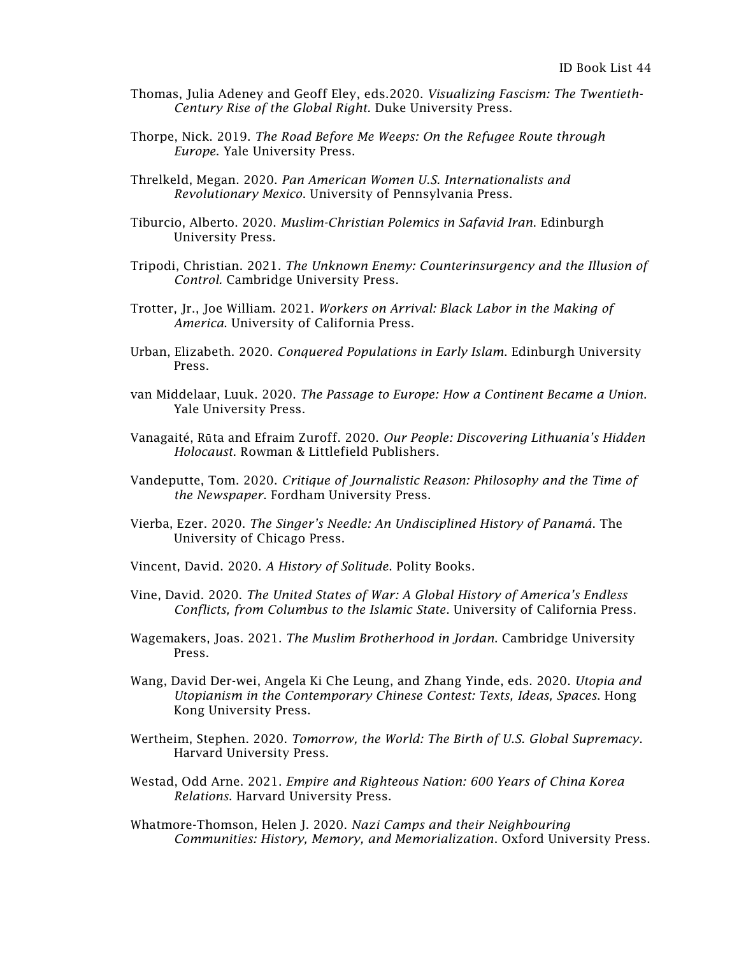- Thomas, Julia Adeney and Geoff Eley, eds.2020. *Visualizing Fascism: The Twentieth-Century Rise of the Global Right.* Duke University Press.
- Thorpe, Nick. 2019. *The Road Before Me Weeps: On the Refugee Route through Europe*. Yale University Press.
- Threlkeld, Megan. 2020. *Pan American Women U.S. Internationalists and Revolutionary Mexico*. University of Pennsylvania Press.
- Tiburcio, Alberto. 2020. *Muslim-Christian Polemics in Safavid Iran*. Edinburgh University Press.
- Tripodi, Christian. 2021. *The Unknown Enemy: Counterinsurgency and the Illusion of Control.* Cambridge University Press.
- Trotter, Jr., Joe William. 2021. *Workers on Arrival: Black Labor in the Making of America*. University of California Press.
- Urban, Elizabeth. 2020. *Conquered Populations in Early Islam*. Edinburgh University Press.
- van Middelaar, Luuk. 2020. *The Passage to Europe: How a Continent Became a Union*. Yale University Press.
- Vanagaité, Rūta and Efraim Zuroff. 2020. *Our People: Discovering Lithuania's Hidden Holocaust*. Rowman & Littlefield Publishers.
- Vandeputte, Tom. 2020. *Critique of Journalistic Reason: Philosophy and the Time of the Newspaper*. Fordham University Press.
- Vierba, Ezer. 2020. *The Singer's Needle: An Undisciplined History of Panamá*. The University of Chicago Press.
- Vincent, David. 2020. *A History of Solitude*. Polity Books.
- Vine, David. 2020. *The United States of War: A Global History of America's Endless Conflicts, from Columbus to the Islamic State*. University of California Press.
- Wagemakers, Joas. 2021. *The Muslim Brotherhood in Jordan*. Cambridge University Press.
- Wang, David Der-wei, Angela Ki Che Leung, and Zhang Yinde, eds. 2020. *Utopia and Utopianism in the Contemporary Chinese Contest: Texts, Ideas, Spaces*. Hong Kong University Press.
- Wertheim, Stephen. 2020. *Tomorrow, the World: The Birth of U.S. Global Supremacy*. Harvard University Press.
- Westad, Odd Arne. 2021. *Empire and Righteous Nation: 600 Years of China Korea Relations*. Harvard University Press.
- Whatmore-Thomson, Helen J. 2020. *Nazi Camps and their Neighbouring Communities: History, Memory, and Memorialization*. Oxford University Press.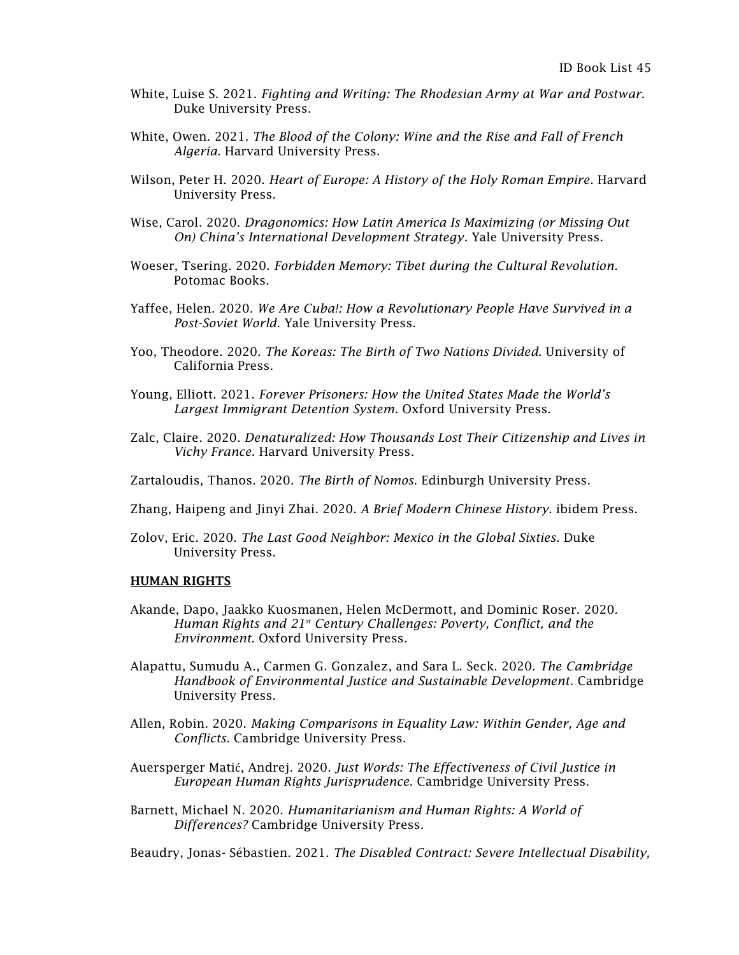- White, Luise S. 2021. *Fighting and Writing: The Rhodesian Army at War and Postwar.* Duke University Press.
- White, Owen. 2021. *The Blood of the Colony: Wine and the Rise and Fall of French Algeria*. Harvard University Press.
- Wilson, Peter H. 2020. *Heart of Europe: A History of the Holy Roman Empire*. Harvard University Press.
- Wise, Carol. 2020. *Dragonomics: How Latin America Is Maximizing (or Missing Out On) China's International Development Strategy*. Yale University Press.
- Woeser, Tsering. 2020. *Forbidden Memory: Tibet during the Cultural Revolution*. Potomac Books.
- Yaffee, Helen. 2020. *We Are Cuba!: How a Revolutionary People Have Survived in a Post-Soviet World*. Yale University Press.
- Yoo, Theodore. 2020. *The Koreas: The Birth of Two Nations Divided*. University of California Press.
- Young, Elliott. 2021. *Forever Prisoners: How the United States Made the World's Largest Immigrant Detention System.* Oxford University Press.
- Zalc, Claire. 2020. *Denaturalized: How Thousands Lost Their Citizenship and Lives in Vichy France*. Harvard University Press.
- Zartaloudis, Thanos. 2020. *The Birth of Nomos*. Edinburgh University Press.
- Zhang, Haipeng and Jinyi Zhai. 2020. *A Brief Modern Chinese History*. ibidem Press.
- Zolov, Eric. 2020. *The Last Good Neighbor: Mexico in the Global Sixties*. Duke University Press.

#### HUMAN RIGHTS

- Akande, Dapo, Jaakko Kuosmanen, Helen McDermott, and Dominic Roser. 2020. *Human Rights and 21st Century Challenges: Poverty, Conflict, and the Environment*. Oxford University Press.
- Alapattu, Sumudu A., Carmen G. Gonzalez, and Sara L. Seck. 2020. *The Cambridge Handbook of Environmental Justice and Sustainable Development*. Cambridge University Press.
- Allen, Robin. 2020. *Making Comparisons in Equality Law: Within Gender, Age and Conflicts*. Cambridge University Press.
- Auersperger Matić, Andrej. 2020. *Just Words: The Effectiveness of Civil Justice in European Human Rights Jurisprudence*. Cambridge University Press.
- Barnett, Michael N. 2020. *Humanitarianism and Human Rights: A World of Differences?* Cambridge University Press.

Beaudry, Jonas- Sébastien. 2021. *The Disabled Contract: Severe Intellectual Disability,*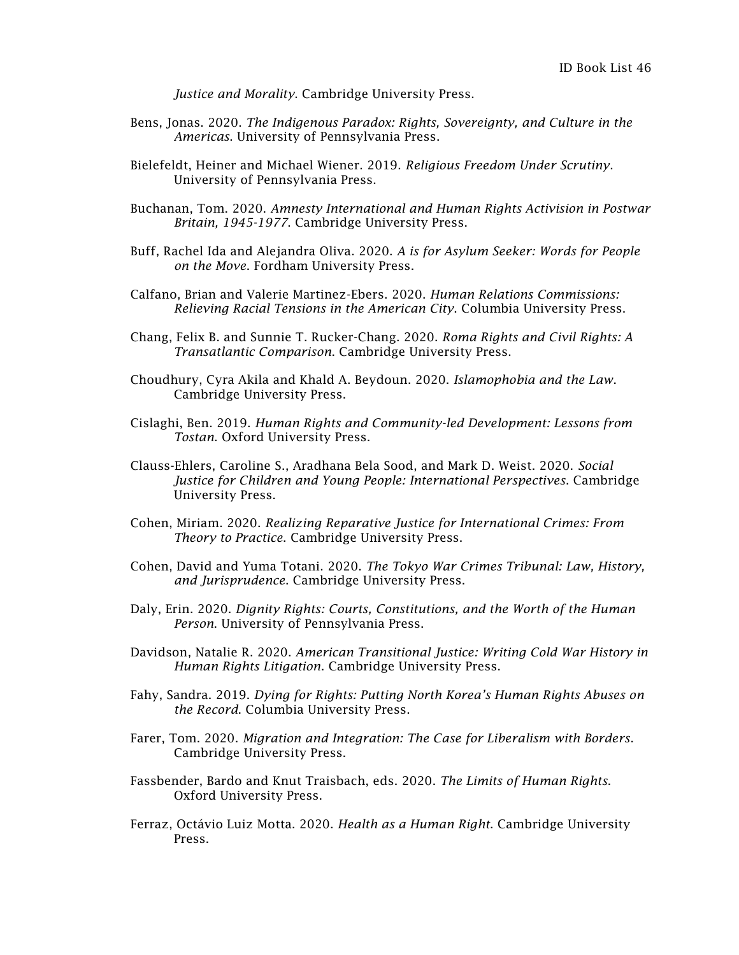*Justice and Morality*. Cambridge University Press.

- Bens, Jonas. 2020. *The Indigenous Paradox: Rights, Sovereignty, and Culture in the Americas*. University of Pennsylvania Press.
- Bielefeldt, Heiner and Michael Wiener. 2019. *Religious Freedom Under Scrutiny*. University of Pennsylvania Press.
- Buchanan, Tom. 2020. *Amnesty International and Human Rights Activision in Postwar Britain, 1945-1977*. Cambridge University Press.
- Buff, Rachel Ida and Alejandra Oliva. 2020. *A is for Asylum Seeker: Words for People on the Move*. Fordham University Press.
- Calfano, Brian and Valerie Martinez-Ebers. 2020. *Human Relations Commissions: Relieving Racial Tensions in the American City*. Columbia University Press.
- Chang, Felix B. and Sunnie T. Rucker-Chang. 2020. *Roma Rights and Civil Rights: A Transatlantic Comparison*. Cambridge University Press.
- Choudhury, Cyra Akila and Khald A. Beydoun. 2020. *Islamophobia and the Law*. Cambridge University Press.
- Cislaghi, Ben. 2019. *Human Rights and Community-led Development: Lessons from Tostan*. Oxford University Press.
- Clauss-Ehlers, Caroline S., Aradhana Bela Sood, and Mark D. Weist. 2020. *Social Justice for Children and Young People: International Perspectives*. Cambridge University Press.
- Cohen, Miriam. 2020. *Realizing Reparative Justice for International Crimes: From Theory to Practice*. Cambridge University Press.
- Cohen, David and Yuma Totani. 2020. *The Tokyo War Crimes Tribunal: Law, History, and Jurisprudence*. Cambridge University Press.
- Daly, Erin. 2020. *Dignity Rights: Courts, Constitutions, and the Worth of the Human Person*. University of Pennsylvania Press.
- Davidson, Natalie R. 2020. *American Transitional Justice: Writing Cold War History in Human Rights Litigation*. Cambridge University Press.
- Fahy, Sandra. 2019. *Dying for Rights: Putting North Korea's Human Rights Abuses on the Record*. Columbia University Press.
- Farer, Tom. 2020. *Migration and Integration: The Case for Liberalism with Borders*. Cambridge University Press.
- Fassbender, Bardo and Knut Traisbach, eds. 2020. *The Limits of Human Rights*. Oxford University Press.
- Ferraz, Octávio Luiz Motta. 2020. *Health as a Human Right*. Cambridge University Press.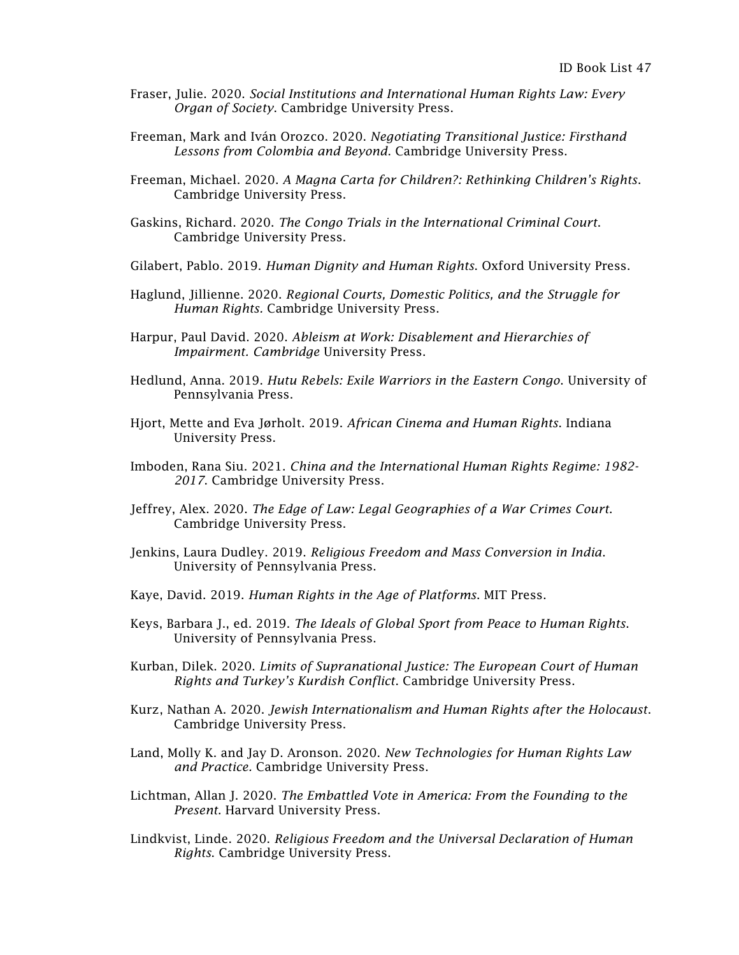- Fraser, Julie. 2020. *Social Institutions and International Human Rights Law: Every Organ of Society*. Cambridge University Press.
- Freeman, Mark and Iván Orozco. 2020. *Negotiating Transitional Justice: Firsthand Lessons from Colombia and Beyond*. Cambridge University Press.
- Freeman, Michael. 2020. *A Magna Carta for Children?: Rethinking Children's Rights*. Cambridge University Press.
- Gaskins, Richard. 2020. *The Congo Trials in the International Criminal Court*. Cambridge University Press.
- Gilabert, Pablo. 2019. *Human Dignity and Human Rights*. Oxford University Press.
- Haglund, Jillienne. 2020. *Regional Courts, Domestic Politics, and the Struggle for Human Rights.* Cambridge University Press.
- Harpur, Paul David. 2020. *Ableism at Work: Disablement and Hierarchies of Impairment. Cambridge* University Press.
- Hedlund, Anna. 2019. *Hutu Rebels: Exile Warriors in the Eastern Congo*. University of Pennsylvania Press.
- Hjort, Mette and Eva Jørholt. 2019. *African Cinema and Human Rights*. Indiana University Press.
- Imboden, Rana Siu. 2021. *China and the International Human Rights Regime: 1982- 2017*. Cambridge University Press.
- Jeffrey, Alex. 2020. *The Edge of Law: Legal Geographies of a War Crimes Court*. Cambridge University Press.
- Jenkins, Laura Dudley. 2019. *Religious Freedom and Mass Conversion in India*. University of Pennsylvania Press.
- Kaye, David. 2019. *Human Rights in the Age of Platforms*. MIT Press.
- Keys, Barbara J., ed. 2019. *The Ideals of Global Sport from Peace to Human Rights*. University of Pennsylvania Press.
- Kurban, Dilek. 2020. *Limits of Supranational Justice: The European Court of Human Rights and Turkey's Kurdish Conflict*. Cambridge University Press.
- Kurz, Nathan A. 2020. *Jewish Internationalism and Human Rights after the Holocaust*. Cambridge University Press.
- Land, Molly K. and Jay D. Aronson. 2020. *New Technologies for Human Rights Law and Practice.* Cambridge University Press.
- Lichtman, Allan J. 2020. *The Embattled Vote in America: From the Founding to the Present*. Harvard University Press.
- Lindkvist, Linde. 2020. *Religious Freedom and the Universal Declaration of Human Rights*. Cambridge University Press.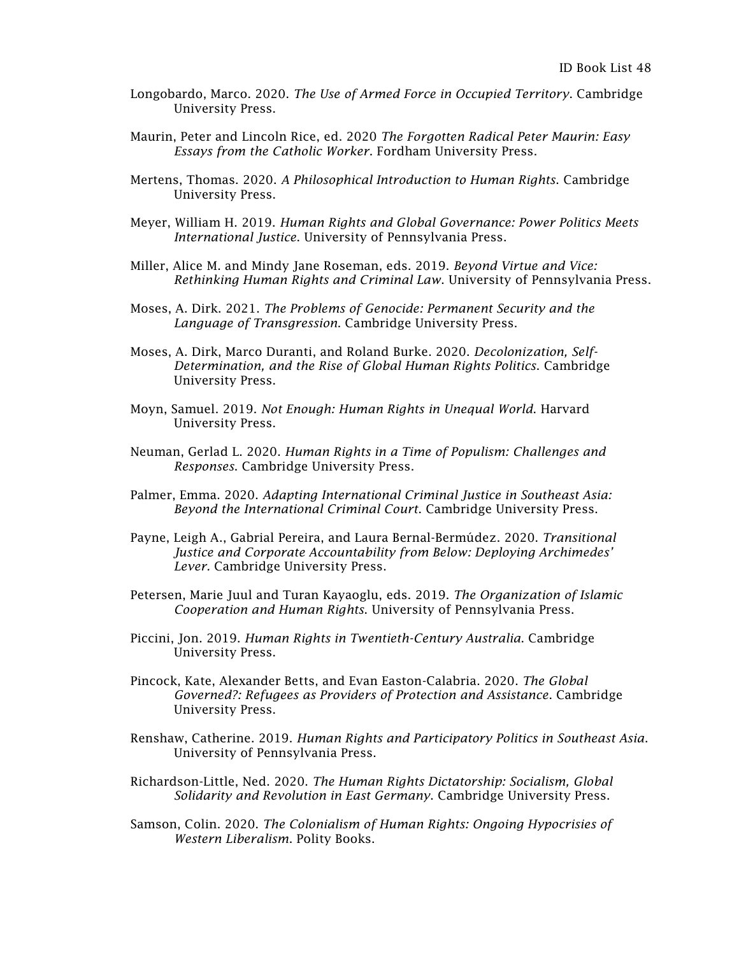- Longobardo, Marco. 2020. *The Use of Armed Force in Occupied Territory*. Cambridge University Press.
- Maurin, Peter and Lincoln Rice, ed. 2020 *The Forgotten Radical Peter Maurin: Easy Essays from the Catholic Worker*. Fordham University Press.
- Mertens, Thomas. 2020. *A Philosophical Introduction to Human Rights*. Cambridge University Press.
- Meyer, William H. 2019. *Human Rights and Global Governance: Power Politics Meets International Justice*. University of Pennsylvania Press.
- Miller, Alice M. and Mindy Jane Roseman, eds. 2019. *Beyond Virtue and Vice: Rethinking Human Rights and Criminal Law*. University of Pennsylvania Press.
- Moses, A. Dirk. 2021. *The Problems of Genocide: Permanent Security and the Language of Transgression*. Cambridge University Press.
- Moses, A. Dirk, Marco Duranti, and Roland Burke. 2020. *Decolonization, Self-Determination, and the Rise of Global Human Rights Politics*. Cambridge University Press.
- Moyn, Samuel. 2019. *Not Enough: Human Rights in Unequal World*. Harvard University Press.
- Neuman, Gerlad L. 2020. *Human Rights in a Time of Populism: Challenges and Responses*. Cambridge University Press.
- Palmer, Emma. 2020. *Adapting International Criminal Justice in Southeast Asia: Beyond the International Criminal Court*. Cambridge University Press.
- Payne, Leigh A., Gabrial Pereira, and Laura Bernal-Bermúdez. 2020. *Transitional Justice and Corporate Accountability from Below: Deploying Archimedes' Lever.* Cambridge University Press.
- Petersen, Marie Juul and Turan Kayaoglu, eds. 2019. *The Organization of Islamic Cooperation and Human Rights*. University of Pennsylvania Press.
- Piccini, Jon. 2019. *Human Rights in Twentieth-Century Australia*. Cambridge University Press.
- Pincock, Kate, Alexander Betts, and Evan Easton-Calabria. 2020. *The Global Governed?: Refugees as Providers of Protection and Assistance*. Cambridge University Press.
- Renshaw, Catherine. 2019. *Human Rights and Participatory Politics in Southeast Asia*. University of Pennsylvania Press.
- Richardson-Little, Ned. 2020. *The Human Rights Dictatorship: Socialism, Global Solidarity and Revolution in East Germany*. Cambridge University Press.
- Samson, Colin. 2020. *The Colonialism of Human Rights: Ongoing Hypocrisies of Western Liberalism*. Polity Books.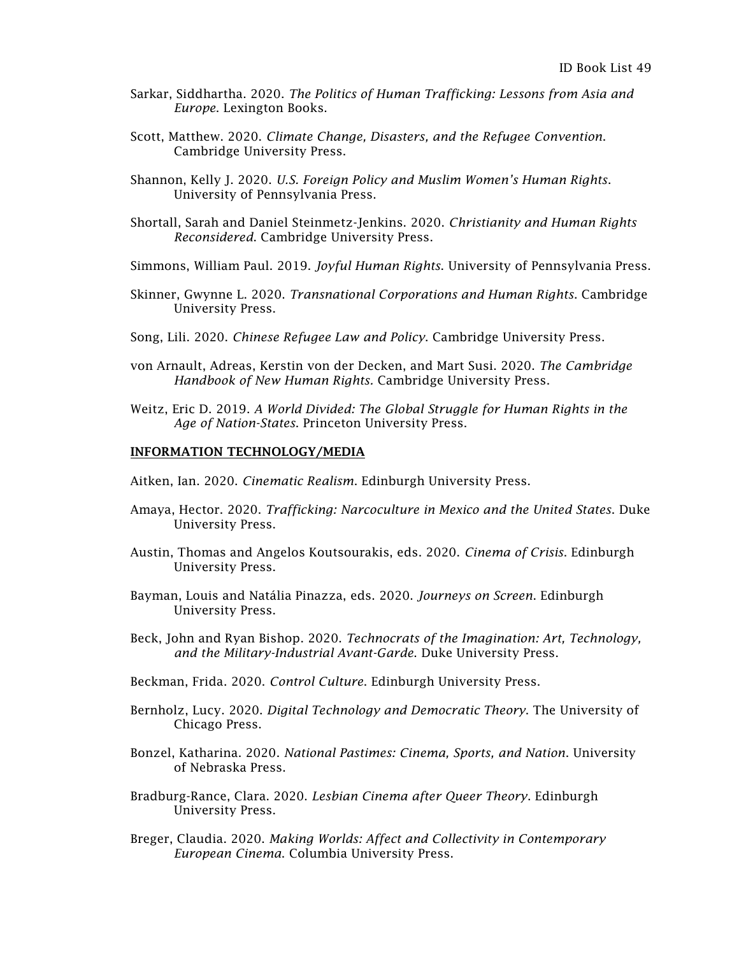- Sarkar, Siddhartha. 2020. *The Politics of Human Trafficking: Lessons from Asia and Europe*. Lexington Books.
- Scott, Matthew. 2020. *Climate Change, Disasters, and the Refugee Convention*. Cambridge University Press.
- Shannon, Kelly J. 2020. *U.S. Foreign Policy and Muslim Women's Human Rights*. University of Pennsylvania Press.
- Shortall, Sarah and Daniel Steinmetz-Jenkins. 2020. *Christianity and Human Rights Reconsidered*. Cambridge University Press.
- Simmons, William Paul. 2019. *Joyful Human Rights*. University of Pennsylvania Press.
- Skinner, Gwynne L. 2020. *Transnational Corporations and Human Rights*. Cambridge University Press.
- Song, Lili. 2020. *Chinese Refugee Law and Policy*. Cambridge University Press.
- von Arnault, Adreas, Kerstin von der Decken, and Mart Susi. 2020. *The Cambridge Handbook of New Human Rights.* Cambridge University Press.
- Weitz, Eric D. 2019. *A World Divided: The Global Struggle for Human Rights in the Age of Nation-States*. Princeton University Press.

#### INFORMATION TECHNOLOGY/MEDIA

Aitken, Ian. 2020. *Cinematic Realism*. Edinburgh University Press.

- Amaya, Hector. 2020. *Trafficking: Narcoculture in Mexico and the United States*. Duke University Press.
- Austin, Thomas and Angelos Koutsourakis, eds. 2020. *Cinema of Crisis*. Edinburgh University Press.
- Bayman, Louis and [Natália](https://edinburghuniversitypress.com/natalia-pinazza.html) Pinazza, eds. 2020. *Journeys on Screen*. Edinburgh University Press.
- Beck, John and Ryan Bishop. 2020. *Technocrats of the Imagination: Art, Technology, and the Military-Industrial Avant-Garde*. Duke University Press.
- Beckman, Frida. 2020. *Control Culture*. Edinburgh University Press.
- Bernholz, Lucy. 2020. *Digital Technology and Democratic Theory*. The University of Chicago Press.
- Bonzel, Katharina. 2020. *National Pastimes: Cinema, Sports, and Nation*. University of Nebraska Press.
- Bradburg-Rance, Clara. 2020. *Lesbian Cinema after Queer Theory*. Edinburgh University Press.
- Breger, Claudia. 2020. *Making Worlds: Affect and Collectivity in Contemporary European Cinema*. Columbia University Press.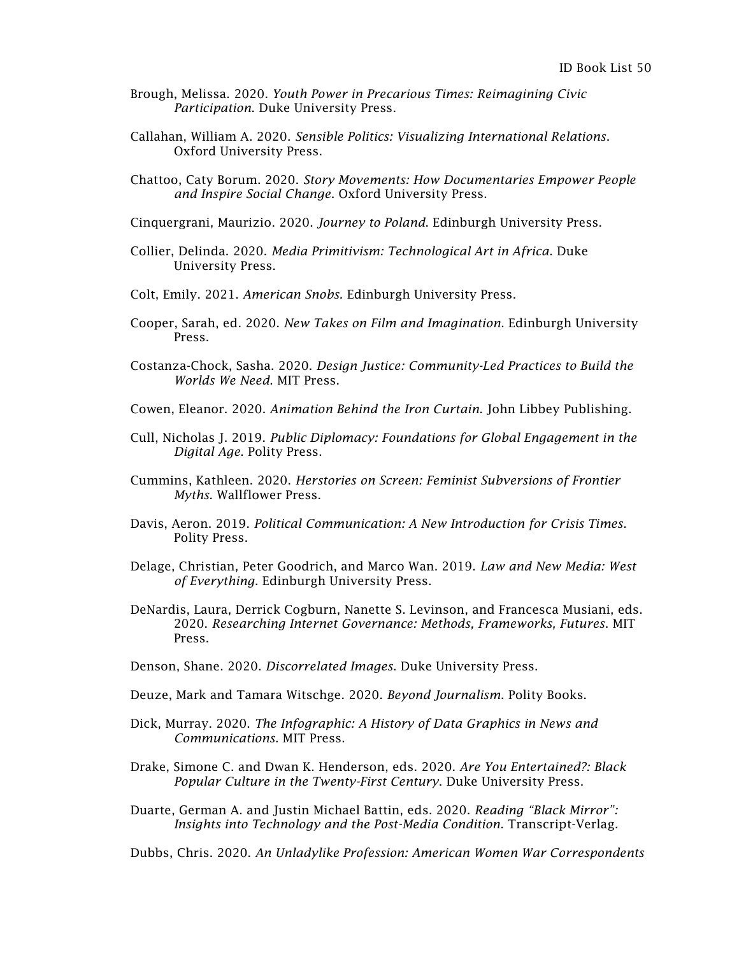- Brough, Melissa. 2020. *Youth Power in Precarious Times: Reimagining Civic Participation*. Duke University Press.
- Callahan, William A. 2020. *Sensible Politics: Visualizing International Relations*. Oxford University Press.
- Chattoo, Caty Borum. 2020. *Story Movements: How Documentaries Empower People and Inspire Social Change*. Oxford University Press.
- Cinquergrani, Maurizio. 2020. *Journey to Poland*. Edinburgh University Press.
- Collier, Delinda. 2020. *Media Primitivism: Technological Art in Africa*. Duke University Press.
- Colt, Emily. 2021. *American Snobs*. Edinburgh University Press.
- Cooper, Sarah, ed. 2020. *New Takes on Film and Imagination*. Edinburgh University Press.
- Costanza-Chock, Sasha. 2020. *Design Justice: Community-Led Practices to Build the Worlds We Need*. MIT Press.
- Cowen, Eleanor. 2020. *Animation Behind the Iron Curtain*. John Libbey Publishing.
- Cull, Nicholas J. 2019. *Public Diplomacy: Foundations for Global Engagement in the Digital Age*. Polity Press.
- Cummins, Kathleen. 2020. *Herstories on Screen: Feminist Subversions of Frontier Myths.* Wallflower Press.
- Davis, Aeron. 2019. *Political Communication: A New Introduction for Crisis Times.* Polity Press.
- Delage, Christian, Peter Goodrich, and Marco Wan. 2019. *Law and New Media: West of Everything*. Edinburgh University Press.
- DeNardis, Laura, Derrick Cogburn, Nanette S. Levinson, and Francesca Musiani, eds. 2020. *Researching Internet Governance: Methods, Frameworks, Futures*. MIT Press.
- Denson, Shane. 2020. *Discorrelated Images*. Duke University Press.
- Deuze, Mark and Tamara Witschge. 2020. *Beyond Journalism*. Polity Books.
- Dick, Murray. 2020. *The Infographic: A History of Data Graphics in News and Communications*. MIT Press.
- Drake, Simone C. and Dwan K. Henderson, eds. 2020. *Are You Entertained?: Black Popular Culture in the Twenty-First Century*. Duke University Press.
- Duarte, German A. and Justin Michael Battin, eds. 2020. *Reading "Black Mirror": Insights into Technology and the Post-Media Condition*. Transcript-Verlag.

Dubbs, Chris. 2020. *An Unladylike Profession: American Women War Correspondents*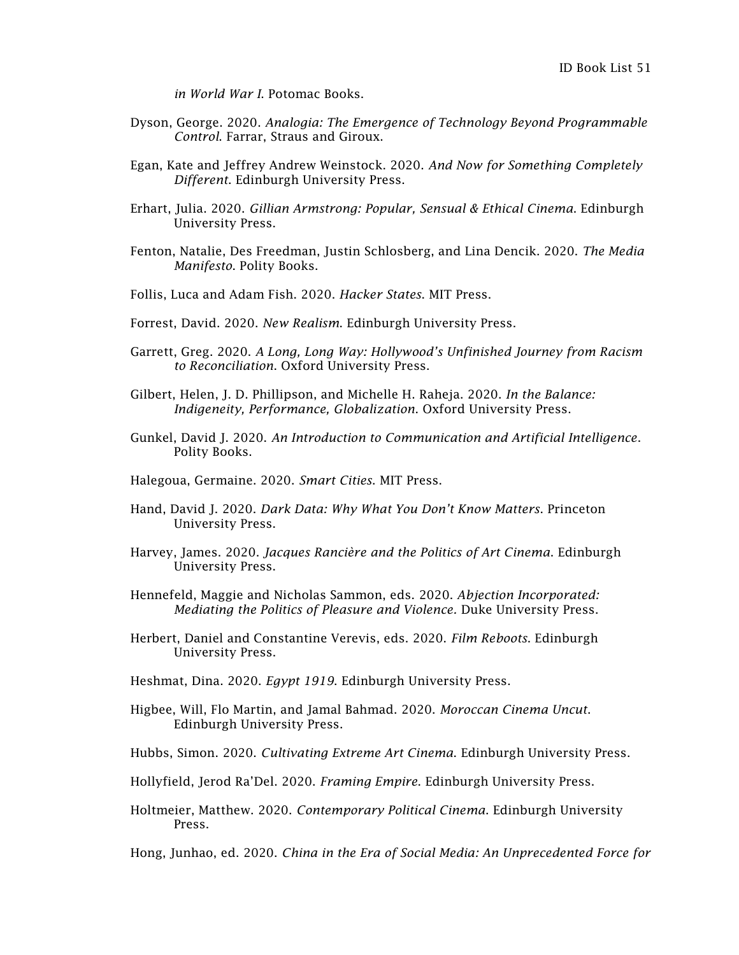*in World War I*. Potomac Books.

- Dyson, George. 2020. *Analogia: The Emergence of Technology Beyond Programmable Control*. Farrar, Straus and Giroux.
- Egan, Kate and Jeffrey Andrew Weinstock. 2020. *And Now for Something Completely Different*. Edinburgh University Press.
- Erhart, Julia. 2020. *Gillian Armstrong: Popular, Sensual & Ethical Cinema*. Edinburgh University Press.
- Fenton, Natalie, Des Freedman, Justin Schlosberg, and Lina Dencik. 2020. *The Media Manifesto*. Polity Books.
- Follis, Luca and Adam Fish. 2020. *Hacker States*. MIT Press.
- Forrest, David. 2020. *New Realism*. Edinburgh University Press.
- Garrett, Greg. 2020. *A Long, Long Way: Hollywood's Unfinished Journey from Racism to Reconciliation*. Oxford University Press.
- Gilbert, Helen, J. D. Phillipson, and Michelle H. Raheja. 2020. *In the Balance: Indigeneity, Performance, Globalization*. Oxford University Press.
- Gunkel, David J. 2020. *An Introduction to Communication and Artificial Intelligence*. Polity Books.
- Halegoua, Germaine. 2020. *Smart Cities*. MIT Press.
- Hand, David J. 2020. *Dark Data: Why What You Don't Know Matters*. Princeton University Press.
- Harvey, James. 2020. *Jacques Rancière and the Politics of Art Cinema*. Edinburgh University Press.
- Hennefeld, Maggie and Nicholas Sammon, eds. 2020. *Abjection Incorporated: Mediating the Politics of Pleasure and Violence.* Duke University Press.
- Herbert, Daniel and Constantine Verevis, eds. 2020. *Film Reboots*. Edinburgh University Press.
- Heshmat, Dina. 2020. *Egypt 1919*. Edinburgh University Press.
- Higbee, Will, Flo Martin, and Jamal Bahmad. 2020. *Moroccan Cinema Uncut*. Edinburgh University Press.
- Hubbs, Simon. 2020. *Cultivating Extreme Art Cinema*. Edinburgh University Press.
- Hollyfield, Jerod Ra'Del. 2020. *Framing Empire*. Edinburgh University Press.
- Holtmeier, Matthew. 2020. *Contemporary Political Cinema*. Edinburgh University Press.
- Hong, Junhao, ed. 2020. *China in the Era of Social Media: An Unprecedented Force for*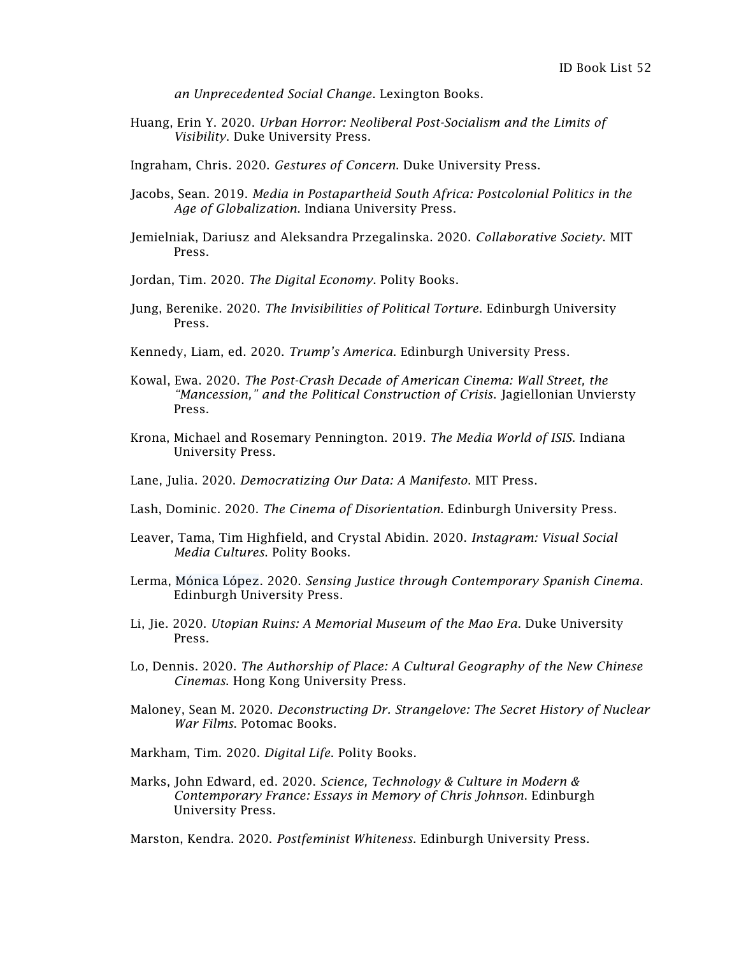*an Unprecedented Social Change*. Lexington Books.

Huang, Erin Y. 2020. *Urban Horror: Neoliberal Post-Socialism and the Limits of Visibility*. Duke University Press.

Ingraham, Chris. 2020. *Gestures of Concern*. Duke University Press.

- Jacobs, Sean. 2019. *Media in Postapartheid South Africa: Postcolonial Politics in the Age of Globalization*. Indiana University Press.
- Jemielniak, Dariusz and Aleksandra Przegalinska. 2020. *Collaborative Society*. MIT Press.
- Jordan, Tim. 2020. *The Digital Economy*. Polity Books.
- Jung, Berenike. 2020. *The Invisibilities of Political Torture*. Edinburgh University Press.
- Kennedy, Liam, ed. 2020. *Trump's America*. Edinburgh University Press.
- Kowal, Ewa. 2020. *The Post-Crash Decade of American Cinema: Wall Street, the "Mancession," and the Political Construction of Crisis*. Jagiellonian Unviersty Press.
- Krona, Michael and Rosemary Pennington. 2019. *The Media World of ISIS*. Indiana University Press.
- Lane, Julia. 2020. *Democratizing Our Data: A Manifesto*. MIT Press.
- Lash, Dominic. 2020. *The Cinema of Disorientation*. Edinburgh University Press.
- Leaver, Tama, Tim Highfield, and Crystal Abidin. 2020. *Instagram: Visual Social Media Cultures*. Polity Books.
- Lerma, Mónica López. 2020. *Sensing Justice through Contemporary Spanish Cinema*. Edinburgh University Press.
- Li, Jie. 2020. *Utopian Ruins: A Memorial Museum of the Mao Era*. Duke University Press.
- Lo, Dennis. 2020. *The Authorship of Place: A Cultural Geography of the New Chinese Cinemas*. Hong Kong University Press.
- Maloney, Sean M. 2020. *Deconstructing Dr. Strangelove: The Secret History of Nuclear War Films*. Potomac Books.
- Markham, Tim. 2020. *Digital Life*. Polity Books.
- Marks, John Edward, ed. 2020. *Science, Technology & Culture in Modern & Contemporary France: Essays in Memory of Chris Johnson*. Edinburgh University Press.

Marston, Kendra. 2020. *Postfeminist Whiteness*. Edinburgh University Press.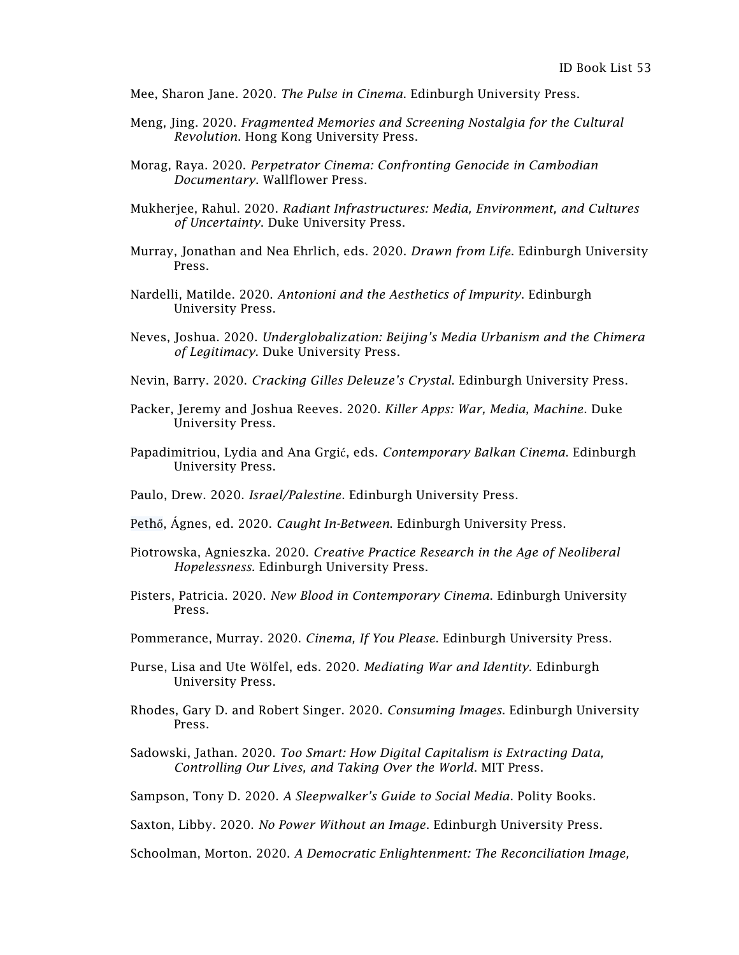- Mee, Sharon Jane. 2020. *The Pulse in Cinema*. Edinburgh University Press.
- Meng, Jing. 2020. *Fragmented Memories and Screening Nostalgia for the Cultural Revolution*. Hong Kong University Press.
- Morag, Raya. 2020. *Perpetrator Cinema: Confronting Genocide in Cambodian Documentary*. Wallflower Press.
- Mukherjee, Rahul. 2020. *Radiant Infrastructures: Media, Environment, and Cultures of Uncertainty*. Duke University Press.
- Murray, Jonathan and Nea Ehrlich, eds. 2020. *Drawn from Life*. Edinburgh University Press.
- Nardelli, Matilde. 2020. *Antonioni and the Aesthetics of Impurity*. Edinburgh University Press.
- Neves, Joshua. 2020. *Underglobalization: Beijing's Media Urbanism and the Chimera of Legitimacy*. Duke University Press.
- Nevin, Barry. 2020. *Cracking Gilles Deleuze's Crystal*. Edinburgh University Press.
- Packer, Jeremy and Joshua Reeves. 2020. *Killer Apps: War, Media, Machine*. Duke University Press.
- Papadimitriou, Lydia and Ana Grgi[ć](https://www.google.com/search?sxsrf=ALeKk03fCI-3ATjFGH24nx8CkYk5TTIsOw:1593214529536&source=univ&tbm=isch&q=Ana+Grgi%C4%87&hl=en&sa=X&ved=2ahUKEwiGyNXQ0qDqAhUZa80KHVyvAk4QsAR6BAgKEAE), eds. *Contemporary Balkan Cinema*. Edinburgh University Press.
- Paulo, Drew. 2020. *Israel/Palestine*. Edinburgh University Press.
- Pethő, [Ágnes,](https://edinburghuniversitypress.com/agnes-petho.html) ed. 2020. *Caught In-Between*. Edinburgh University Press.
- Piotrowska, Agnieszka. 2020. *Creative Practice Research in the Age of Neoliberal Hopelessness.* Edinburgh University Press.
- Pisters, Patricia. 2020. *New Blood in Contemporary Cinema*. Edinburgh University Press.
- Pommerance, Murray. 2020. *Cinema, If You Please*. Edinburgh University Press.
- Purse, Lisa and Ute [Wölfel,](https://edinburghuniversitypress.com/ute-wolfel.html) eds. 2020. *Mediating War and Identity*. Edinburgh University Press.
- Rhodes, Gary D. and Robert Singer. 2020. *Consuming Images*. Edinburgh University Press.
- Sadowski, Jathan. 2020. *Too Smart: How Digital Capitalism is Extracting Data, Controlling Our Lives, and Taking Over the World*. MIT Press.
- Sampson, Tony D. 2020. *A Sleepwalker's Guide to Social Media*. Polity Books.

Saxton, Libby. 2020. *No Power Without an Image*. Edinburgh University Press.

Schoolman, Morton. 2020. *A Democratic Enlightenment: The Reconciliation Image,*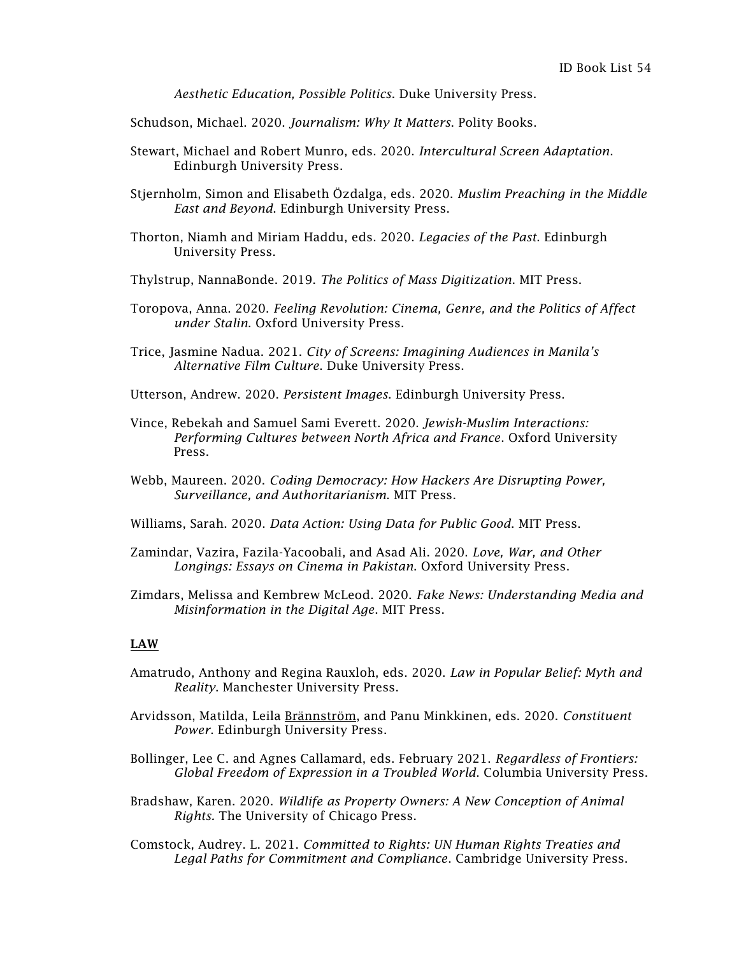*Aesthetic Education, Possible Politics*. Duke University Press.

Schudson, Michael. 2020. *Journalism: Why It Matters*. Polity Books.

- Stewart, Michael and Robert Munro, eds. 2020. *Intercultural Screen Adaptation*. Edinburgh University Press.
- Stjernholm, Simon and Elisabeth [Özdalga,](https://edinburghuniversitypress.com/elisabeth-ozdalga.html) eds. 2020. *Muslim Preaching in the Middle East and Beyond*. Edinburgh University Press.
- Thorton, Niamh and Miriam Haddu, eds. 2020. *Legacies of the Past*. Edinburgh University Press.
- Thylstrup, NannaBonde. 2019. *The Politics of Mass Digitization*. MIT Press.
- Toropova, Anna. 2020. *Feeling Revolution: Cinema, Genre, and the Politics of Affect under Stalin*. Oxford University Press.
- Trice, Jasmine Nadua. 2021. *City of Screens: Imagining Audiences in Manila's Alternative Film Culture*. Duke University Press.
- Utterson, Andrew. 2020. *Persistent Images*. Edinburgh University Press.
- Vince, Rebekah and Samuel Sami Everett. 2020. *Jewish-Muslim Interactions: Performing Cultures between North Africa and France*. Oxford University Press.
- Webb, Maureen. 2020. *Coding Democracy: How Hackers Are Disrupting Power, Surveillance, and Authoritarianism*. MIT Press.
- Williams, Sarah. 2020. *Data Action: Using Data for Public Good*. MIT Press.
- Zamindar, Vazira, Fazila-Yacoobali, and Asad Ali. 2020. *Love, War, and Other Longings: Essays on Cinema in Pakistan*. Oxford University Press.
- Zimdars, Melissa and Kembrew McLeod. 2020. *Fake News: Understanding Media and Misinformation in the Digital Age*. MIT Press.

# LAW

- Amatrudo, Anthony and Regina Rauxloh, eds. 2020. *Law in Popular Belief: Myth and Reality*. Manchester University Press.
- Arvidsson, Matilda, Leila [Brännström,](https://edinburghuniversitypress.com/leila-brannstrom.html) and Panu Minkkinen, eds. 2020. *Constituent Power*. Edinburgh University Press.
- Bollinger, Lee C. and Agnes Callamard, eds. February 2021. *Regardless of Frontiers: Global Freedom of Expression in a Troubled World*. Columbia University Press.
- Bradshaw, Karen. 2020. *Wildlife as Property Owners: A New Conception of Animal Rights.* The University of Chicago Press.
- Comstock, Audrey. L. 2021. *Committed to Rights: UN Human Rights Treaties and Legal Paths for Commitment and Compliance*. Cambridge University Press.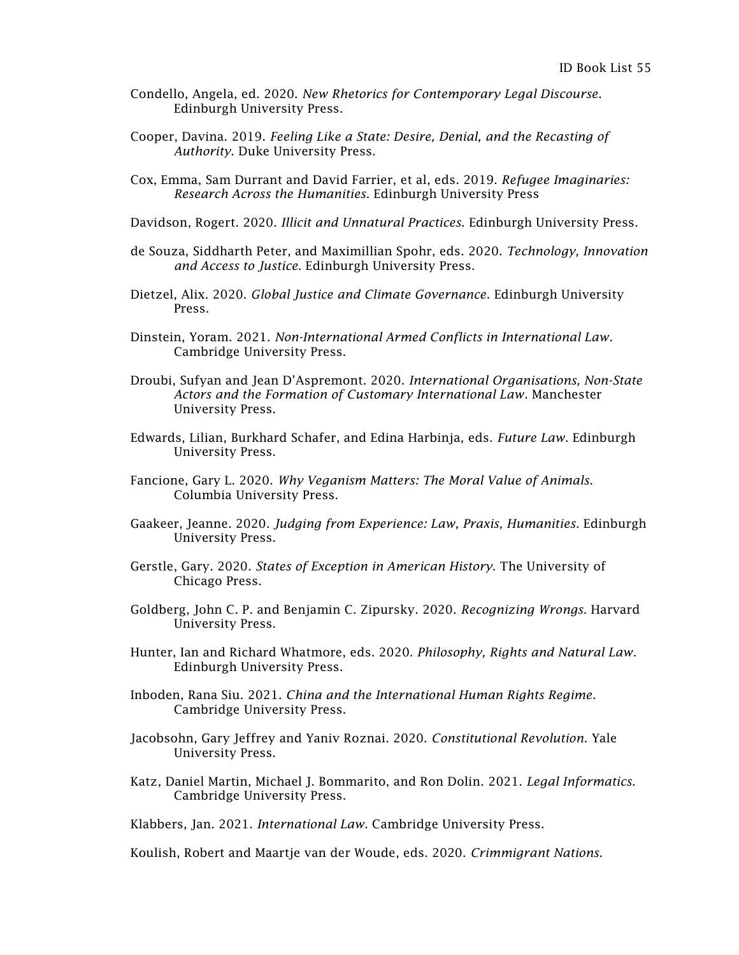- Condello, Angela, ed. 2020. *New Rhetorics for Contemporary Legal Discourse*. Edinburgh University Press.
- Cooper, Davina. 2019. *Feeling Like a State: Desire, Denial, and the Recasting of Authority*. Duke University Press.
- Cox, Emma, Sam Durrant and David Farrier, et al, eds. 2019. *Refugee Imaginaries: Research Across the Humanities*. Edinburgh University Press
- Davidson, Rogert. 2020. *Illicit and Unnatural Practices*. Edinburgh University Press.
- de Souza, Siddharth Peter, and Maximillian Spohr, eds. 2020. *Technology, Innovation and Access to Justice*. Edinburgh University Press.
- Dietzel, Alix. 2020. *Global Justice and Climate Governance*. Edinburgh University Press.
- Dinstein, Yoram. 2021. *Non-International Armed Conflicts in International Law*. Cambridge University Press.
- Droubi, Sufyan and Jean D'Aspremont. 2020. *International Organisations, Non-State Actors and the Formation of Customary International Law*. Manchester University Press.
- Edwards, Lilian, Burkhard Schafer, and Edina Harbinja, eds. *Future Law*. Edinburgh University Press.
- Fancione, Gary L. 2020. *Why Veganism Matters: The Moral Value of Animals*. Columbia University Press.
- Gaakeer, Jeanne. 2020. *Judging from Experience: Law, Praxis, Humanities*. Edinburgh University Press.
- Gerstle, Gary. 2020. *States of Exception in American History*. The University of Chicago Press.
- Goldberg, John C. P. and Benjamin C. Zipursky. 2020. *Recognizing Wrongs*. Harvard University Press.
- Hunter, Ian and Richard Whatmore, eds. 2020. *Philosophy, Rights and Natural Law*. Edinburgh University Press.
- Inboden, Rana Siu. 2021. *China and the International Human Rights Regime*. Cambridge University Press.
- Jacobsohn, Gary Jeffrey and Yaniv Roznai. 2020. *Constitutional Revolution.* Yale University Press.
- Katz, Daniel Martin, Michael J. Bommarito, and Ron Dolin. 2021. *Legal Informatics*. Cambridge University Press.

Klabbers, Jan. 2021. *International Law*. Cambridge University Press.

Koulish, Robert and Maartje van der Woude, eds. 2020. *Crimmigrant Nations*.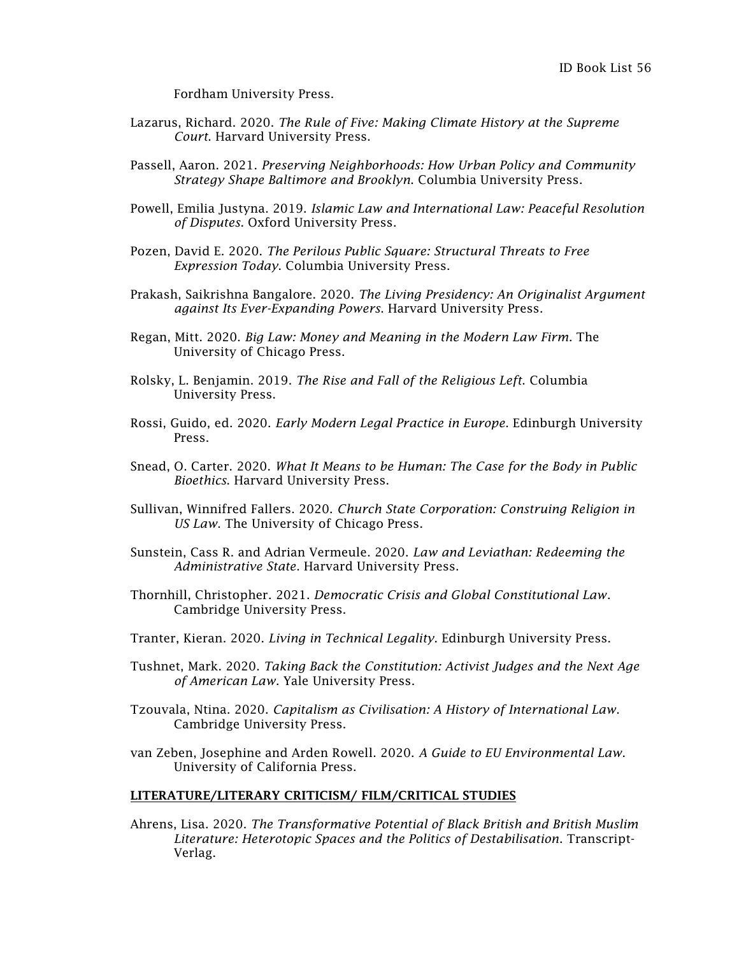Fordham University Press.

- Lazarus, Richard. 2020. *The Rule of Five: Making Climate History at the Supreme Court*. Harvard University Press.
- Passell, Aaron. 2021. *Preserving Neighborhoods: How Urban Policy and Community Strategy Shape Baltimore and Brooklyn*. Columbia University Press.
- Powell, Emilia Justyna. 2019. *Islamic Law and International Law: Peaceful Resolution of Disputes*. Oxford University Press.
- Pozen, David E. 2020. *The Perilous Public Square: Structural Threats to Free Expression Today*. Columbia University Press.
- Prakash, Saikrishna Bangalore. 2020. *The Living Presidency: An Originalist Argument against Its Ever-Expanding Powers*. Harvard University Press.
- Regan, Mitt. 2020. *Big Law: Money and Meaning in the Modern Law Firm*. The University of Chicago Press.
- Rolsky, L. Benjamin. 2019. *The Rise and Fall of the Religious Left*. Columbia University Press.
- Rossi, Guido, ed. 2020. *Early Modern Legal Practice in Europe*. Edinburgh University Press.
- Snead, O. Carter. 2020. *What It Means to be Human: The Case for the Body in Public Bioethics*. Harvard University Press.
- Sullivan, Winnifred Fallers. 2020. *Church State Corporation: Construing Religion in US Law*. The University of Chicago Press.
- Sunstein, Cass R. and Adrian Vermeule. 2020. *Law and Leviathan: Redeeming the Administrative State*. Harvard University Press.
- Thornhill, Christopher. 2021. *Democratic Crisis and Global Constitutional Law*. Cambridge University Press.
- Tranter, Kieran. 2020. *Living in Technical Legality*. Edinburgh University Press.
- Tushnet, Mark. 2020. *Taking Back the Constitution: Activist Judges and the Next Age of American Law*. Yale University Press.
- Tzouvala, Ntina. 2020. *Capitalism as Civilisation: A History of International Law*. Cambridge University Press.
- van Zeben, Josephine and Arden Rowell. 2020. *A Guide to EU Environmental Law*. University of California Press.

## LITERATURE/LITERARY CRITICISM/ FILM/CRITICAL STUDIES

Ahrens, Lisa. 2020. *The Transformative Potential of Black British and British Muslim Literature: Heterotopic Spaces and the Politics of Destabilisation*. Transcript-Verlag.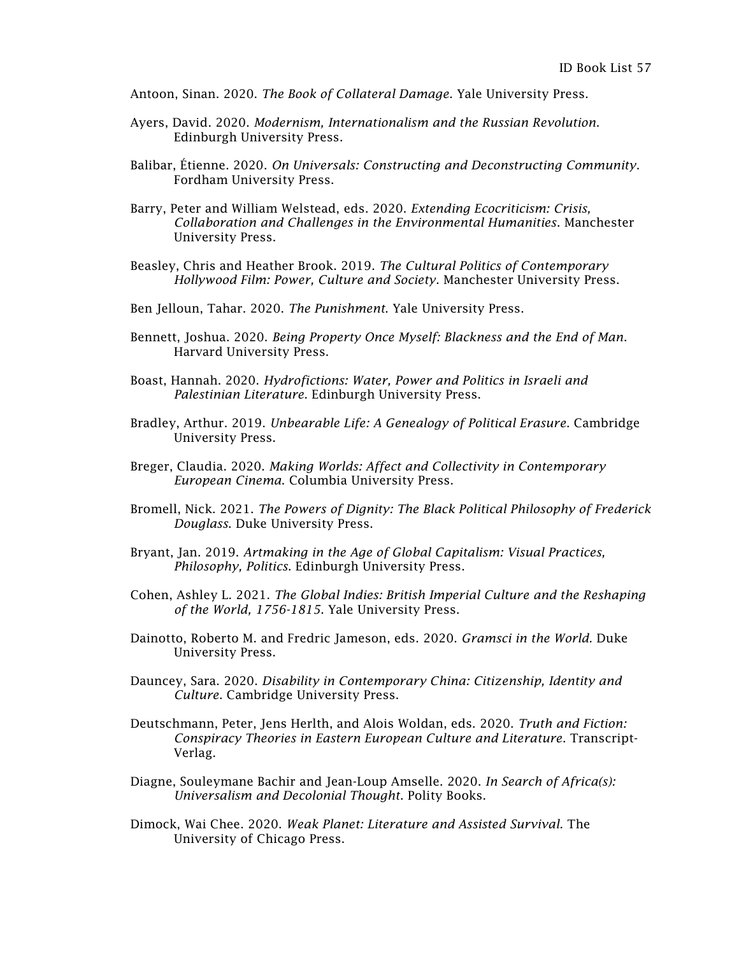Antoon, Sinan. 2020. *The Book of Collateral Damage*. Yale University Press.

- Ayers, David. 2020. *Modernism, Internationalism and the Russian Revolution*. Edinburgh University Press.
- Balibar, Étienne. 2020. *On Universals: Constructing and Deconstructing Community*. Fordham University Press.
- Barry, Peter and William Welstead, eds. 2020. *Extending Ecocriticism: Crisis, Collaboration and Challenges in the Environmental Humanities*. Manchester University Press.
- Beasley, Chris and Heather Brook. 2019. *The Cultural Politics of Contemporary Hollywood Film: Power, Culture and Society*. Manchester University Press.
- Ben Jelloun, Tahar. 2020. *The Punishment*. Yale University Press.
- Bennett, Joshua. 2020. *Being Property Once Myself: Blackness and the End of Man*. Harvard University Press.
- Boast, Hannah. 2020. *Hydrofictions: Water, Power and Politics in Israeli and Palestinian Literature*. Edinburgh University Press.
- Bradley, Arthur. 2019. *Unbearable Life: A Genealogy of Political Erasure*. Cambridge University Press.
- Breger, Claudia. 2020. *Making Worlds: Affect and Collectivity in Contemporary European Cinema*. Columbia University Press.
- Bromell, Nick. 2021. *The Powers of Dignity: The Black Political Philosophy of Frederick Douglass*. Duke University Press.
- Bryant, Jan. 2019. *Artmaking in the Age of Global Capitalism: Visual Practices, Philosophy, Politics*. Edinburgh University Press.
- Cohen, Ashley L. 2021. *The Global Indies: British Imperial Culture and the Reshaping of the World, 1756-1815*. Yale University Press.
- Dainotto, Roberto M. and Fredric Jameson, eds. 2020. *Gramsci in the World.* Duke University Press.
- Dauncey, Sara. 2020. *Disability in Contemporary China: Citizenship, Identity and Culture*. Cambridge University Press.
- Deutschmann, Peter, Jens Herlth, and Alois Woldan, eds. 2020. *Truth and Fiction: Conspiracy Theories in Eastern European Culture and Literature*. Transcript-Verlag.
- Diagne, Souleymane Bachir and Jean-Loup Amselle. 2020. *In Search of Africa(s): Universalism and Decolonial Thought*. Polity Books.
- Dimock, Wai Chee. 2020. *Weak Planet: Literature and Assisted Survival.* The University of Chicago Press.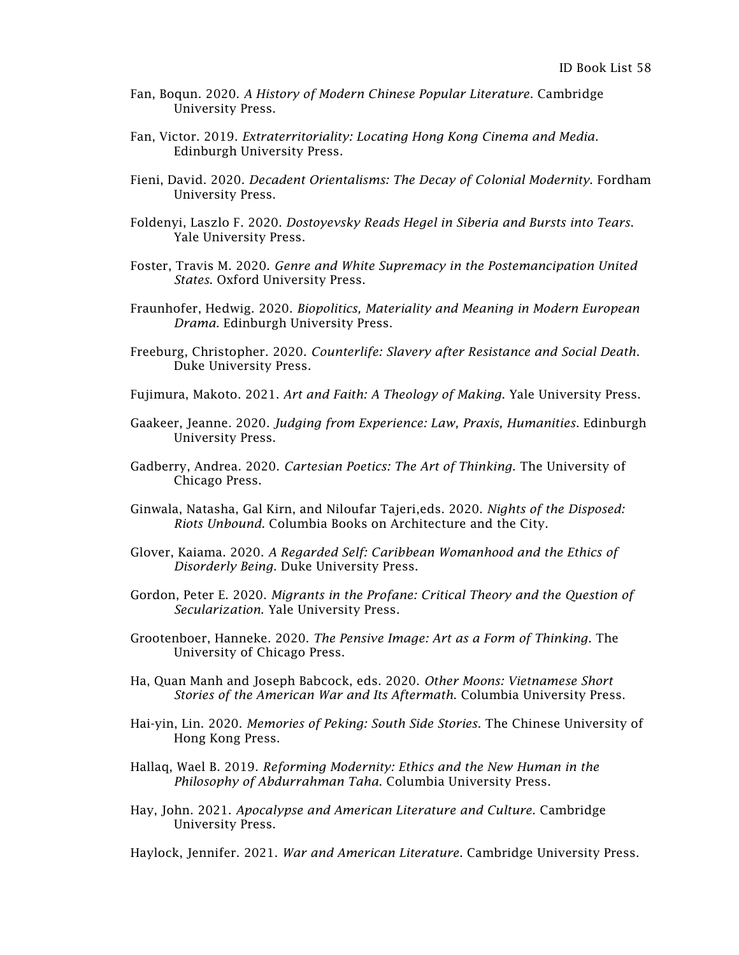- Fan, Boqun. 2020. *A History of Modern Chinese Popular Literature*. Cambridge University Press.
- Fan, Victor. 2019. *Extraterritoriality: Locating Hong Kong Cinema and Media*. Edinburgh University Press.
- Fieni, David. 2020. *Decadent Orientalisms: The Decay of Colonial Modernity*. Fordham University Press.
- Foldenyi, Laszlo F. 2020. *Dostoyevsky Reads Hegel in Siberia and Bursts into Tears*. Yale University Press.
- Foster, Travis M. 2020. *Genre and White Supremacy in the Postemancipation United States*. Oxford University Press.
- Fraunhofer, Hedwig. 2020. *Biopolitics, Materiality and Meaning in Modern European Drama.* Edinburgh University Press.
- Freeburg, Christopher. 2020. *Counterlife: Slavery after Resistance and Social Death*. Duke University Press.
- Fujimura, Makoto. 2021. *Art and Faith: A Theology of Making*. Yale University Press.
- Gaakeer, Jeanne. 2020. *Judging from Experience: Law, Praxis, Humanities*. Edinburgh University Press.
- Gadberry, Andrea. 2020. *Cartesian Poetics: The Art of Thinking*. The University of Chicago Press.
- Ginwala, Natasha, Gal Kirn, and Niloufar Tajeri,eds. 2020. *Nights of the Disposed: Riots Unbound*. Columbia Books on Architecture and the City.
- Glover, Kaiama. 2020. *A Regarded Self: Caribbean Womanhood and the Ethics of Disorderly Being*. Duke University Press.
- Gordon, Peter E. 2020. *Migrants in the Profane: Critical Theory and the Question of Secularization*. Yale University Press.
- Grootenboer, Hanneke. 2020. *The Pensive Image: Art as a Form of Thinking*. The University of Chicago Press.
- Ha, Quan Manh and Joseph Babcock, eds. 2020. *Other Moons: Vietnamese Short Stories of the American War and Its Aftermath*. Columbia University Press.
- Hai-yin, Lin. 2020. *Memories of Peking: South Side Stories*. The Chinese University of Hong Kong Press.
- Hallaq, Wael B. 2019. *Reforming Modernity: Ethics and the New Human in the Philosophy of Abdurrahman Taha*. Columbia University Press.
- Hay, John. 2021. *Apocalypse and American Literature and Culture.* Cambridge University Press.

Haylock, Jennifer. 2021. *War and American Literature*. Cambridge University Press.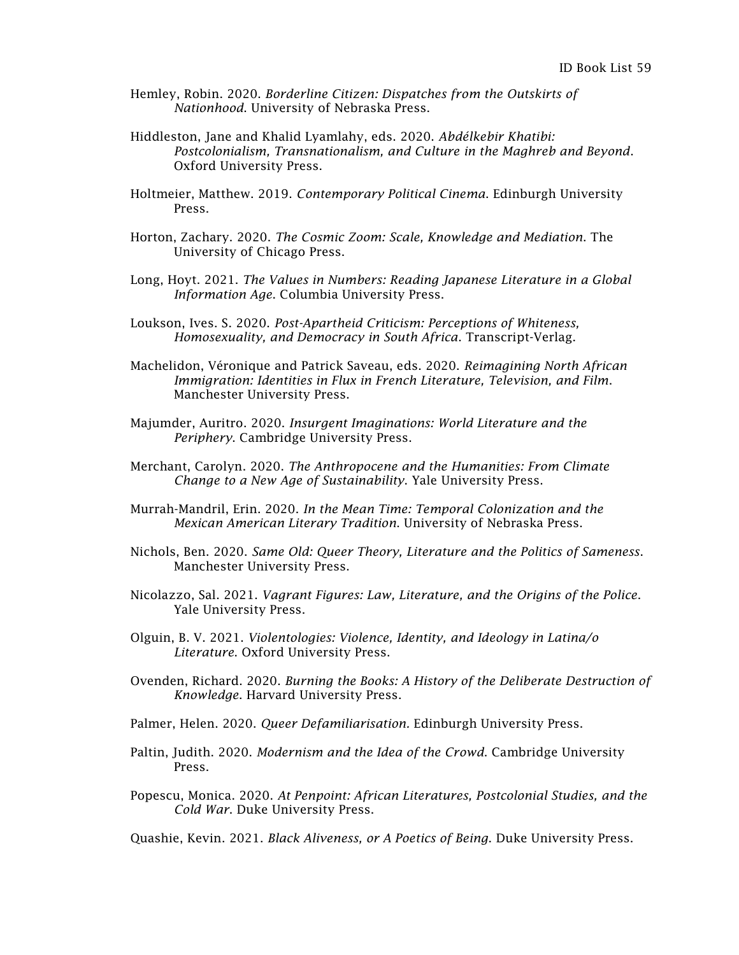- Hemley, Robin. 2020. *Borderline Citizen: Dispatches from the Outskirts of Nationhood*. University of Nebraska Press.
- Hiddleston, Jane and Khalid Lyamlahy, eds. 2020. *Abdélkebir Khatibi: Postcolonialism, Transnationalism, and Culture in the Maghreb and Beyond*. Oxford University Press.
- Holtmeier, Matthew. 2019. *Contemporary Political Cinema*. Edinburgh University Press.
- Horton, Zachary. 2020. *The Cosmic Zoom: Scale, Knowledge and Mediation*. The University of Chicago Press.
- Long, Hoyt. 2021. *The Values in Numbers: Reading Japanese Literature in a Global Information Age*. Columbia University Press.
- Loukson, Ives. S. 2020. *Post-Apartheid Criticism: Perceptions of Whiteness, Homosexuality, and Democracy in South Africa*. Transcript-Verlag.
- Machelidon, Véronique and Patrick Saveau, eds. 2020. *Reimagining North African Immigration: Identities in Flux in French Literature, Television, and Film*. Manchester University Press.
- Majumder, Auritro. 2020. *Insurgent Imaginations: World Literature and the Periphery*. Cambridge University Press.
- Merchant, Carolyn. 2020. *The [Anthropocene](https://yalebooks.yale.edu/book/9780300244236/anthropocene-and-humanities) and the Humanities: From Climate Change to a New Age of Sustainability*. Yale University Press.
- Murrah-Mandril, Erin. 2020. *In the Mean Time: Temporal Colonization and the Mexican American Literary Tradition*. University of Nebraska Press.
- Nichols, Ben. 2020. *Same Old: Queer Theory, Literature and the Politics of Sameness*. Manchester University Press.
- Nicolazzo, Sal. 2021. *Vagrant Figures: Law, Literature, and the Origins of the Police*. Yale University Press.
- Olguin, B. V. 2021. *Violentologies: Violence, Identity, and Ideology in Latina/o Literature*. Oxford University Press.
- Ovenden, Richard. 2020. *Burning the Books: A History of the Deliberate Destruction of Knowledge*. Harvard University Press.
- Palmer, Helen. 2020. *Queer Defamiliarisation.* Edinburgh University Press.
- Paltin, Judith. 2020. *Modernism and the Idea of the Crowd*. Cambridge University Press.
- Popescu, Monica. 2020. *At Penpoint: African Literatures, Postcolonial Studies, and the Cold War*. Duke University Press.

Quashie, Kevin. 2021. *Black Aliveness, or A Poetics of Being*. Duke University Press.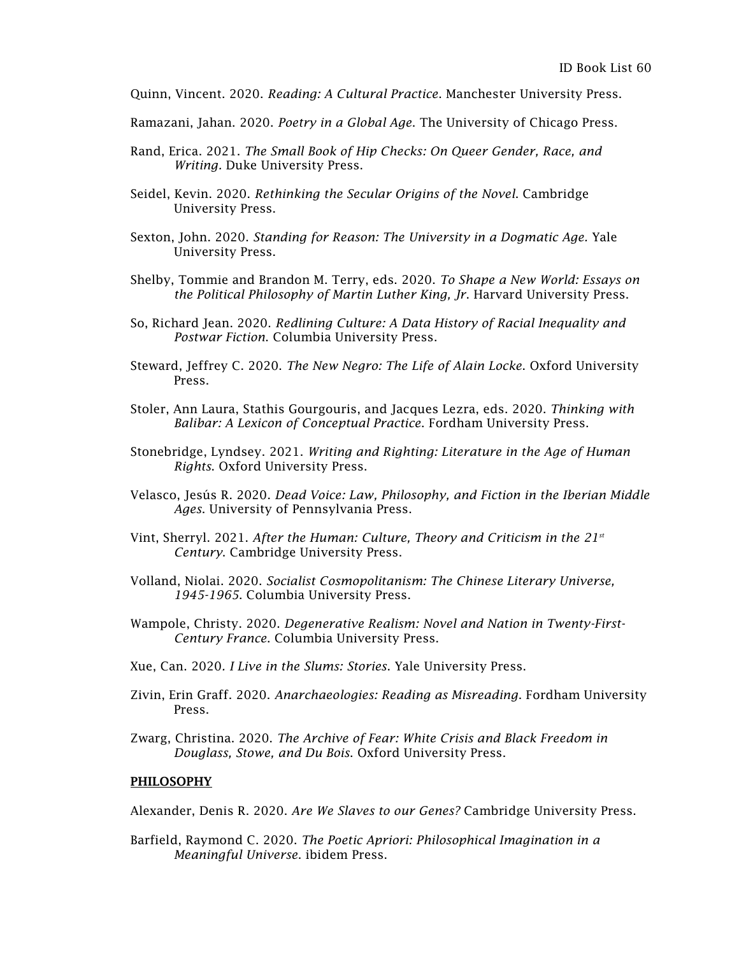Quinn, Vincent. 2020. *Reading: A Cultural Practice*. Manchester University Press.

- Ramazani, Jahan. 2020. *Poetry in a Global Age*. The University of Chicago Press.
- Rand, Erica. 2021. *The Small Book of Hip Checks: On Queer Gender, Race, and Writing.* Duke University Press.
- Seidel, Kevin. 2020. *Rethinking the Secular Origins of the Novel*. Cambridge University Press.
- Sexton, John. 2020. *Standing for Reason: The University in a Dogmatic Age.* Yale University Press.
- Shelby, Tommie and Brandon M. Terry, eds. 2020. *To Shape a New World: Essays on the Political Philosophy of Martin Luther King, Jr*. Harvard University Press.
- So, Richard Jean. 2020. *Redlining Culture: A Data History of Racial Inequality and Postwar Fiction*. Columbia University Press.
- Steward, Jeffrey C. 2020. *The New Negro: The Life of Alain Locke*. Oxford University Press.
- Stoler, Ann Laura, Stathis Gourgouris, and Jacques Lezra, eds. 2020. *Thinking with Balibar: A Lexicon of Conceptual Practice*. Fordham University Press.
- Stonebridge, Lyndsey. 2021. *Writing and Righting: Literature in the Age of Human Rights*. Oxford University Press.
- Velasco, Jesús R. 2020. *Dead Voice: Law, Philosophy, and Fiction in the Iberian Middle Ages*. University of Pennsylvania Press.
- Vint, Sherryl. 2021. *After the Human: Culture, Theory and Criticism in the 21st Century*. Cambridge University Press.
- Volland, Niolai. 2020. *Socialist Cosmopolitanism: The Chinese Literary Universe, 1945-1965*. Columbia University Press.
- Wampole, Christy. 2020. *Degenerative Realism: Novel and Nation in Twenty-First-Century France*. Columbia University Press.
- Xue, Can. 2020*. I Live in the Slums: Stories*. Yale University Press.
- Zivin, Erin Graff. 2020. *Anarchaeologies: Reading as Misreading*. Fordham University Press.
- Zwarg, Christina. 2020. *The Archive of Fear: White Crisis and Black Freedom in Douglass, Stowe, and Du Bois*. Oxford University Press.

## PHILOSOPHY

Alexander, Denis R. 2020. *Are We Slaves to our Genes?* Cambridge University Press.

Barfield, Raymond C. 2020. *The Poetic Apriori: Philosophical Imagination in a Meaningful Universe*. ibidem Press.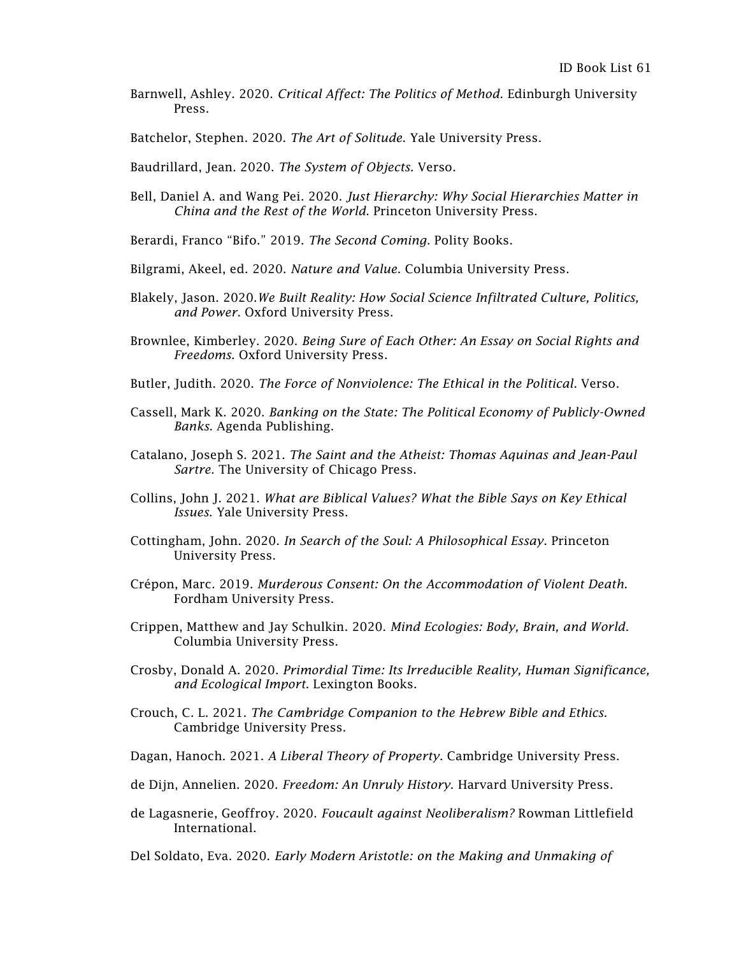Barnwell, Ashley. 2020. *Critical Affect: The Politics of Method*. Edinburgh University Press.

Batchelor, Stephen. 2020. *The Art of Solitude*. Yale University Press.

- Baudrillard, Jean. 2020. *The System of Objects*. Verso.
- Bell, Daniel A. and Wang Pei. 2020. *Just Hierarchy: Why Social Hierarchies Matter in China and the Rest of the World*. Princeton University Press.
- Berardi, Franco "Bifo." 2019. *The Second Coming*. Polity Books.
- Bilgrami, Akeel, ed. 2020. *Nature and Value*. Columbia University Press.
- Blakely, Jason. 2020.*We Built Reality: How Social Science Infiltrated Culture, Politics, and Power*. Oxford University Press.
- Brownlee, Kimberley. 2020. *Being Sure of Each Other: An Essay on Social Rights and Freedoms*. Oxford University Press.
- Butler, Judith. 2020. *The Force of Nonviolence: The Ethical in the Political*. Verso.
- Cassell, Mark K. 2020. *Banking on the State: The Political Economy of Publicly-Owned Banks*. Agenda Publishing.
- Catalano, Joseph S. 2021. *The Saint and the Atheist: Thomas Aquinas and Jean-Paul Sartre*. The University of Chicago Press.
- Collins, John J. 2021. *What are Biblical Values? What the Bible Says on Key Ethical Issues*. Yale University Press.
- Cottingham, John. 2020. *In Search of the Soul: A Philosophical Essay*. Princeton University Press.
- Crépon, Marc. 2019. *Murderous Consent: On the Accommodation of Violent Death*. Fordham University Press.
- Crippen, Matthew and Jay Schulkin. 2020. *Mind Ecologies: Body, Brain, and World*. Columbia University Press.
- Crosby, Donald A. 2020. *Primordial Time: Its Irreducible Reality, Human Significance, and Ecological Import*. Lexington Books.
- Crouch, C. L. 2021. *The Cambridge Companion to the Hebrew Bible and Ethics.*  Cambridge University Press.
- Dagan, Hanoch. 2021. *A Liberal Theory of Property*. Cambridge University Press.
- de Dijn, Annelien. 2020. *Freedom: An Unruly History*. Harvard University Press.
- de Lagasnerie, Geoffroy. 2020. *Foucault against Neoliberalism?* Rowman Littlefield International.
- Del Soldato, Eva. 2020. *Early Modern Aristotle: on the Making and Unmaking of*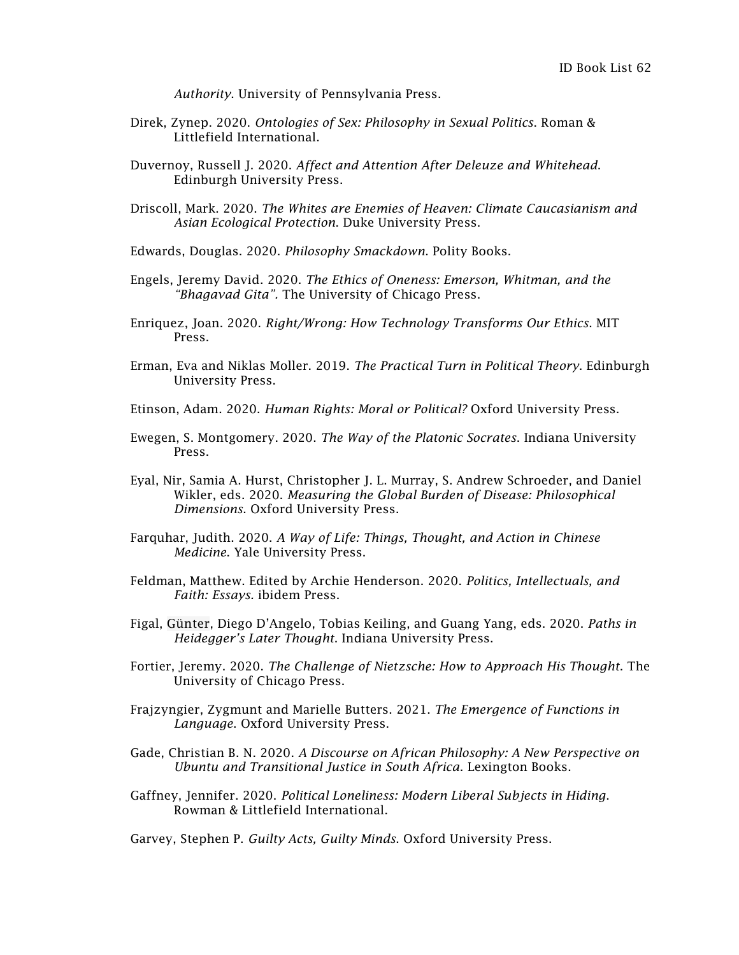*Authority*. University of Pennsylvania Press.

- Direk, Zynep. 2020. *Ontologies of Sex: Philosophy in Sexual Politics*. Roman & Littlefield International.
- Duvernoy, Russell J. 2020. *Affect and Attention After Deleuze and Whitehead*. Edinburgh University Press.
- Driscoll, Mark. 2020. *The Whites are Enemies of Heaven: Climate Caucasianism and Asian Ecological Protection*. Duke University Press.
- Edwards, Douglas. 2020. *Philosophy Smackdown*. Polity Books.
- Engels, Jeremy David. 2020. *The Ethics of Oneness: Emerson, Whitman, and the "Bhagavad Gita".* The University of Chicago Press.
- Enriquez, Joan. 2020. *Right/Wrong: How Technology Transforms Our Ethics*. MIT Press.
- Erman, Eva and Niklas Moller. 2019. *The Practical Turn in Political Theory*. Edinburgh University Press.
- Etinson, Adam. 2020. *Human Rights: Moral or Political?* Oxford University Press.
- Ewegen, S. Montgomery. 2020. *The Way of the Platonic Socrates*. Indiana University Press.
- Eyal, Nir, Samia A. Hurst, Christopher J. L. Murray, S. Andrew Schroeder, and Daniel Wikler, eds. 2020. *Measuring the Global Burden of Disease: Philosophical Dimensions*. Oxford University Press.
- Farquhar, Judith. 2020. *A Way of Life: Things, Thought, and Action in Chinese Medicine*. Yale University Press.
- Feldman, Matthew. Edited by Archie Henderson. 2020. *Politics, Intellectuals, and Faith: Essays.* ibidem Press.
- Figal, [Günter,](https://iupress.org/author/gunter-figal) Diego D'Angelo, Tobias Keiling, and Guang Yang, eds. 2020. *Paths in Heidegger's Later Thought*. Indiana University Press.
- Fortier, Jeremy. 2020. *The Challenge of Nietzsche: How to Approach His Thought*. The University of Chicago Press.
- Frajzyngier, Zygmunt and Marielle Butters. 2021. *The Emergence of Functions in Language*. Oxford University Press.
- Gade, Christian B. N. 2020. *A Discourse on African Philosophy: A New Perspective on Ubuntu and Transitional Justice in South Africa*. Lexington Books.
- Gaffney, Jennifer. 2020. *Political Loneliness: Modern Liberal Subjects in Hiding*. Rowman & Littlefield International.

Garvey, Stephen P. *Guilty Acts, Guilty Minds*. Oxford University Press.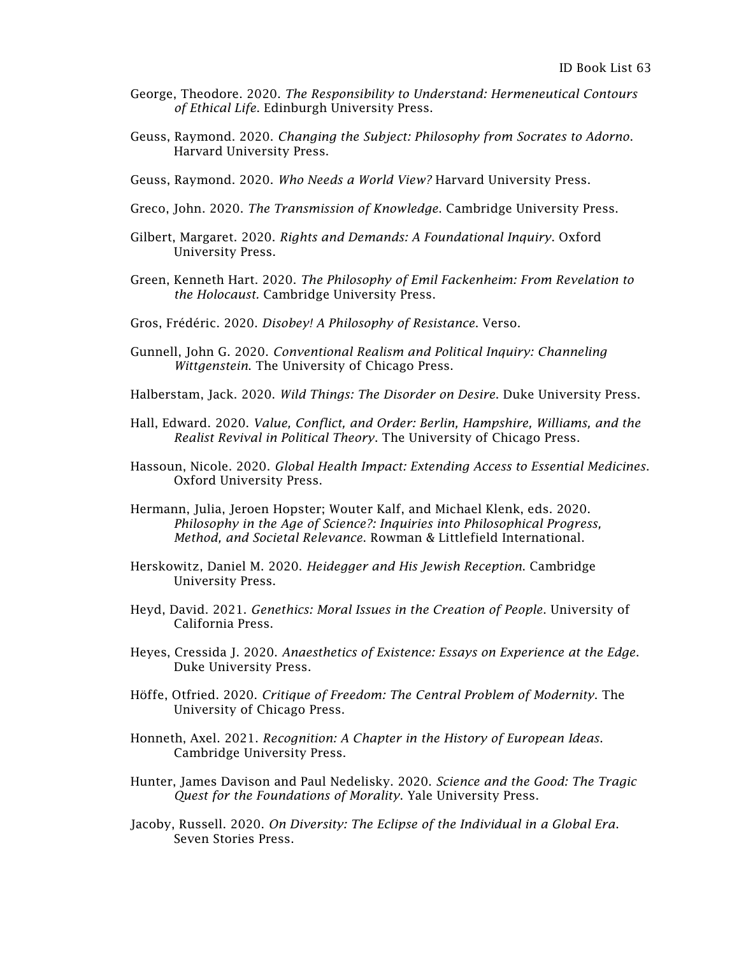- George, Theodore. 2020. *The Responsibility to Understand: Hermeneutical Contours of Ethical Life*. Edinburgh University Press.
- Geuss, Raymond. 2020. *Changing the Subject: Philosophy from Socrates to Adorno*. Harvard University Press.
- Geuss, Raymond. 2020. *Who Needs a World View?* Harvard University Press.
- Greco, John. 2020. *The Transmission of Knowledge*. Cambridge University Press.
- Gilbert, Margaret. 2020. *Rights and Demands: A Foundational Inquiry*. Oxford University Press.
- Green, Kenneth Hart. 2020. *The Philosophy of Emil Fackenheim: From Revelation to the Holocaust.* Cambridge University Press.
- Gros, Frédéric. 2020. *Disobey! A Philosophy of Resistance*. Verso.
- Gunnell, John G. 2020. *Conventional Realism and Political Inquiry: Channeling Wittgenstein*. The University of Chicago Press.
- Halberstam, Jack. 2020. *Wild Things: The Disorder on Desire*. Duke University Press.
- Hall, Edward. 2020. *Value, Conflict, and Order: Berlin, Hampshire, Williams, and the Realist Revival in Political Theory*. The University of Chicago Press.
- Hassoun, Nicole. 2020. *Global Health Impact: Extending Access to Essential Medicines*. Oxford University Press.
- Hermann, Julia, Jeroen Hopster; Wouter Kalf, and Michael Klenk, eds. 2020. *Philosophy in the Age of Science?: Inquiries into Philosophical Progress, Method, and Societal Relevance*. Rowman & Littlefield International.
- Herskowitz, Daniel M. 2020. *Heidegger and His Jewish Reception*. Cambridge University Press.
- Heyd, David. 2021. *Genethics: Moral Issues in the Creation of People*. University of California Press.
- Heyes, Cressida J. 2020. *Anaesthetics of Existence: Essays on Experience at the Edge*. Duke University Press.
- Höffe, Otfried. 2020. *Critique of Freedom: The Central Problem of Modernity*. The University of Chicago Press.
- Honneth, Axel. 2021. *Recognition: A Chapter in the History of European Ideas*. Cambridge University Press.
- Hunter, James Davison and Paul Nedelisky. 2020. *Science and the Good: The Tragic Quest for the Foundations of Morality*. Yale University Press.
- Jacoby, Russell. 2020. *On Diversity: The Eclipse of the Individual in a Global Era*. Seven Stories Press.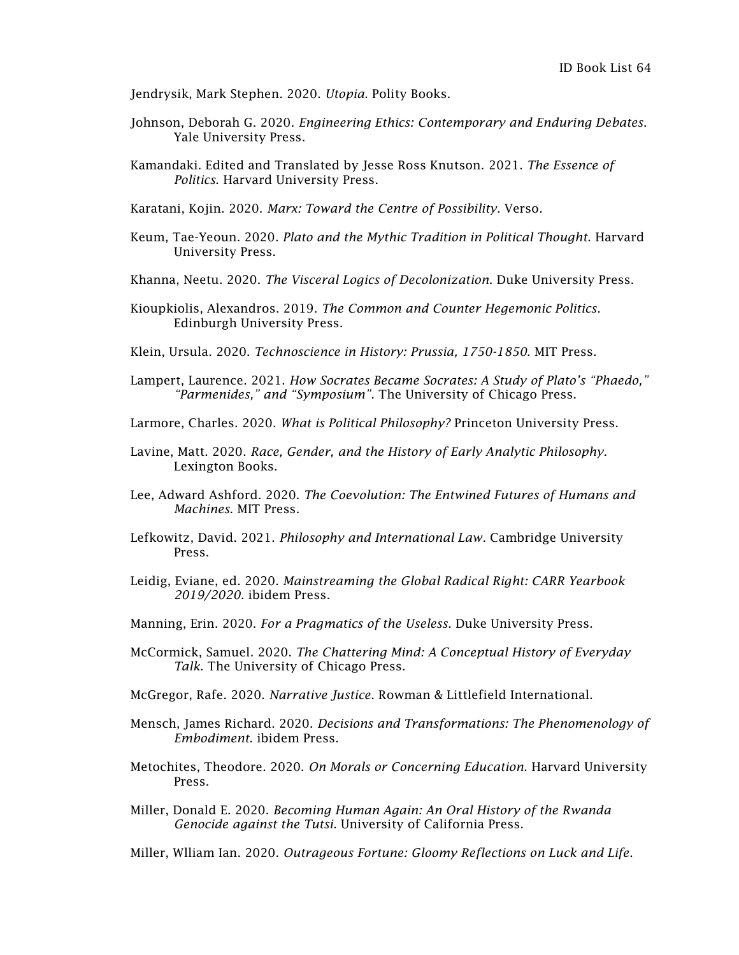Jendrysik, Mark Stephen. 2020. *Utopia*. Polity Books.

- Johnson, Deborah G. 2020. *Engineering Ethics: Contemporary and Enduring Debates*. Yale University Press.
- Kamandaki. Edited and Translated by Jesse Ross Knutson. 2021. *The Essence of Politics*. Harvard University Press.

Karatani, Kojin. 2020. *Marx: Toward the Centre of Possibility*. Verso.

- Keum, Tae-Yeoun. 2020. *Plato and the Mythic Tradition in Political Thought*. Harvard University Press.
- Khanna, Neetu. 2020. *The Visceral Logics of Decolonization*. Duke University Press.
- Kioupkiolis, Alexandros. 2019. *The Common and Counter Hegemonic Politics*. Edinburgh University Press.
- Klein, Ursula. 2020. *Technoscience in History: Prussia, 1750-1850*. MIT Press.
- Lampert, Laurence. 2021. *How Socrates Became Socrates: A Study of Plato's "Phaedo," "Parmenides," and "Symposium".* The University of Chicago Press.
- Larmore, Charles. 2020. *What is Political Philosophy?* Princeton University Press.
- Lavine, Matt. 2020. *Race, Gender, and the History of Early Analytic Philosophy*. Lexington Books.
- Lee, Adward Ashford. 2020. *The Coevolution: The Entwined Futures of Humans and Machines*. MIT Press.
- Lefkowitz, David. 2021. *Philosophy and International Law*. Cambridge University Press.
- Leidig, Eviane, ed. 2020. *Mainstreaming the Global Radical Right: CARR Yearbook 2019/2020.* ibidem Press.
- Manning, Erin. 2020. *For a Pragmatics of the Useless*. Duke University Press.
- McCormick, Samuel. 2020. *The Chattering Mind: A Conceptual History of Everyday Talk*. The University of Chicago Press.
- McGregor, Rafe. 2020. *Narrative Justice*. Rowman & Littlefield International.
- Mensch, James Richard. 2020. *Decisions and Transformations: The Phenomenology of Embodiment.* ibidem Press.
- Metochites, Theodore. 2020. *On Morals or Concerning Education*. Harvard University Press.
- Miller, Donald E. 2020. *Becoming Human Again: An Oral History of the Rwanda Genocide against the Tutsi*. University of California Press.
- Miller, Wlliam Ian. 2020. *Outrageous Fortune: Gloomy Reflections on Luck and Life*.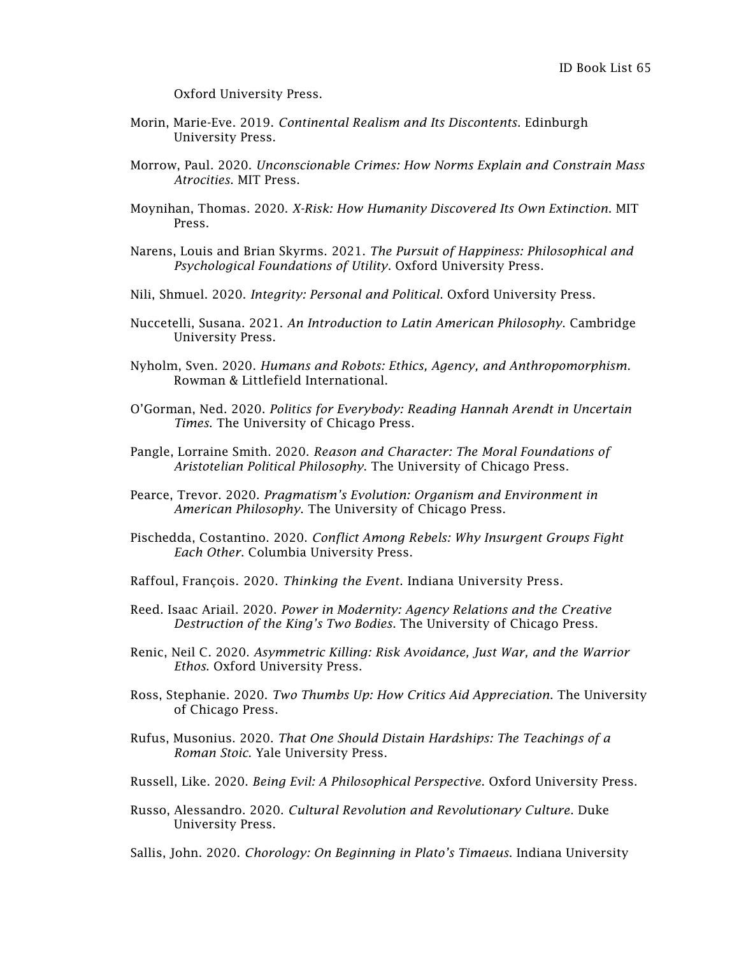Oxford University Press.

- Morin, Marie-Eve. 2019. *Continental Realism and Its Discontents*. Edinburgh University Press.
- Morrow, Paul. 2020. *Unconscionable Crimes: How Norms Explain and Constrain Mass Atrocities*. MIT Press.
- Moynihan, Thomas. 2020. *X-Risk: How Humanity Discovered Its Own Extinction*. MIT Press.
- Narens, Louis and Brian Skyrms. 2021. *The Pursuit of Happiness: Philosophical and Psychological Foundations of Utility*. Oxford University Press.
- Nili, Shmuel. 2020. *Integrity: Personal and Political*. Oxford University Press.
- Nuccetelli, Susana. 2021. *An Introduction to Latin American Philosophy*. Cambridge University Press.
- Nyholm, Sven. 2020. *Humans and Robots: Ethics, Agency, and Anthropomorphism*. Rowman & Littlefield International.
- O'Gorman, Ned. 2020. *Politics for Everybody: Reading Hannah Arendt in Uncertain Times*. The University of Chicago Press.
- Pangle, Lorraine Smith. 2020. *Reason and Character: The Moral Foundations of Aristotelian Political Philosophy*. The University of Chicago Press.
- Pearce, Trevor. 2020. *Pragmatism's Evolution: Organism and Environment in American Philosophy*. The University of Chicago Press.
- Pischedda, Costantino. 2020. *Conflict Among Rebels: Why Insurgent Groups Fight Each Other*. Columbia University Press.
- Raffoul, François. 2020. *Thinking the Event*. Indiana University Press.
- Reed. Isaac Ariail. 2020. *Power in Modernity: Agency Relations and the Creative Destruction of the King's Two Bodies*. The University of Chicago Press.
- Renic, Neil C. 2020. *Asymmetric Killing: Risk Avoidance, Just War, and the Warrior Ethos*. Oxford University Press.
- Ross, Stephanie. 2020. *Two Thumbs Up: How Critics Aid Appreciation*. The University of Chicago Press.
- Rufus, Musonius. 2020. *That One Should Distain Hardships: The Teachings of a Roman Stoic*. Yale University Press.
- Russell, Like. 2020. *Being Evil: A Philosophical Perspective*. Oxford University Press.
- Russo, Alessandro. 2020. *Cultural Revolution and Revolutionary Culture*. Duke University Press.
- Sallis, John. 2020. *Chorology: On Beginning in Plato's Timaeus*. Indiana University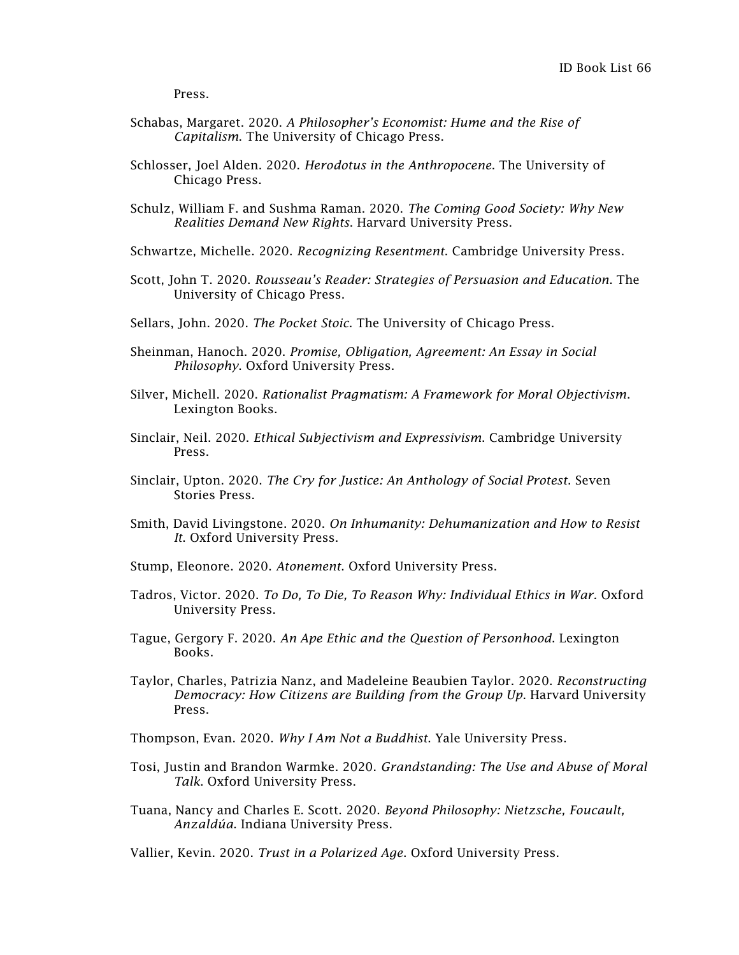Press.

- Schabas, Margaret. 2020. *A Philosopher's Economist: Hume and the Rise of Capitalism*. The University of Chicago Press.
- Schlosser, Joel Alden. 2020. *Herodotus in the Anthropocene*. The University of Chicago Press.
- Schulz, William F. and Sushma Raman. 2020. *The Coming Good Society: Why New Realities Demand New Rights*. Harvard University Press.

Schwartze, Michelle. 2020. *Recognizing Resentment*. Cambridge University Press.

- Scott, John T. 2020. *Rousseau's Reader: Strategies of Persuasion and Education*. The University of Chicago Press.
- Sellars, John. 2020. *The Pocket Stoic*. The University of Chicago Press.
- Sheinman, Hanoch. 2020. *Promise, Obligation, Agreement: An Essay in Social Philosophy*. Oxford University Press.
- Silver, Michell. 2020. *Rationalist Pragmatism: A Framework for Moral Objectivism*. Lexington Books.
- Sinclair, Neil. 2020. *Ethical Subjectivism and Expressivism*. Cambridge University Press.
- Sinclair, Upton. 2020. *The Cry for Justice: An Anthology of Social Protest*. Seven Stories Press.
- Smith, David Livingstone. 2020. *On Inhumanity: Dehumanization and How to Resist It*. Oxford University Press.
- Stump, Eleonore. 2020. *Atonement*. Oxford University Press.
- Tadros, Victor. 2020. *To Do, To Die, To Reason Why: Individual Ethics in War.* Oxford University Press.
- Tague, Gergory F. 2020. *An Ape Ethic and the Question of Personhood*. Lexington Books.
- Taylor, Charles, Patrizia Nanz, and Madeleine Beaubien Taylor. 2020. *Reconstructing Democracy: How Citizens are Building from the Group Up*. Harvard University Press.
- Thompson, Evan. 2020. *Why I Am Not a Buddhist*. Yale University Press.
- Tosi, Justin and Brandon Warmke. 2020. *Grandstanding: The Use and Abuse of Moral Talk*. Oxford University Press.
- Tuana, Nancy and Charles E. Scott. 2020. *Beyond Philosophy: Nietzsche, Foucault, Anzaldúa*. Indiana University Press.

Vallier, Kevin. 2020. *Trust in a Polarized Age*. Oxford University Press.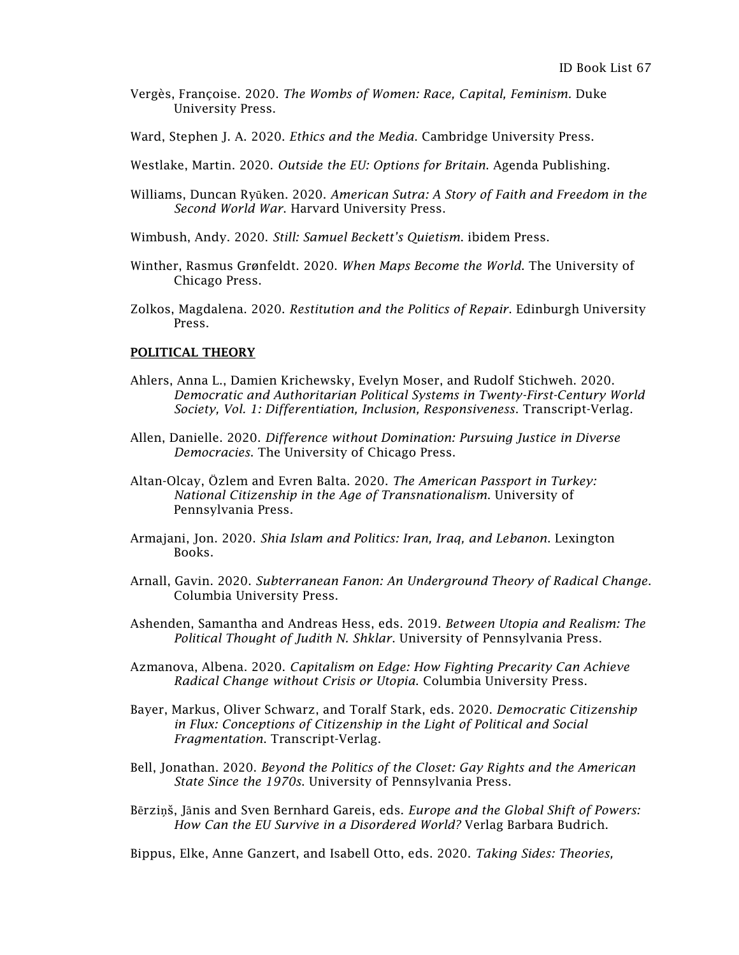- [Vergès,](https://www.dukeupress.edu/explore-subjects/browse?AuID=2565800) Françoise. 2020. *The Wombs of Women: Race, Capital, Feminism.* Duke University Press.
- Ward, Stephen J. A. 2020. *Ethics and the Media*. Cambridge University Press.
- Westlake, Martin. 2020. *Outside the EU: Options for Britain*. Agenda Publishing.
- Williams, Duncan Ryūken. 2020. *American Sutra: A Story of Faith and Freedom in the Second World War*. Harvard University Press.
- Wimbush, Andy. 2020. *Still: Samuel Beckett's Quietism*. ibidem Press.
- Winther, Rasmus Grønfeldt. 2020. *When Maps Become the World*. The University of Chicago Press.
- Zolkos, Magdalena. 2020. *Restitution and the Politics of Repair*. Edinburgh University Press.

## POLITICAL THEORY

- Ahlers, Anna L., Damien Krichewsky, Evelyn Moser, and Rudolf Stichweh. 2020. *Democratic and Authoritarian Political Systems in Twenty-First-Century World Society, Vol. 1: Differentiation, Inclusion, Responsiveness*. Transcript-Verlag.
- Allen, Danielle. 2020. *Difference without Domination: Pursuing Justice in Diverse Democracies*. The University of Chicago Press.
- Altan-Olcay, Özlem and Evren Balta. 2020. *The American Passport in Turkey: National Citizenship in the Age of Transnationalism*. University of Pennsylvania Press.
- Armajani, Jon. 2020. *Shia Islam and Politics: Iran, Iraq, and Lebanon*. Lexington Books.
- Arnall, Gavin. 2020. *Subterranean Fanon: An Underground Theory of Radical Change*. Columbia University Press.
- Ashenden, Samantha and Andreas Hess, eds. 2019. *Between Utopia and Realism: The Political Thought of Judith N. Shklar*. University of Pennsylvania Press.
- Azmanova, Albena. 2020. *Capitalism on Edge: How Fighting Precarity Can Achieve Radical Change without Crisis or Utopia*. Columbia University Press.
- Bayer, Markus, Oliver Schwarz, and Toralf Stark, eds. 2020. *Democratic Citizenship in Flux: Conceptions of Citizenship in the Light of Political and Social Fragmentation*. Transcript-Verlag.
- Bell, Jonathan. 2020. *Beyond the Politics of the Closet: Gay Rights and the American State Since the 1970s*. University of Pennsylvania Press.
- Bērziņš, Jānis and Sven Bernhard Gareis, eds. *Europe and the Global Shift of Powers: How Can the EU Survive in a Disordered World?* Verlag Barbara Budrich.

Bippus, Elke, Anne Ganzert, and Isabell Otto, eds. 2020. *Taking Sides: Theories,*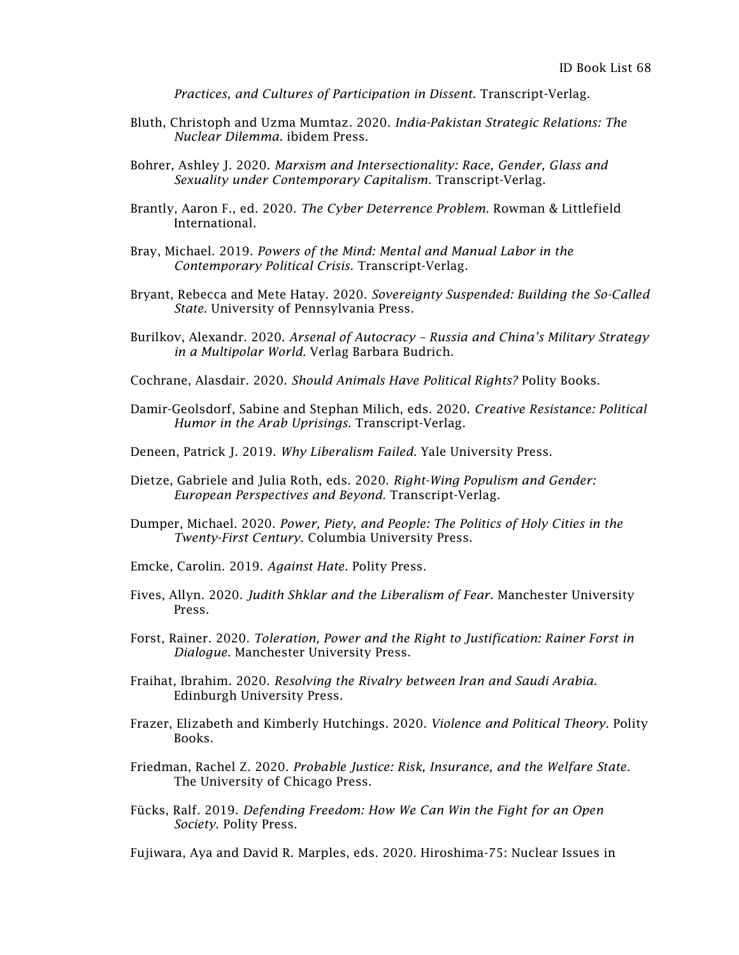*Practices, and Cultures of Participation in Dissent*. Transcript-Verlag.

- Bluth, Christoph and Uzma Mumtaz. 2020. *India-Pakistan Strategic Relations: The Nuclear Dilemma.* ibidem Press.
- Bohrer, Ashley J. 2020. *Marxism and Intersectionality: Race, Gender, Glass and Sexuality under Contemporary Capitalism*. Transcript-Verlag.
- Brantly, Aaron F., ed. 2020. *The Cyber Deterrence Problem*. Rowman & Littlefield International.
- Bray, Michael. 2019. *Powers of the Mind: Mental and Manual Labor in the Contemporary Political Crisis.* Transcript-Verlag.
- Bryant, Rebecca and Mete Hatay. 2020. *Sovereignty Suspended: Building the So-Called State*. University of Pennsylvania Press.
- Burilkov, Alexandr. 2020. *Arsenal of Autocracy – Russia and China's Military Strategy in a Multipolar World*. Verlag Barbara Budrich.
- Cochrane, Alasdair. 2020. *Should Animals Have Political Rights?* Polity Books.
- Damir-Geolsdorf, Sabine and Stephan Milich, eds. 2020. *Creative Resistance: Political Humor in the Arab Uprisings*. Transcript-Verlag.
- Deneen, Patrick J. 2019. *Why Liberalism Failed*. Yale University Press.
- Dietze, Gabriele and Julia Roth, eds. 2020. *Right-Wing Populism and Gender: European Perspectives and Beyond*. Transcript-Verlag.
- Dumper, Michael. 2020. *Power, Piety, and People: The Politics of Holy Cities in the Twenty-First Century*. Columbia University Press.
- Emcke, Carolin. 2019. *Against Hate*. Polity Press.
- Fives, Allyn. 2020. *Judith Shklar and the Liberalism of Fear*. Manchester University Press.
- Forst, Rainer. 2020. *Toleration, Power and the Right to Justification: Rainer Forst in Dialogue*. Manchester University Press.
- Fraihat, Ibrahim. 2020. *Resolving the Rivalry between Iran and Saudi Arabia*. Edinburgh University Press.
- Frazer, Elizabeth and Kimberly Hutchings. 2020. *Violence and Political Theory*. Polity Books.
- Friedman, Rachel Z. 2020. *Probable Justice: Risk, Insurance, and the Welfare State*. The University of Chicago Press.
- Fücks, Ralf. 2019. *Defending Freedom: How We Can Win the Fight for an Open Society*. Polity Press.

Fujiwara, Aya and David R. Marples, eds. 2020. Hiroshima-75: Nuclear Issues in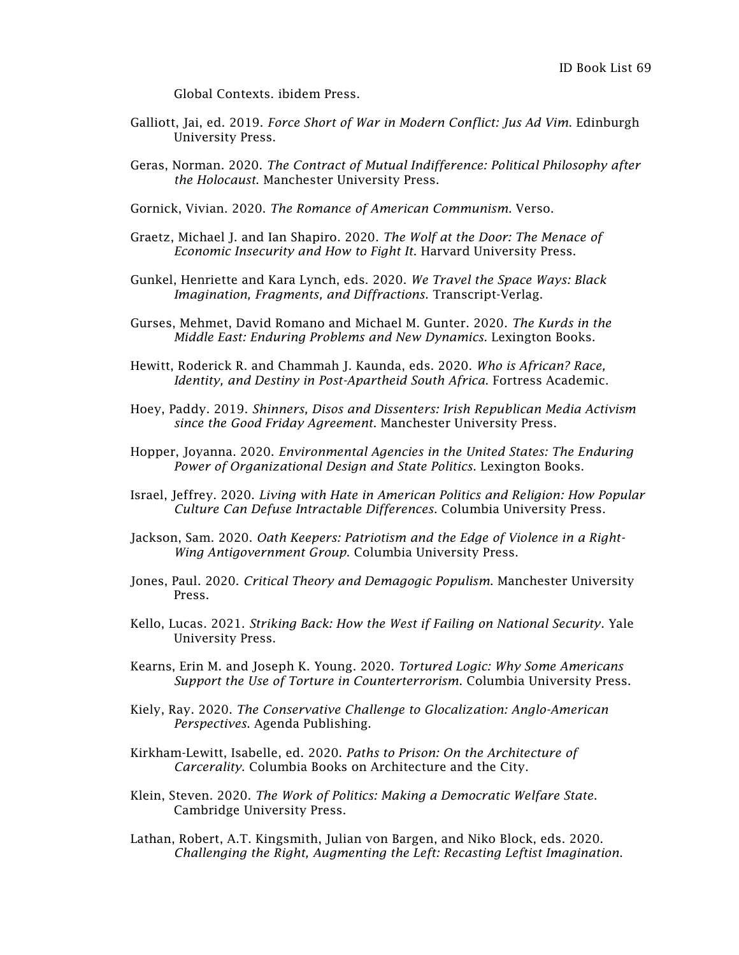Global Contexts. ibidem Press.

- Galliott, Jai, ed. 2019. *Force Short of War in Modern Conflict: Jus Ad Vim*. Edinburgh University Press.
- Geras, Norman. 2020. *The Contract of Mutual Indifference: Political Philosophy after the Holocaust*. Manchester University Press.

Gornick, Vivian. 2020. *The Romance of American Communism*. Verso.

- Graetz, Michael J. and Ian Shapiro. 2020. *The Wolf at the Door: The Menace of Economic Insecurity and How to Fight It*. Harvard University Press.
- Gunkel, Henriette and Kara Lynch, eds. 2020. *We Travel the Space Ways: Black Imagination, Fragments, and Diffractions*. Transcript-Verlag.
- Gurses, Mehmet, David Romano and Michael M. Gunter. 2020. *The Kurds in the Middle East: Enduring Problems and New Dynamics.* Lexington Books.
- Hewitt, Roderick R. and Chammah J. Kaunda, eds. 2020. *Who is African? Race, Identity, and Destiny in Post-Apartheid South Africa*. Fortress Academic.
- Hoey, Paddy. 2019. *Shinners, Disos and Dissenters: Irish Republican Media Activism since the Good Friday Agreement*. Manchester University Press.
- Hopper, Joyanna. 2020. *Environmental Agencies in the United States: The Enduring Power of Organizational Design and State Politics*. Lexington Books.
- Israel, Jeffrey. 2020. *Living with Hate in American Politics and Religion: How Popular Culture Can Defuse Intractable Differences*. Columbia University Press.
- Jackson, Sam. 2020. *Oath Keepers: Patriotism and the Edge of Violence in a Right-Wing Antigovernment Group*. Columbia University Press.
- Jones, Paul. 2020. *Critical Theory and Demagogic Populism*. Manchester University Press.
- Kello, Lucas. 2021. *Striking Back: How the West if Failing on National Security*. Yale University Press.
- Kearns, Erin M. and Joseph K. Young. 2020. *Tortured Logic: Why Some Americans Support the Use of Torture in Counterterrorism*. Columbia University Press.
- Kiely, Ray. 2020. *The Conservative Challenge to Glocalization: Anglo-American Perspectives*. Agenda Publishing.
- Kirkham-Lewitt, Isabelle, ed. 2020. *Paths to Prison: On the Architecture of Carcerality*. Columbia Books on Architecture and the City.
- Klein, Steven. 2020. *The Work of Politics: Making a Democratic Welfare State*. Cambridge University Press.
- Lathan, Robert, A.T. Kingsmith, Julian von Bargen, and Niko Block, eds. 2020. *Challenging the Right, Augmenting the Left: Recasting Leftist Imagination*.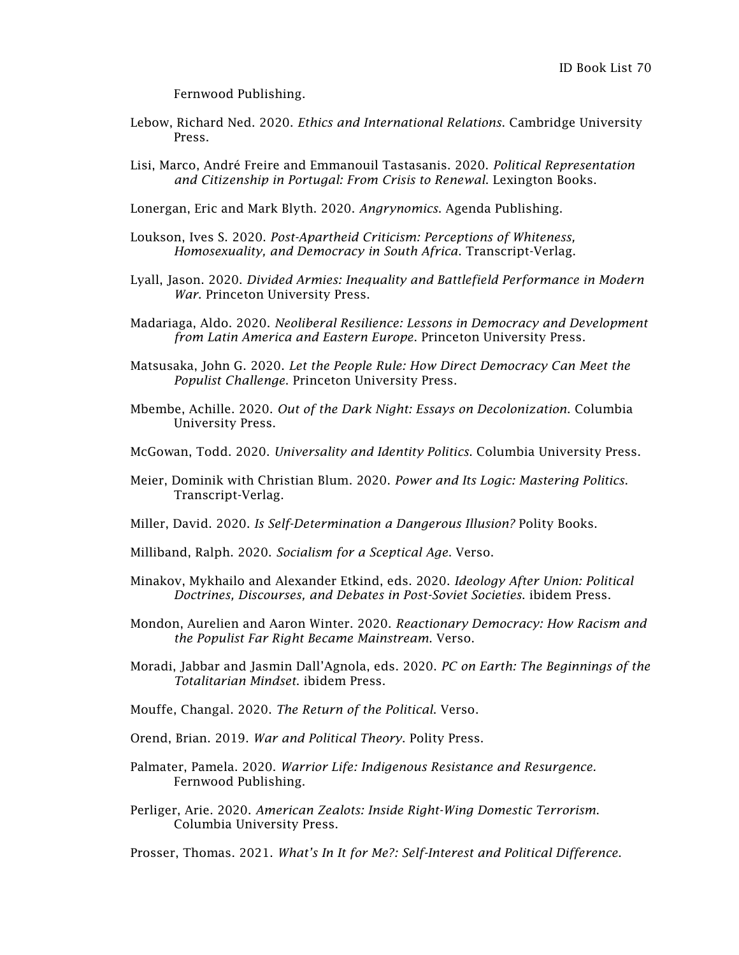Fernwood Publishing.

- Lebow, Richard Ned. 2020. *Ethics and International Relations*. Cambridge University Press.
- Lisi, Marco, André Freire and Emmanouil Tastasanis. 2020. *Political Representation and Citizenship in Portugal: From Crisis to Renewal*. Lexington Books.
- Lonergan, Eric and Mark Blyth. 2020. *Angrynomics*. Agenda Publishing.
- Loukson, Ives S. 2020. *Post-Apartheid Criticism: Perceptions of Whiteness, Homosexuality, and Democracy in South Africa*. Transcript-Verlag.
- Lyall, Jason. 2020. *Divided Armies: Inequality and Battlefield Performance in Modern War*. Princeton University Press.
- Madariaga, Aldo. 2020. *Neoliberal Resilience: Lessons in Democracy and Development from Latin America and Eastern Europe*. Princeton University Press.
- Matsusaka, John G. 2020. *Let the People Rule: How Direct Democracy Can Meet the Populist Challenge*. Princeton University Press.
- Mbembe, Achille. 2020. *Out of the Dark Night: Essays on Decolonization*. Columbia University Press.
- McGowan, Todd. 2020. *Universality and Identity Politics*. Columbia University Press.
- Meier, Dominik with Christian Blum. 2020. *Power and Its Logic: Mastering Politics*. Transcript-Verlag.
- Miller, David. 2020. *Is Self-Determination a Dangerous Illusion?* Polity Books.
- Milliband, Ralph. 2020. *Socialism for a Sceptical Age*. Verso.
- Minakov, Mykhailo and Alexander Etkind, eds. 2020. *Ideology After Union: Political Doctrines, Discourses, and Debates in Post-Soviet Societies*. ibidem Press.
- Mondon, Aurelien and Aaron Winter. 2020. *Reactionary Democracy: How Racism and the Populist Far Right Became Mainstream*. Verso.
- Moradi, Jabbar and Jasmin Dall'Agnola, eds. 2020. *PC on Earth: The Beginnings of the Totalitarian Mindset*. ibidem Press.
- Mouffe, Changal. 2020. *The Return of the Political*. Verso.
- Orend, Brian. 2019. *War and Political Theory*. Polity Press.
- Palmater, Pamela. 2020. *Warrior Life: Indigenous Resistance and Resurgence.* Fernwood Publishing.
- Perliger, Arie. 2020. *American Zealots: Inside Right-Wing Domestic Terrorism*. Columbia University Press.

Prosser, Thomas. 2021. *What's In It for Me?: Self-Interest and Political Difference*.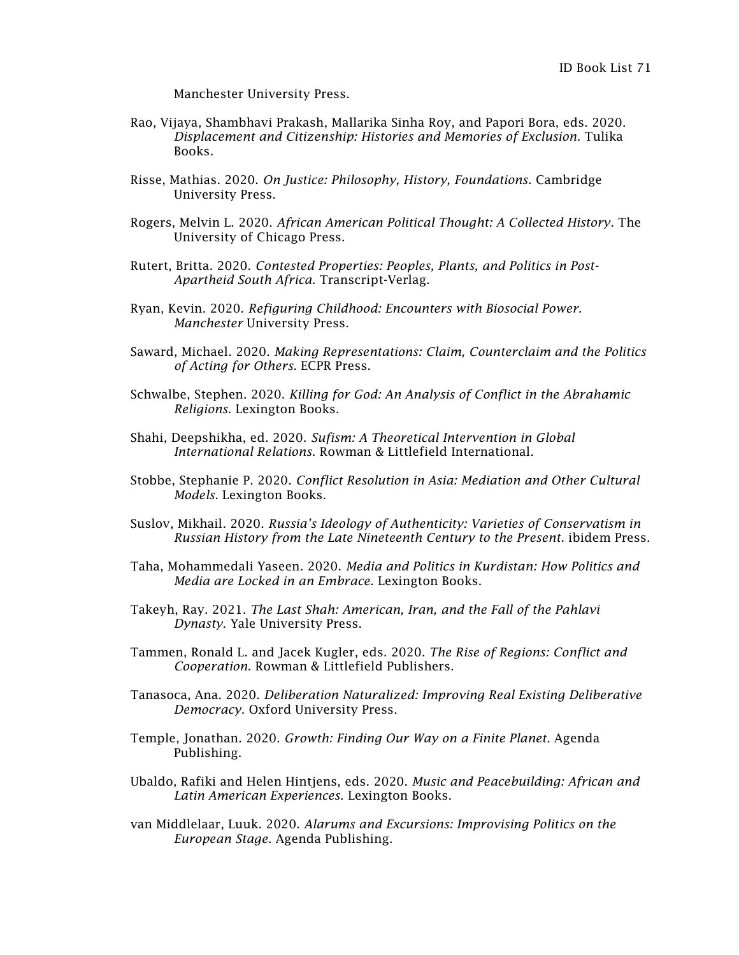Manchester University Press.

- Rao, Vijaya, Shambhavi Prakash, Mallarika Sinha Roy, and Papori Bora, eds. 2020. *Displacement and Citizenship: Histories and Memories of Exclusion*. Tulika Books.
- Risse, Mathias. 2020. *On Justice: Philosophy, History, Foundations*. Cambridge University Press.
- Rogers, Melvin L. 2020. *African American Political Thought: A Collected History*. The University of Chicago Press.
- Rutert, Britta. 2020. *Contested Properties: Peoples, Plants, and Politics in Post-Apartheid South Africa*. Transcript-Verlag.
- Ryan, Kevin. 2020. *Refiguring Childhood: Encounters with Biosocial Power. Manchester* University Press.
- Saward, Michael. 2020. *Making Representations: Claim, Counterclaim and the Politics of Acting for Others*. ECPR Press.
- Schwalbe, Stephen. 2020. *Killing for God: An Analysis of Conflict in the Abrahamic Religions*. Lexington Books.
- Shahi, Deepshikha, ed. 2020. *Sufism: A Theoretical Intervention in Global International Relations*. Rowman & Littlefield International.
- Stobbe, Stephanie P. 2020. *Conflict Resolution in Asia: Mediation and Other Cultural Models.* Lexington Books.
- Suslov, Mikhail. 2020. *Russia's Ideology of Authenticity: Varieties of Conservatism in Russian History from the Late Nineteenth Century to the Present*. ibidem Press.
- Taha, Mohammedali Yaseen. 2020. *Media and Politics in Kurdistan: How Politics and Media are Locked in an Embrace*. Lexington Books.
- Takeyh, Ray. 2021. *The Last Shah: American, Iran, and the Fall of the Pahlavi Dynasty*. Yale University Press.
- Tammen, Ronald L. and Jacek Kugler, eds. 2020. *The Rise of Regions: Conflict and Cooperation*. Rowman & Littlefield Publishers.
- Tanasoca, Ana. 2020. *Deliberation Naturalized: Improving Real Existing Deliberative Democracy*. Oxford University Press.
- Temple, Jonathan. 2020. *Growth: Finding Our Way on a Finite Planet*. Agenda Publishing.
- Ubaldo, Rafiki and Helen Hintjens, eds. 2020. *Music and Peacebuilding: African and Latin American Experiences*. Lexington Books.
- van Middlelaar, Luuk. 2020. *Alarums and Excursions: Improvising Politics on the European Stage*. Agenda Publishing.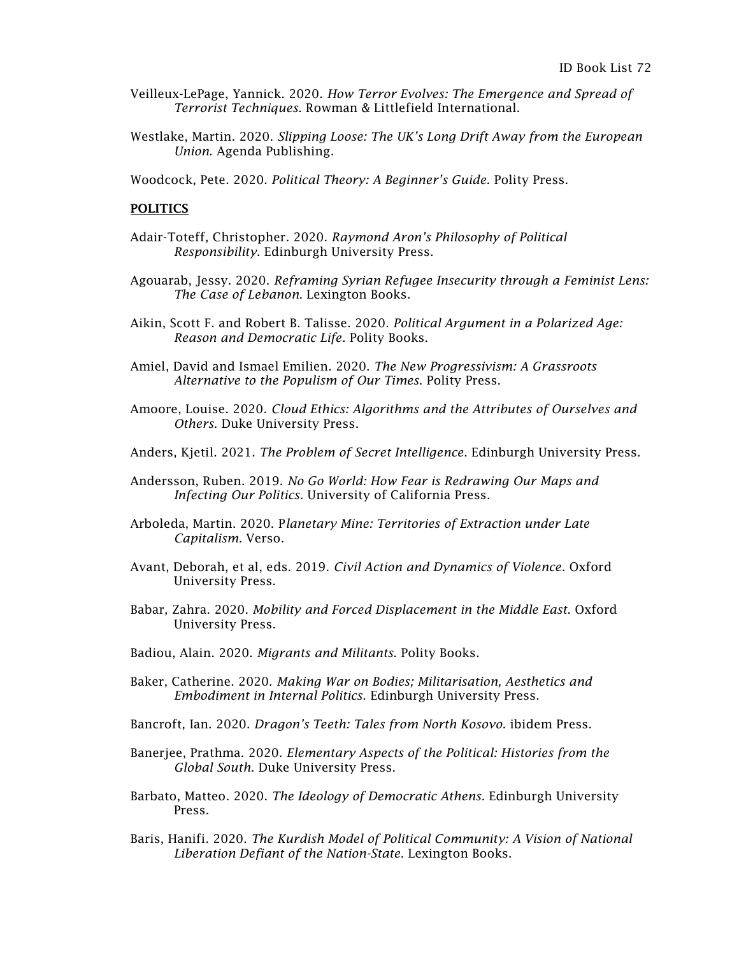- Veilleux-LePage, Yannick. 2020. *How Terror Evolves: The Emergence and Spread of Terrorist Techniques*. Rowman & Littlefield International.
- Westlake, Martin. 2020. *Slipping Loose: The UK's Long Drift Away from the European Union*. Agenda Publishing.
- Woodcock, Pete. 2020. *Political Theory: A Beginner's Guide.* Polity Press.

## **POLITICS**

- Adair-Toteff, Christopher. 2020. *Raymond Aron's Philosophy of Political Responsibility*. Edinburgh University Press.
- Agouarab, Jessy. 2020. *Reframing Syrian Refugee Insecurity through a Feminist Lens: The Case of Lebanon*. Lexington Books.
- Aikin, Scott F. and Robert B. Talisse. 2020. *Political Argument in a Polarized Age: Reason and Democratic Life.* Polity Books.
- Amiel, David and Ismael Emilien. 2020. *The New Progressivism: A Grassroots Alternative to the Populism of Our Times*. Polity Press.
- Amoore, Louise. 2020. *Cloud Ethics: Algorithms and the Attributes of Ourselves and Others.* Duke University Press.
- Anders, Kjetil. 2021. *The Problem of Secret Intelligence*. Edinburgh University Press.
- Andersson, Ruben. 2019. *No Go World: How Fear is Redrawing Our Maps and Infecting Our Politics.* University of California Press.
- Arboleda, Martin. 2020. P*lanetary Mine: Territories of Extraction under Late Capitalism.* Verso.
- Avant, Deborah, et al, eds. 2019. *Civil Action and Dynamics of Violence*. Oxford University Press.
- Babar, Zahra. 2020. *Mobility and Forced Displacement in the Middle East*. Oxford University Press.
- Badiou, Alain. 2020. *Migrants and Militants*. Polity Books.
- Baker, Catherine. 2020. *Making War on Bodies; Militarisation, Aesthetics and Embodiment in Internal Politics*. Edinburgh University Press.
- Bancroft, Ian. 2020. *Dragon's Teeth: Tales from North Kosovo.* ibidem Press.
- Banerjee, Prathma. 2020. *Elementary Aspects of the Political: Histories from the Global South.* Duke University Press.
- Barbato, Matteo. 2020. *The Ideology of Democratic Athens.* Edinburgh University Press.
- Baris, Hanifi. 2020. *The Kurdish Model of Political Community: A Vision of National Liberation Defiant of the Nation-State*. Lexington Books.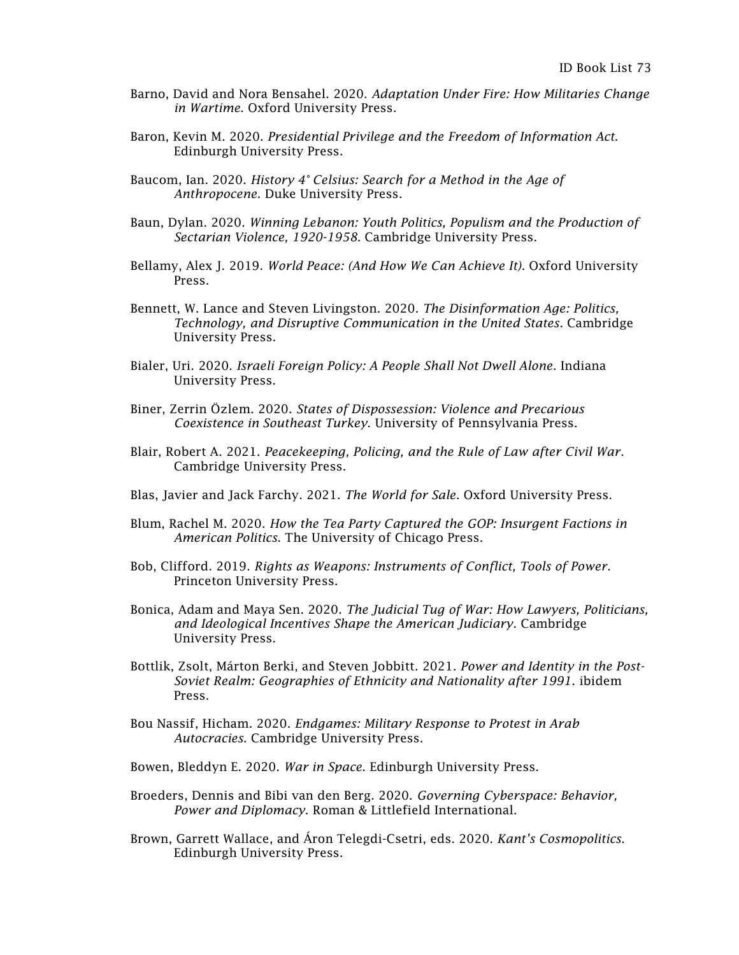- Barno, David and Nora Bensahel. 2020. *Adaptation Under Fire: How Militaries Change in Wartime*. Oxford University Press.
- Baron, Kevin M. 2020. *Presidential Privilege and the Freedom of Information Act*. Edinburgh University Press.
- Baucom, Ian. 2020. *History 4° Celsius: Search for a Method in the Age of Anthropocene*. Duke University Press.
- Baun, Dylan. 2020. *Winning Lebanon: Youth Politics, Populism and the Production of Sectarian Violence, 1920-1958*. Cambridge University Press.
- Bellamy, Alex J. 2019. *World Peace: (And How We Can Achieve It)*. Oxford University Press.
- Bennett, W. Lance and Steven Livingston. 2020. *The Disinformation Age: Politics, Technology, and Disruptive Communication in the United States*. Cambridge University Press.
- Bialer, Uri. 2020. *Israeli Foreign Policy: A People Shall Not Dwell Alone*. Indiana University Press.
- Biner, Zerrin Özlem. 2020. *States of Dispossession: Violence and Precarious Coexistence in Southeast Turkey*. University of Pennsylvania Press.
- Blair, Robert A. 2021. *Peacekeeping, Policing, and the Rule of Law after Civil War*. Cambridge University Press.
- Blas, Javier and Jack Farchy. 2021. *The World for Sale*. Oxford University Press.
- Blum, Rachel M. 2020. *How the Tea Party Captured the GOP: Insurgent Factions in American Politics*. The University of Chicago Press.
- Bob, Clifford. 2019. *Rights as Weapons: Instruments of Conflict, Tools of Power*. Princeton University Press.
- Bonica, Adam and Maya Sen. 2020. *The Judicial Tug of War: How Lawyers, Politicians, and Ideological Incentives Shape the American Judiciary*. Cambridge University Press.
- Bottlik, Zsolt, Márton Berki, and Steven Jobbitt. 2021. *Power and Identity in the Post-Soviet Realm: Geographies of Ethnicity and Nationality after 1991*. ibidem Press.
- Bou Nassif, Hicham. 2020. *Endgames: Military Response to Protest in Arab Autocracies*. Cambridge University Press.
- Bowen, Bleddyn E. 2020. *War in Space*. Edinburgh University Press.
- Broeders, Dennis and Bibi van den Berg. 2020. *Governing Cyberspace: Behavior, Power and Diplomacy*. Roman & Littlefield International.
- Brown, Garrett Wallace, and [Áron](https://edinburghuniversitypress.com/aron-telegdi-csetri.html) Telegdi-Csetri, eds. 2020. *Kant's Cosmopolitics*. Edinburgh University Press.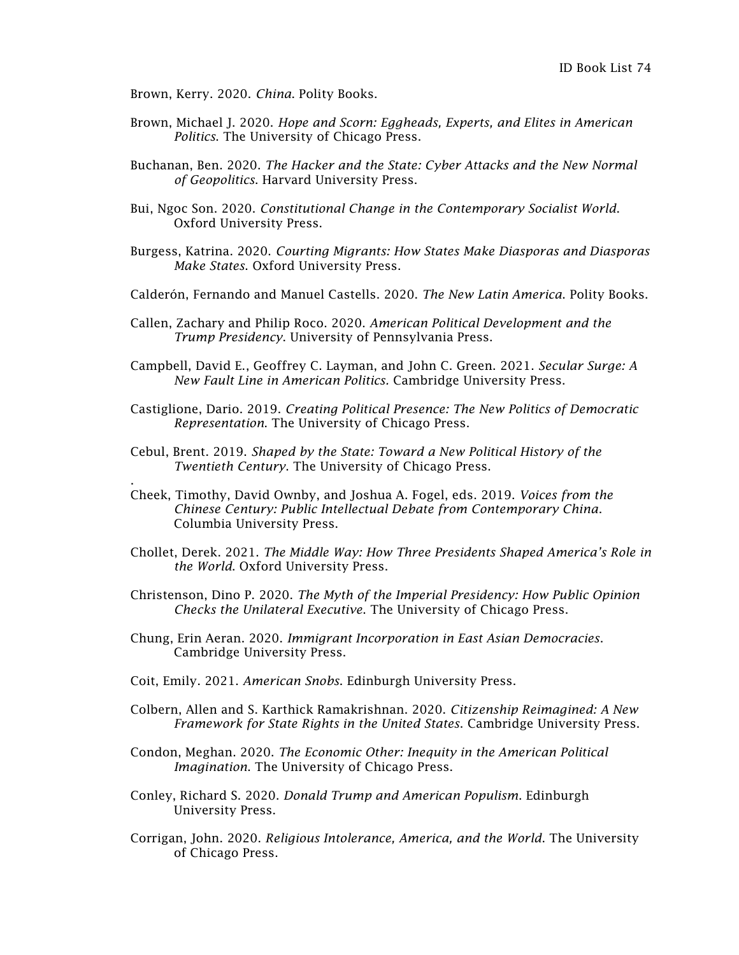Brown, Kerry. 2020. *China*. Polity Books.

.

- Brown, Michael J. 2020. *Hope and Scorn: Eggheads, Experts, and Elites in American Politics*. The University of Chicago Press.
- Buchanan, Ben. 2020. *The Hacker and the State: Cyber Attacks and the New Normal of Geopolitics*. Harvard University Press.
- Bui, Ngoc Son. 2020. *Constitutional Change in the Contemporary Socialist World*. Oxford University Press.
- Burgess, Katrina. 2020. *Courting Migrants: How States Make Diasporas and Diasporas Make States*. Oxford University Press.
- Calderón, Fernando and Manuel Castells. 2020. *The New Latin America*. Polity Books.
- Callen, Zachary and Philip Roco. 2020. *American Political Development and the Trump Presidency*. University of Pennsylvania Press.
- Campbell, David E., Geoffrey C. Layman, and John C. Green. 2021. *Secular Surge: A New Fault Line in American Politics.* Cambridge University Press.
- Castiglione, Dario. 2019. *Creating Political Presence: The New Politics of Democratic Representation*. The University of Chicago Press.
- Cebul, Brent. 2019. *Shaped by the State: Toward a New Political History of the Twentieth Century*. The University of Chicago Press.
- Cheek, Timothy, David Ownby, and Joshua A. Fogel, eds. 2019. *Voices from the Chinese Century: Public Intellectual Debate from Contemporary China*. Columbia University Press.
- Chollet, Derek. 2021. *The Middle Way: How Three Presidents Shaped America's Role in the World*. Oxford University Press.
- Christenson, Dino P. 2020. *The Myth of the Imperial Presidency: How Public Opinion Checks the Unilateral Executive*. The University of Chicago Press.
- Chung, Erin Aeran. 2020. *Immigrant Incorporation in East Asian Democracies*. Cambridge University Press.
- Coit, Emily. 2021. *American Snobs*. Edinburgh University Press.
- Colbern, Allen and S. Karthick Ramakrishnan. 2020. *Citizenship Reimagined: A New Framework for State Rights in the United States*. Cambridge University Press.
- Condon, Meghan. 2020. *The Economic Other: Inequity in the American Political Imagination*. The University of Chicago Press.
- Conley, Richard S. 2020. *Donald Trump and American Populism*. Edinburgh University Press.
- Corrigan, John. 2020. *Religious Intolerance, America, and the World*. The University of Chicago Press.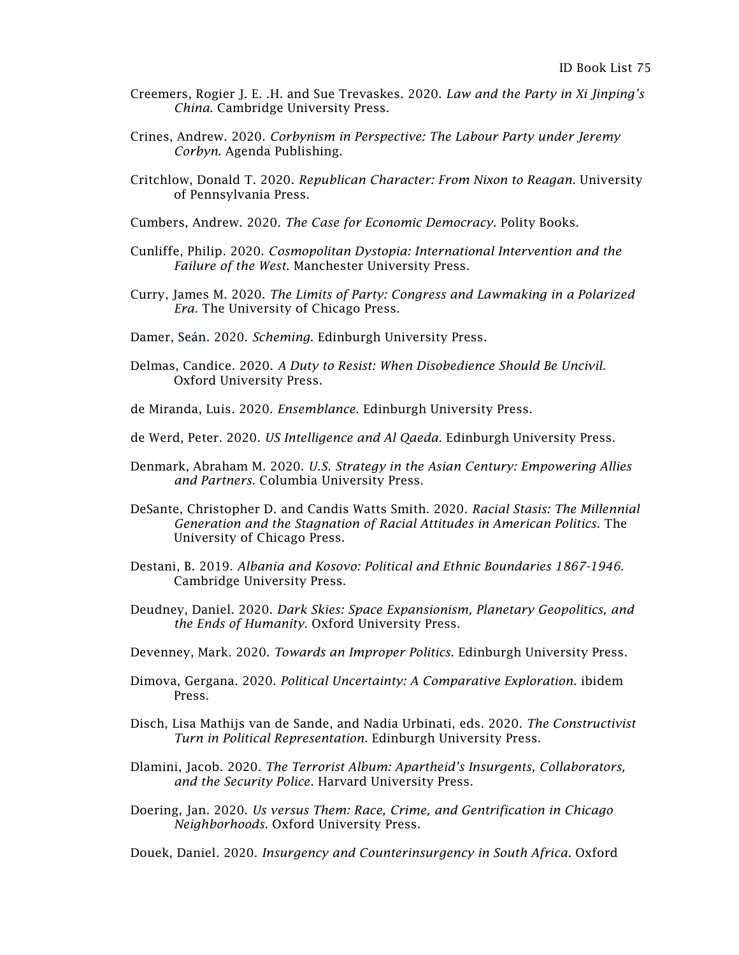- Creemers, Rogier J. E. .H. and Sue Trevaskes. 2020. *Law and the Party in Xi Jinping's China*. Cambridge University Press.
- Crines, Andrew. 2020. *Corbynism in Perspective: The Labour Party under Jeremy Corbyn*. Agenda Publishing.
- Critchlow, Donald T. 2020. *Republican Character: From Nixon to Reagan*. University of Pennsylvania Press.
- Cumbers, Andrew. 2020. *The Case for Economic Democracy*. Polity Books.
- Cunliffe, Philip. 2020. *Cosmopolitan Dystopia: International Intervention and the Failure of the West*. Manchester University Press.
- Curry, James M. 2020. *The Limits of Party: Congress and Lawmaking in a Polarized Era.* The University of Chicago Press.
- Damer, Seán. 2020. *Scheming*. Edinburgh University Press.
- Delmas, Candice. 2020. *A Duty to Resist: When Disobedience Should Be Uncivil*. Oxford University Press.
- de Miranda, Luis. 2020. *Ensemblance*. Edinburgh University Press.
- de Werd, Peter. 2020. *US Intelligence and Al Qaeda*. Edinburgh University Press.
- Denmark, Abraham M. 2020. *U.S. Strategy in the Asian Century: Empowering Allies and Partners*. Columbia University Press.
- DeSante, Christopher D. and Candis Watts Smith. 2020. *Racial Stasis: The Millennial Generation and the Stagnation of Racial Attitudes in American Politics*. The University of Chicago Press.
- Destani, B. 2019. *Albania and Kosovo: Political and Ethnic Boundaries 1867-1946*. Cambridge University Press.
- Deudney, Daniel. 2020. *Dark Skies: Space Expansionism, Planetary Geopolitics, and the Ends of Humanity*. Oxford University Press.
- Devenney, Mark. 2020. *Towards an Improper Politics*. Edinburgh University Press.
- Dimova, Gergana. 2020. *Political Uncertainty: A Comparative Exploration.* ibidem Press.
- Disch, Lisa Mathijs van de Sande, and Nadia Urbinati, eds. 2020. *The Constructivist Turn in Political Representation.* Edinburgh University Press.
- Dlamini, Jacob. 2020. *The Terrorist Album: Apartheid's Insurgents, Collaborators, and the Security Police*. Harvard University Press.
- Doering, Jan. 2020. *Us versus Them: Race, Crime, and Gentrification in Chicago Neighborhoods*. Oxford University Press.

Douek, Daniel. 2020. *Insurgency and Counterinsurgency in South Africa*. Oxford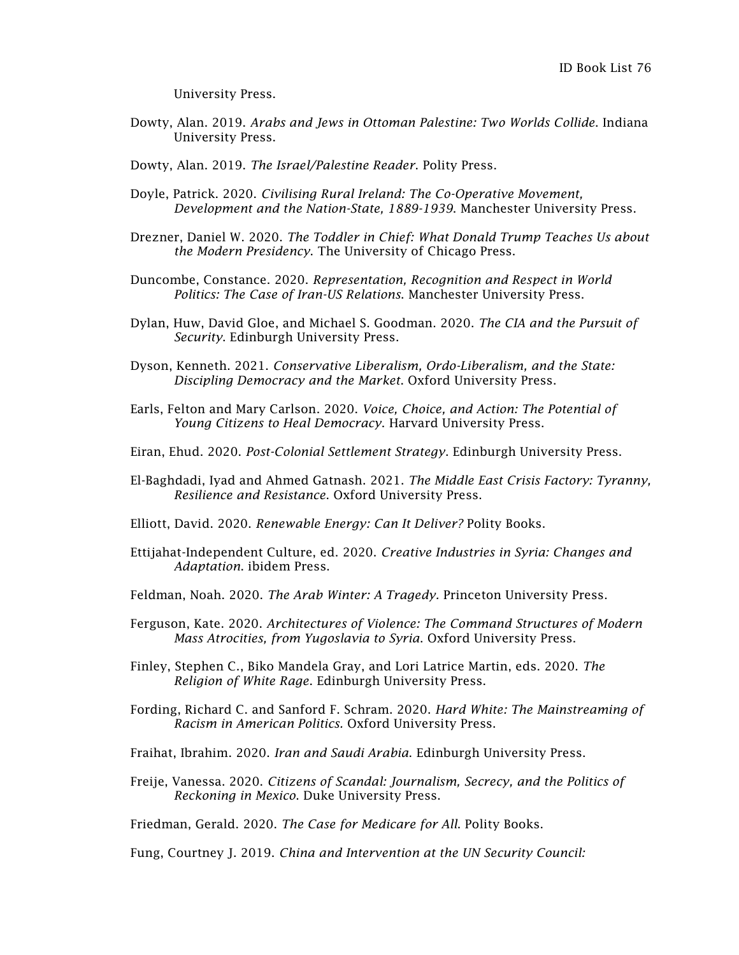University Press.

Dowty, Alan. 2019. *Arabs and Jews in Ottoman Palestine: Two Worlds Collide*. Indiana University Press.

Dowty, Alan. 2019. *The Israel/Palestine Reader*. Polity Press.

- Doyle, Patrick. 2020. *Civilising Rural Ireland: The Co-Operative Movement, Development and the Nation-State, 1889-1939*. Manchester University Press.
- Drezner, Daniel W. 2020. *The Toddler in Chief: What Donald Trump Teaches Us about the Modern Presidency*. The University of Chicago Press.
- Duncombe, Constance. 2020. *Representation, Recognition and Respect in World Politics: The Case of Iran-US Relations*. Manchester University Press.
- Dylan, Huw, David Gloe, and Michael S. Goodman. 2020. *The CIA and the Pursuit of Security*. Edinburgh University Press.
- Dyson, Kenneth. 2021. *Conservative Liberalism, Ordo-Liberalism, and the State: Discipling Democracy and the Market*. Oxford University Press.
- Earls, Felton and Mary Carlson. 2020. *Voice, Choice, and Action: The Potential of Young Citizens to Heal Democracy*. Harvard University Press.
- Eiran, Ehud. 2020. *Post-Colonial Settlement Strategy*. Edinburgh University Press.
- El-Baghdadi, Iyad and Ahmed Gatnash. 2021. *The Middle East Crisis Factory: Tyranny, Resilience and Resistance*. Oxford University Press.
- Elliott, David. 2020. *Renewable Energy: Can It Deliver?* Polity Books.
- Ettijahat-Independent Culture, ed. 2020. *Creative Industries in Syria: Changes and Adaptation*. ibidem Press.
- Feldman, Noah. 2020. *The Arab Winter: A Tragedy.* Princeton University Press.
- Ferguson, Kate. 2020. *Architectures of Violence: The Command Structures of Modern Mass Atrocities, from Yugoslavia to Syria*. Oxford University Press.
- Finley, Stephen C., Biko Mandela Gray, and Lori Latrice Martin, eds. 2020. *The Religion of White Rage*. Edinburgh University Press.
- Fording, Richard C. and Sanford F. Schram. 2020. *Hard White: The Mainstreaming of Racism in American Politics.* Oxford University Press.
- Fraihat, Ibrahim. 2020. *Iran and Saudi Arabia*. Edinburgh University Press.
- Freije, Vanessa. 2020. *Citizens of Scandal: Journalism, Secrecy, and the Politics of Reckoning in Mexico*. Duke University Press.

Friedman, Gerald. 2020. *The Case for Medicare for All*. Polity Books.

Fung, Courtney J. 2019. *China and Intervention at the UN Security Council:*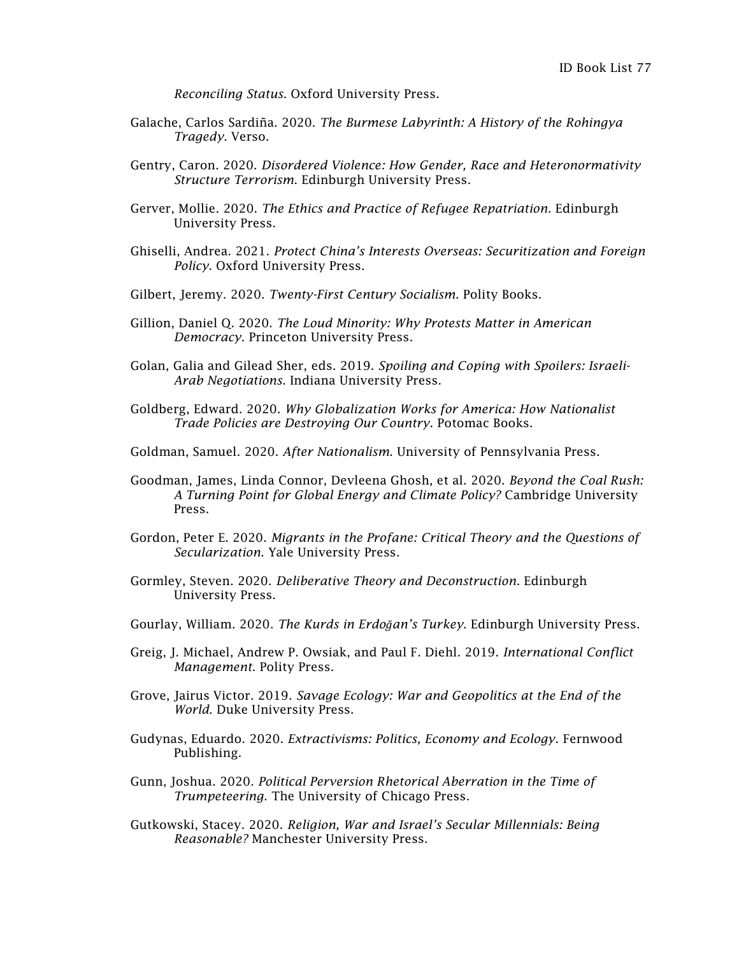*Reconciling Status*. Oxford University Press.

- Galache, Carlos Sardiña. 2020. *The Burmese Labyrinth: A History of the Rohingya Tragedy.* Verso.
- Gentry, Caron. 2020. *Disordered Violence: How Gender, Race and Heteronormativity Structure Terrorism*. Edinburgh University Press.
- Gerver, Mollie. 2020. *The Ethics and Practice of Refugee Repatriation*. Edinburgh University Press.
- Ghiselli, Andrea. 2021. *Protect China's Interests Overseas: Securitization and Foreign Policy*. Oxford University Press.
- Gilbert, Jeremy. 2020. *Twenty-First Century Socialism*. Polity Books.
- Gillion, Daniel Q. 2020. *The Loud Minority: Why Protests Matter in American Democracy*. Princeton University Press.
- Golan, Galia and Gilead Sher, eds. 2019. *Spoiling and Coping with Spoilers: Israeli-Arab Negotiations*. Indiana University Press.
- Goldberg, Edward. 2020. *Why Globalization Works for America: How Nationalist Trade Policies are Destroying Our Country*. Potomac Books.
- Goldman, Samuel. 2020. *After Nationalism*. University of Pennsylvania Press.
- Goodman, James, Linda Connor, Devleena Ghosh, et al. 2020. *Beyond the Coal Rush: A Turning Point for Global Energy and Climate Policy?* Cambridge University Press.
- Gordon, Peter E. 2020. *Migrants in the Profane: Critical Theory and the Questions of Secularization.* Yale University Press.
- Gormley, Steven. 2020. *Deliberative Theory and Deconstruction*. Edinburgh University Press.
- Gourlay, William. 2020. *The Kurds in [Erdo](https://edinburghuniversitypress.com/book-the-kurds-in-erdogan-s-turkey-hb.html)ğan's Turkey*. Edinburgh University Press.
- Greig, J. Michael, Andrew P. Owsiak, and Paul F. Diehl. 2019. *International Conflict Management*. Polity Press.
- Grove, Jairus Victor. 2019. *Savage Ecology: War and Geopolitics at the End of the World*. Duke University Press.
- Gudynas, Eduardo. 2020. *Extractivisms: Politics, Economy and Ecology*. Fernwood Publishing.
- Gunn, Joshua. 2020. *Political Perversion Rhetorical Aberration in the Time of Trumpeteering*. The University of Chicago Press.
- Gutkowski, Stacey. 2020. *Religion, War and Israel's Secular Millennials: Being Reasonable?* Manchester University Press.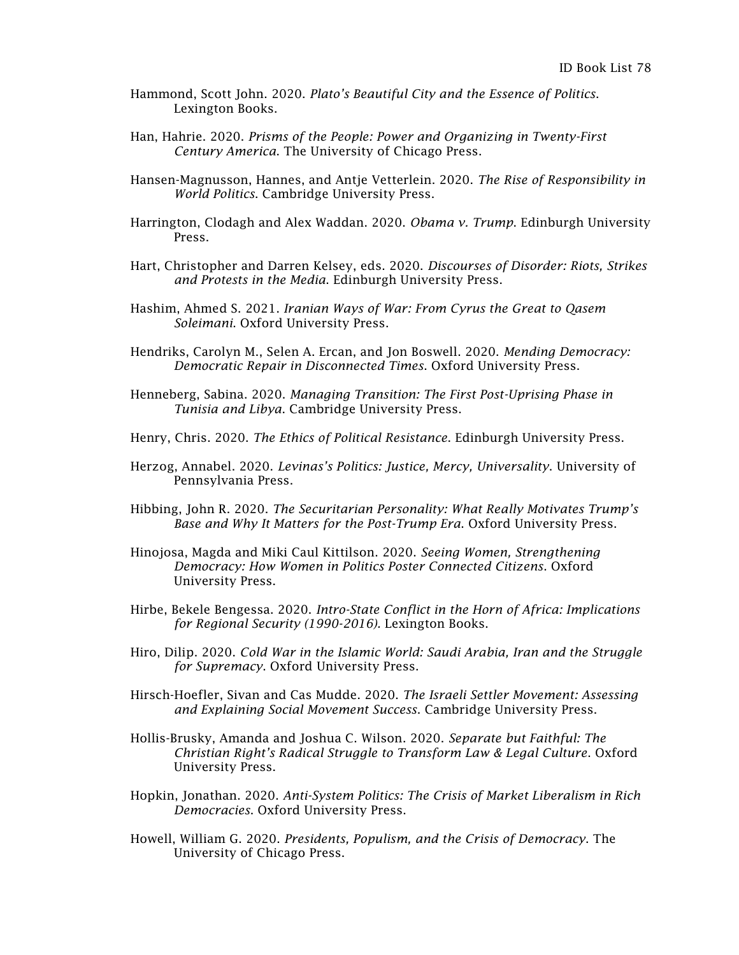- Hammond, Scott John. 2020. *Plato's Beautiful City and the Essence of Politics*. Lexington Books.
- Han, Hahrie. 2020. *Prisms of the People: Power and Organizing in Twenty-First Century America*. The University of Chicago Press.
- Hansen-Magnusson, Hannes, and Antje Vetterlein. 2020. *The Rise of Responsibility in World Politics*. Cambridge University Press.
- Harrington, Clodagh and Alex Waddan. 2020. *Obama v. Trump*. Edinburgh University Press.
- Hart, Christopher and Darren Kelsey, eds. 2020. *Discourses of Disorder: Riots, Strikes and Protests in the Media*. Edinburgh University Press.
- Hashim, Ahmed S. 2021. *Iranian Ways of War: From Cyrus the Great to Qasem Soleimani*. Oxford University Press.
- Hendriks, Carolyn M., Selen A. Ercan, and Jon Boswell. 2020. *Mending Democracy: Democratic Repair in Disconnected Times*. Oxford University Press.
- Henneberg, Sabina. 2020. *Managing Transition: The First Post-Uprising Phase in Tunisia and Libya*. Cambridge University Press.
- Henry, Chris. 2020. *The Ethics of Political Resistance*. Edinburgh University Press.
- Herzog, Annabel. 2020. *Levinas's Politics: Justice, Mercy, Universality*. University of Pennsylvania Press.
- Hibbing, John R. 2020. *The Securitarian Personality: What Really Motivates Trump's Base and Why It Matters for the Post-Trump Era*. Oxford University Press.
- Hinojosa, Magda and Miki Caul Kittilson. 2020. *Seeing Women, Strengthening Democracy: How Women in Politics Poster Connected Citizens*. Oxford University Press.
- Hirbe, Bekele Bengessa. 2020. *Intro-State Conflict in the Horn of Africa: Implications for Regional Security (1990-2016).* Lexington Books.
- Hiro, Dilip. 2020. *Cold War in the Islamic World: Saudi Arabia, Iran and the Struggle for Supremacy*. Oxford University Press.
- Hirsch-Hoefler, Sivan and Cas Mudde. 2020. *The Israeli Settler Movement: Assessing and Explaining Social Movement Success*. Cambridge University Press.
- Hollis-Brusky, Amanda and Joshua C. Wilson. 2020. *Separate but Faithful: The Christian Right's Radical Struggle to Transform Law & Legal Culture*. Oxford University Press.
- Hopkin, Jonathan. 2020. *Anti-System Politics: The Crisis of Market Liberalism in Rich Democracies*. Oxford University Press.
- Howell, William G. 2020. *Presidents, Populism, and the Crisis of Democracy*. The University of Chicago Press.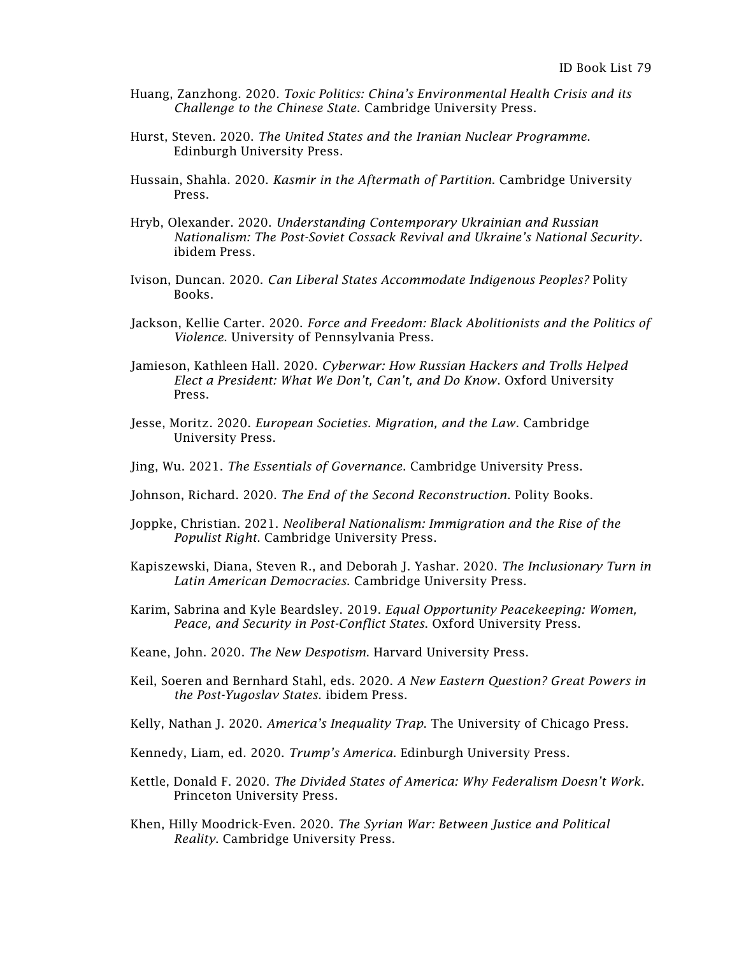- Huang, Zanzhong. 2020. *Toxic Politics: China's Environmental Health Crisis and its Challenge to the Chinese State*. Cambridge University Press.
- Hurst, Steven. 2020. *The United States and the Iranian Nuclear Programme*. Edinburgh University Press.
- Hussain, Shahla. 2020. *Kasmir in the Aftermath of Partition*. Cambridge University Press.
- Hryb, Olexander. 2020. *Understanding Contemporary Ukrainian and Russian Nationalism: The Post-Soviet Cossack Revival and Ukraine's National Security*. ibidem Press.
- Ivison, Duncan. 2020. *Can Liberal States Accommodate Indigenous Peoples?* Polity Books.
- Jackson, Kellie Carter. 2020. *Force and Freedom: Black Abolitionists and the Politics of Violence*. University of Pennsylvania Press.
- Jamieson, Kathleen Hall. 2020. *Cyberwar: How Russian Hackers and Trolls Helped Elect a President: What We Don't, Can't, and Do Know*. Oxford University Press.
- Jesse, Moritz. 2020. *European Societies. Migration, and the Law*. Cambridge University Press.
- Jing, Wu. 2021. *The Essentials of Governance*. Cambridge University Press.
- Johnson, Richard. 2020. *The End of the Second Reconstruction*. Polity Books.
- Joppke, Christian. 2021. *Neoliberal Nationalism: Immigration and the Rise of the Populist Right*. Cambridge University Press.
- Kapiszewski, Diana, Steven R., and Deborah J. Yashar. 2020. *The Inclusionary Turn in Latin American Democracies*. Cambridge University Press.
- Karim, Sabrina and Kyle Beardsley. 2019. *Equal Opportunity Peacekeeping: Women, Peace, and Security in Post-Conflict States*. Oxford University Press.
- Keane, John. 2020. *The New Despotism*. Harvard University Press.
- Keil, Soeren and Bernhard Stahl, eds. 2020. *A New Eastern Question? Great Powers in the Post-Yugoslav States*. ibidem Press.
- Kelly, Nathan J. 2020. *America's Inequality Trap*. The University of Chicago Press.
- Kennedy, Liam, ed. 2020. *Trump's America*. Edinburgh University Press.
- Kettle, Donald F. 2020. *The Divided States of America: Why Federalism Doesn't Work*. Princeton University Press.
- Khen, Hilly Moodrick-Even. 2020. *The Syrian War: Between Justice and Political Reality*. Cambridge University Press.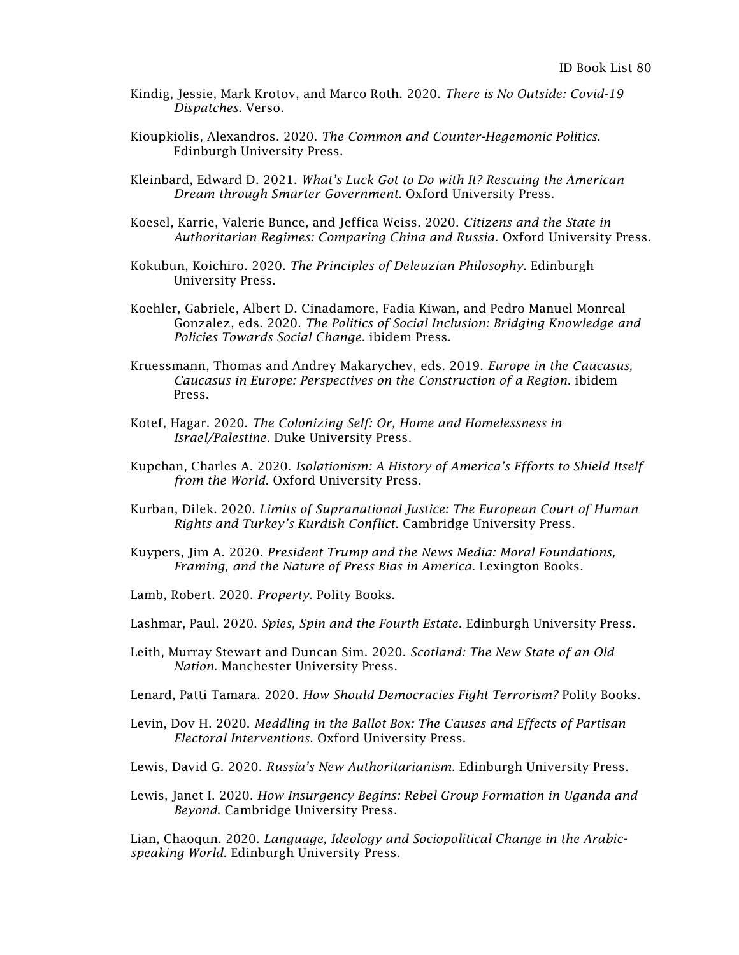- Kindig, Jessie, Mark Krotov, and Marco Roth. 2020. *There is No Outside: Covid-19 Dispatches*. Verso.
- Kioupkiolis, Alexandros. 2020. *The Common and Counter-Hegemonic Politics*. Edinburgh University Press.
- Kleinbard, Edward D. 2021. *What's Luck Got to Do with It? Rescuing the American Dream through Smarter Government*. Oxford University Press.
- Koesel, Karrie, Valerie Bunce, and Jeffica Weiss. 2020. *Citizens and the State in Authoritarian Regimes: Comparing China and Russia*. Oxford University Press.
- Kokubun, Koichiro. 2020. *The Principles of Deleuzian Philosophy*. Edinburgh University Press.
- Koehler, Gabriele, Albert D. Cinadamore, Fadia Kiwan, and Pedro Manuel Monreal Gonzalez, eds. 2020. *The Politics of Social Inclusion: Bridging Knowledge and Policies Towards Social Change*. ibidem Press.
- Kruessmann, Thomas and Andrey Makarychev, eds. 2019. *Europe in the Caucasus, Caucasus in Europe: Perspectives on the Construction of a Region*. ibidem Press.
- Kotef, Hagar. 2020. *The Colonizing Self: Or, Home and Homelessness in Israel/Palestine*. Duke University Press.
- Kupchan, Charles A. 2020. *Isolationism: A History of America's Efforts to Shield Itself from the World*. Oxford University Press.
- Kurban, Dilek. 2020. *Limits of Supranational Justice: The European Court of Human Rights and Turkey's Kurdish Conflict*. Cambridge University Press.
- Kuypers, Jim A. 2020. *President Trump and the News Media: Moral Foundations, Framing, and the Nature of Press Bias in America*. Lexington Books.
- Lamb, Robert. 2020. *Property*. Polity Books.
- Lashmar, Paul. 2020. *Spies, Spin and the Fourth Estate*. Edinburgh University Press.
- Leith, Murray Stewart and Duncan Sim. 2020. *Scotland: The New State of an Old Nation*. Manchester University Press.
- Lenard, Patti Tamara. 2020. *How Should Democracies Fight Terrorism?* Polity Books.
- Levin, Dov H. 2020. *Meddling in the Ballot Box: The Causes and Effects of Partisan Electoral Interventions*. Oxford University Press.
- Lewis, David G. 2020. *Russia's New Authoritarianism*. Edinburgh University Press.
- Lewis, Janet I. 2020. *How Insurgency Begins: Rebel Group Formation in Uganda and Beyond*. Cambridge University Press.

Lian, Chaoqun. 2020. *Language, Ideology and Sociopolitical Change in the Arabicspeaking World.* Edinburgh University Press.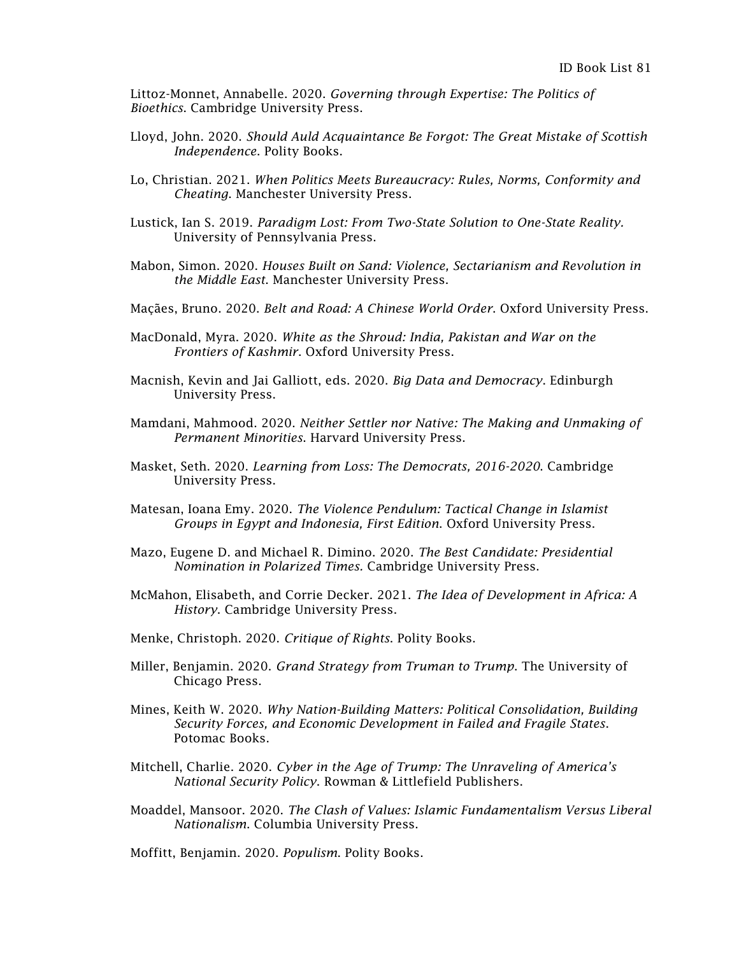Littoz-Monnet, Annabelle. 2020. *Governing through Expertise: The Politics of Bioethics*. Cambridge University Press.

- Lloyd, John. 2020. *Should Auld Acquaintance Be Forgot: The Great Mistake of Scottish Independence*. Polity Books.
- Lo, Christian. 2021. *When Politics Meets Bureaucracy: Rules, Norms, Conformity and Cheating*. Manchester University Press.
- Lustick, Ian S. 2019. *Paradigm Lost: From Two-State Solution to One-State Reality.* University of Pennsylvania Press.
- Mabon, Simon. 2020. *Houses Built on Sand: Violence, Sectarianism and Revolution in the Middle East*. Manchester University Press.
- Maçães, Bruno. 2020. *Belt and Road: A Chinese World Order*. Oxford University Press.
- MacDonald, Myra. 2020. *White as the Shroud: India, Pakistan and War on the Frontiers of Kashmir*. Oxford University Press.
- Macnish, Kevin and Jai Galliott, eds. 2020. *Big Data and Democracy*. Edinburgh University Press.
- Mamdani, Mahmood. 2020. *Neither Settler nor Native: The Making and Unmaking of Permanent Minorities*. Harvard University Press.
- Masket, Seth. 2020. *Learning from Loss: The Democrats, 2016-2020*. Cambridge University Press.
- Matesan, Ioana Emy. 2020. *The Violence Pendulum: Tactical Change in Islamist Groups in Egypt and Indonesia, First Edition*. Oxford University Press.
- Mazo, Eugene D. and Michael R. Dimino. 2020. *The Best Candidate: Presidential Nomination in Polarized Times.* Cambridge University Press.
- McMahon, Elisabeth, and Corrie Decker. 2021. *The Idea of Development in Africa: A History*. Cambridge University Press.
- Menke, Christoph. 2020. *Critique of Rights*. Polity Books.
- Miller, Benjamin. 2020. *Grand Strategy from Truman to Trump*. The University of Chicago Press.
- Mines, Keith W. 2020. *Why Nation-Building Matters: Political Consolidation, Building Security Forces, and Economic Development in Failed and Fragile States*. Potomac Books.
- Mitchell, Charlie. 2020. *Cyber in the Age of Trump: The Unraveling of America's National Security Policy*. Rowman & Littlefield Publishers.
- Moaddel, Mansoor. 2020. *The Clash of Values: Islamic Fundamentalism Versus Liberal Nationalism*. Columbia University Press.

Moffitt, Benjamin. 2020. *Populism*. Polity Books.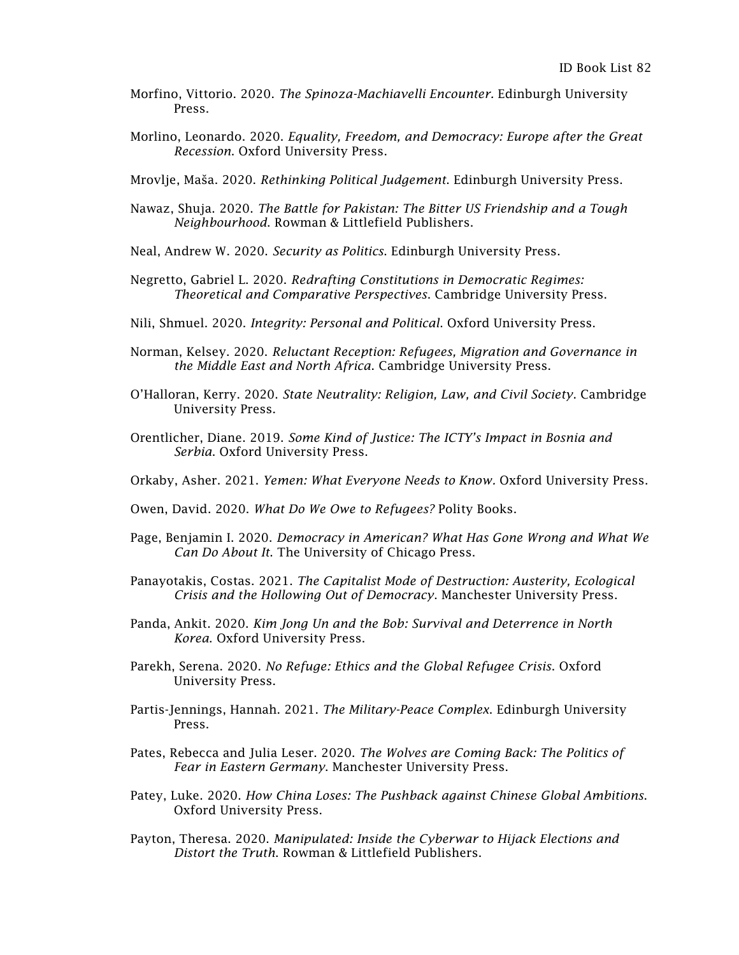- Morfino, Vittorio. 2020. *The Spinoza-Machiavelli Encounter.* Edinburgh University Press.
- Morlino, Leonardo. 2020. *Equality, Freedom, and Democracy: Europe after the Great Recession*. Oxford University Press.

Mrovlje, [Maša](https://edinburghuniversitypress.com/masa-mrovlje.html). 2020. *Rethinking Political Judgement*. Edinburgh University Press.

- Nawaz, Shuja. 2020. *The Battle for Pakistan: The Bitter US Friendship and a Tough Neighbourhood*. Rowman & Littlefield Publishers.
- Neal, Andrew W. 2020. *Security as Politics*. Edinburgh University Press.
- Negretto, Gabriel L. 2020. *Redrafting Constitutions in Democratic Regimes: Theoretical and Comparative Perspectives*. Cambridge University Press.
- Nili, Shmuel. 2020. *Integrity: Personal and Political*. Oxford University Press.
- Norman, Kelsey. 2020. *Reluctant Reception: Refugees, Migration and Governance in the Middle East and North Africa*. Cambridge University Press.
- O'Halloran, Kerry. 2020. *State Neutrality: Religion, Law, and Civil Society*. Cambridge University Press.
- Orentlicher, Diane. 2019. *Some Kind of Justice: The ICTY's Impact in Bosnia and Serbia*. Oxford University Press.
- Orkaby, Asher. 2021. *Yemen: What Everyone Needs to Know.* Oxford University Press.
- Owen, David. 2020. *What Do We Owe to Refugees?* Polity Books.
- Page, Benjamin I. 2020. *Democracy in American? What Has Gone Wrong and What We Can Do About It*. The University of Chicago Press.
- Panayotakis, Costas. 2021. *The Capitalist Mode of Destruction: Austerity, Ecological Crisis and the Hollowing Out of Democracy*. Manchester University Press.
- Panda, Ankit. 2020. *Kim Jong Un and the Bob: Survival and Deterrence in North Korea*. Oxford University Press.
- Parekh, Serena. 2020. *No Refuge: Ethics and the Global Refugee Crisis*. Oxford University Press.
- Partis-Jennings, Hannah. 2021. *The Military-Peace Complex*. Edinburgh University Press.
- Pates, Rebecca and Julia Leser. 2020. *The Wolves are Coming Back: The Politics of Fear in Eastern Germany*. Manchester University Press.
- Patey, Luke. 2020. *How China Loses: The Pushback against Chinese Global Ambitions*. Oxford University Press.
- Payton, Theresa. 2020. *Manipulated: Inside the Cyberwar to Hijack Elections and Distort the Truth*. Rowman & Littlefield Publishers.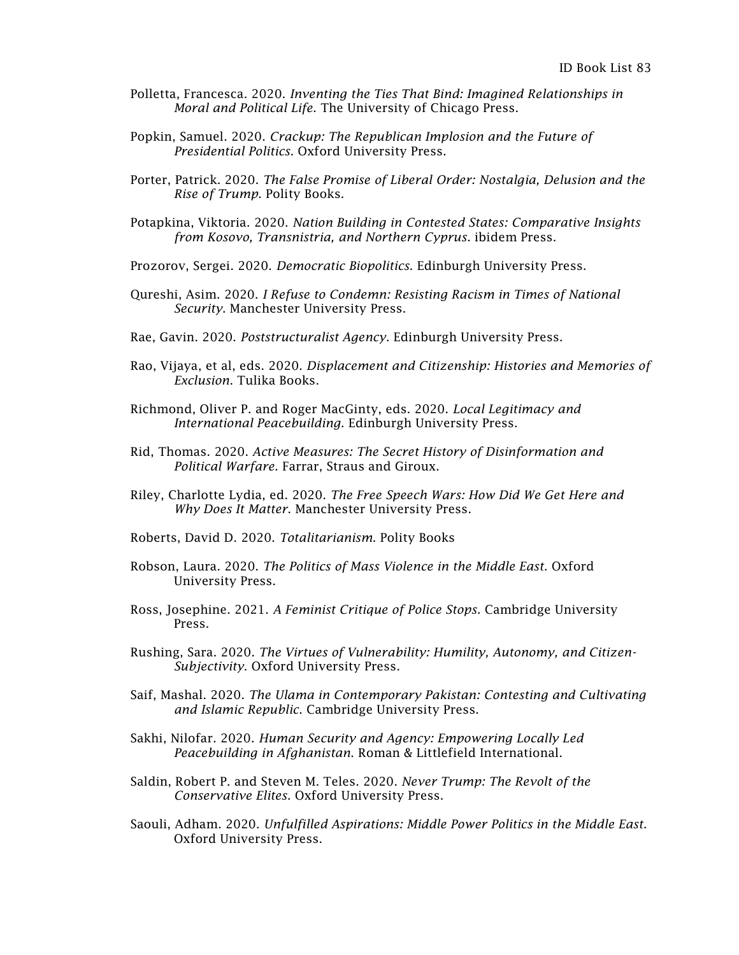- Polletta, Francesca. 2020. *Inventing the Ties That Bind: Imagined Relationships in Moral and Political Life*. The University of Chicago Press.
- Popkin, Samuel. 2020. *Crackup: The Republican Implosion and the Future of Presidential Politics*. Oxford University Press.
- Porter, Patrick. 2020. *The False Promise of Liberal Order: Nostalgia, Delusion and the Rise of Trump*. Polity Books.
- Potapkina, Viktoria. 2020. *Nation Building in Contested States: Comparative Insights from Kosovo, Transnistria, and Northern Cyprus*. ibidem Press.
- Prozorov, Sergei. 2020. *Democratic Biopolitics*. Edinburgh University Press.
- Qureshi, Asim. 2020. *I Refuse to Condemn: Resisting Racism in Times of National Security*. Manchester University Press.
- Rae, Gavin. 2020. *Poststructuralist Agency*. Edinburgh University Press.
- Rao, Vijaya, et al, eds. 2020. *Displacement and Citizenship: Histories and Memories of Exclusion*. Tulika Books.
- Richmond, Oliver P. and Roger MacGinty, eds. 2020. *Local Legitimacy and International Peacebuilding.* Edinburgh University Press.
- Rid, Thomas. 2020. *Active Measures: The Secret History of Disinformation and Political Warfare*. Farrar, Straus and Giroux.
- Riley, Charlotte Lydia, ed. 2020. *The Free Speech Wars: How Did We Get Here and Why Does It Matter*. Manchester University Press.
- Roberts, David D. 2020. *Totalitarianism*. Polity Books
- Robson, Laura. 2020. *The Politics of Mass Violence in the Middle East*. Oxford University Press.
- Ross, Josephine. 2021. *A Feminist Critique of Police Stops*. Cambridge University Press.
- Rushing, Sara. 2020. *The Virtues of Vulnerability: Humility, Autonomy, and Citizen-Subjectivity*. Oxford University Press.
- Saif, Mashal. 2020. *The Ulama in Contemporary Pakistan: Contesting and Cultivating and Islamic Republic*. Cambridge University Press.
- Sakhi, Nilofar. 2020. *Human Security and Agency: Empowering Locally Led Peacebuilding in Afghanistan*. Roman & Littlefield International.
- Saldin, Robert P. and Steven M. Teles. 2020. *Never Trump: The Revolt of the Conservative Elites*. Oxford University Press.
- Saouli, Adham. 2020. *Unfulfilled Aspirations: Middle Power Politics in the Middle East*. Oxford University Press.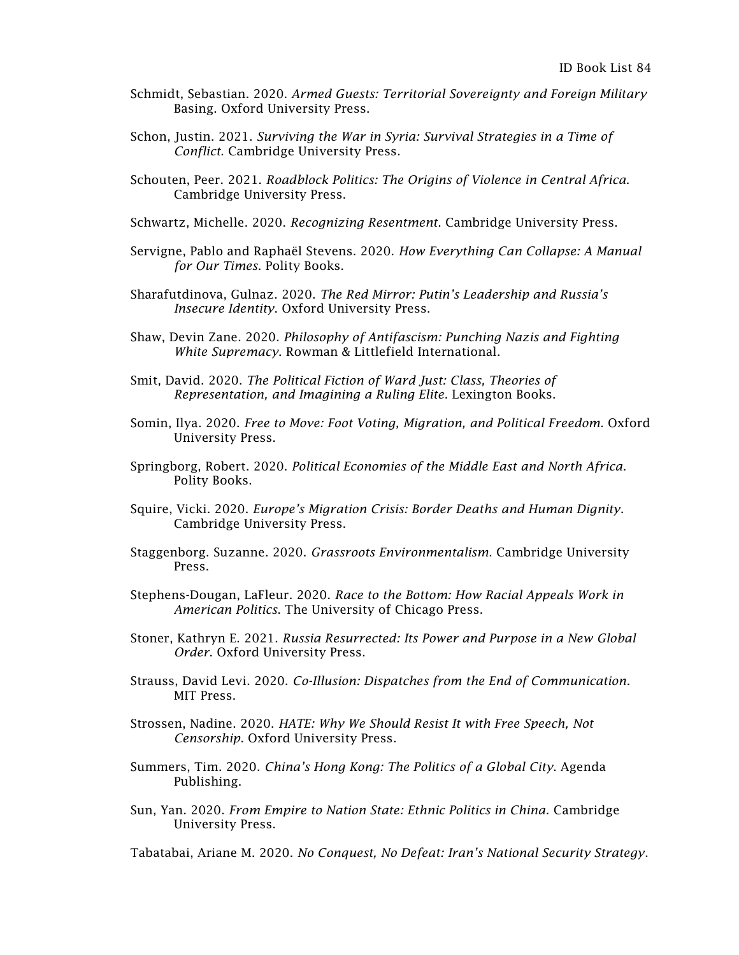- Schmidt, Sebastian. 2020. *Armed Guests: Territorial Sovereignty and Foreign Military* Basing. Oxford University Press.
- Schon, Justin. 2021. *Surviving the War in Syria: Survival Strategies in a Time of Conflict*. Cambridge University Press.
- Schouten, Peer. 2021. *Roadblock Politics: The Origins of Violence in Central Africa*. Cambridge University Press.
- Schwartz, Michelle. 2020. *Recognizing Resentment*. Cambridge University Press.
- Servigne, Pablo and Raphaël Stevens. 2020. *How Everything Can Collapse: A Manual for Our Times*. Polity Books.
- Sharafutdinova, Gulnaz. 2020. *The Red Mirror: Putin's Leadership and Russia's Insecure Identity*. Oxford University Press.
- Shaw, Devin Zane. 2020. *Philosophy of Antifascism: Punching Nazis and Fighting White Supremacy*. Rowman & Littlefield International.
- Smit, David. 2020. *The Political Fiction of Ward Just: Class, Theories of Representation, and Imagining a Ruling Elite*. Lexington Books.
- Somin, Ilya. 2020. *Free to Move: Foot Voting, Migration, and Political Freedom*. Oxford University Press.
- Springborg, Robert. 2020. *Political Economies of the Middle East and North Africa*. Polity Books.
- Squire, Vicki. 2020. *Europe's Migration Crisis: Border Deaths and Human Dignity*. Cambridge University Press.
- Staggenborg. Suzanne. 2020. *Grassroots Environmentalism*. Cambridge University Press.
- Stephens-Dougan, LaFleur. 2020. *Race to the Bottom: How Racial Appeals Work in American Politics*. The University of Chicago Press.
- Stoner, Kathryn E. 2021. *Russia Resurrected: Its Power and Purpose in a New Global Order*. Oxford University Press.
- Strauss, David Levi. 2020. *Co-Illusion: Dispatches from the End of Communication*. MIT Press.
- Strossen, Nadine. 2020. *HATE: Why We Should Resist It with Free Speech, Not Censorship*. Oxford University Press.
- Summers, Tim. 2020. *China's Hong Kong: The Politics of a Global City*. Agenda Publishing.
- Sun, Yan. 2020. *From Empire to Nation State: Ethnic Politics in China*. Cambridge University Press.

Tabatabai, Ariane M. 2020. *No Conquest, No Defeat: Iran's National Security Strategy*.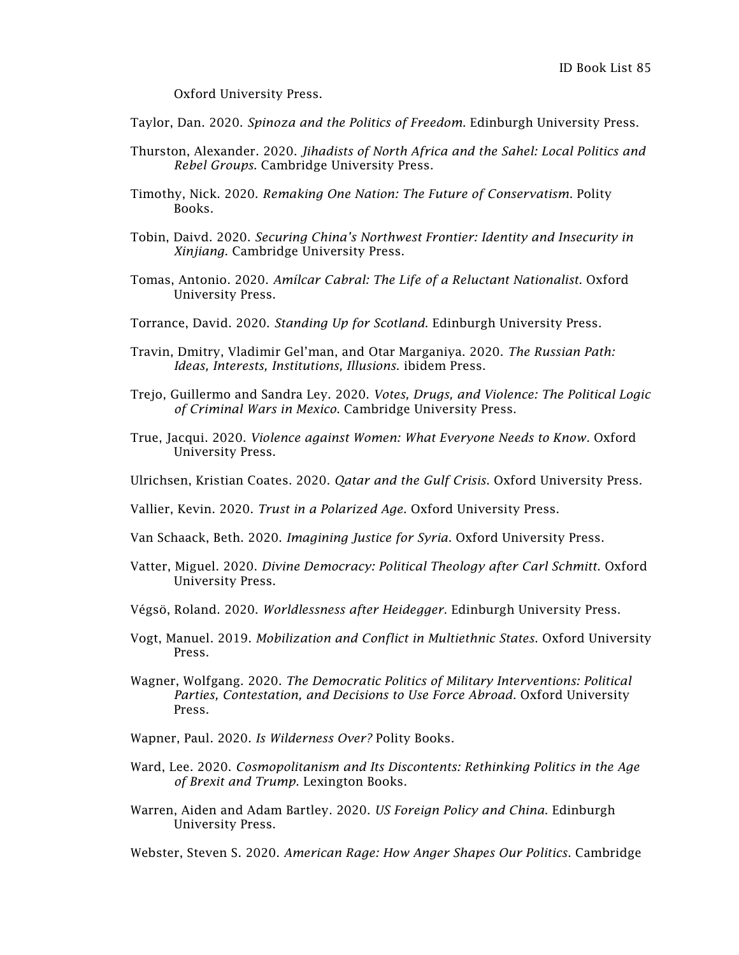Oxford University Press.

Taylor, Dan. 2020. *Spinoza and the Politics of Freedom*. Edinburgh University Press.

- Thurston, Alexander. 2020. *Jihadists of North Africa and the Sahel: Local Politics and Rebel Groups*. Cambridge University Press.
- Timothy, Nick. 2020. *Remaking One Nation: The Future of Conservatism*. Polity Books.
- Tobin, Daivd. 2020. *Securing China's Northwest Frontier: Identity and Insecurity in Xinjiang*. Cambridge University Press.
- Tomas, Antonio. 2020. *Amílcar Cabral: The Life of a Reluctant Nationalist*. Oxford University Press.
- Torrance, David. 2020. *Standing Up for Scotland*. Edinburgh University Press.
- Travin, Dmitry, Vladimir Gel'man, and Otar Marganiya. 2020. *The Russian Path: Ideas, Interests, Institutions, Illusions.* ibidem Press.
- Trejo, Guillermo and Sandra Ley. 2020. *Votes, Drugs, and Violence: The Political Logic of Criminal Wars in Mexico*. Cambridge University Press.
- True, Jacqui. 2020. *Violence against Women: What Everyone Needs to Know.* Oxford University Press.
- Ulrichsen, Kristian Coates. 2020. *Qatar and the Gulf Crisis*. Oxford University Press.
- Vallier, Kevin. 2020. *Trust in a Polarized Age*. Oxford University Press.
- Van Schaack, Beth. 2020. *Imagining Justice for Syria*. Oxford University Press.
- Vatter, Miguel. 2020. *Divine Democracy: Political Theology after Carl Schmitt*. Oxford University Press.
- [Végsö,](https://edinburghuniversitypress.com/roland-vegso.html) Roland. 2020. *Worldlessness after Heidegger*. Edinburgh University Press.
- Vogt, Manuel. 2019. *Mobilization and Conflict in Multiethnic States*. Oxford University Press.
- Wagner, Wolfgang. 2020. *The Democratic Politics of Military Interventions: Political Parties, Contestation, and Decisions to Use Force Abroad*. Oxford University Press.
- Wapner, Paul. 2020. *Is Wilderness Over?* Polity Books.
- Ward, Lee. 2020. *Cosmopolitanism and Its Discontents: Rethinking Politics in the Age of Brexit and Trump*. Lexington Books.
- Warren, Aiden and Adam Bartley. 2020. *US Foreign Policy and China*. Edinburgh University Press.

Webster, Steven S. 2020. *American Rage: How Anger Shapes Our Politics*. Cambridge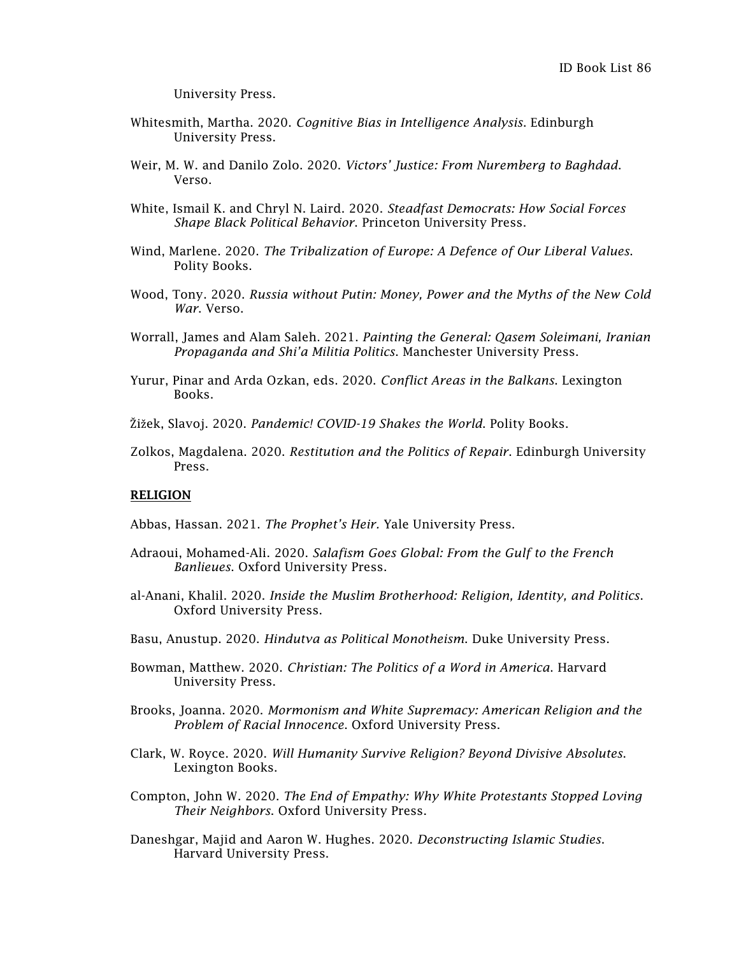University Press.

- Whitesmith, Martha. 2020. *Cognitive Bias in Intelligence Analysis*. Edinburgh University Press.
- Weir, M. W. and Danilo Zolo. 2020. *Victors' Justice: From Nuremberg to Baghdad*. Verso.
- White, Ismail K. and Chryl N. Laird. 2020. *Steadfast Democrats: How Social Forces Shape Black Political Behavior*. Princeton University Press.
- Wind, Marlene. 2020. *The Tribalization of Europe: A Defence of Our Liberal Values*. Polity Books.
- Wood, Tony. 2020. *Russia without Putin: Money, Power and the Myths of the New Cold War*. Verso.
- Worrall, James and Alam Saleh. 2021. *Painting the General: Qasem Soleimani, Iranian Propaganda and Shi'a Militia Politics*. Manchester University Press.
- Yurur, Pinar and Arda Ozkan, eds. 2020. *Conflict Areas in the Balkans*. Lexington Books.
- Žižek, Slavoj. 2020. *Pandemic! COVID-19 Shakes the World*. Polity Books.
- Zolkos, Magdalena. 2020. *Restitution and the Politics of Repair*. Edinburgh University Press.

## RELIGION

- Abbas, Hassan. 2021. *The Prophet's Heir.* Yale University Press.
- Adraoui, Mohamed-Ali. 2020. *Salafism Goes Global: From the Gulf to the French Banlieues*. Oxford University Press.
- al-Anani, Khalil. 2020. *Inside the Muslim Brotherhood: Religion, Identity, and Politics*. Oxford University Press.
- Basu, Anustup. 2020. *Hindutva as Political Monotheism*. Duke University Press.
- Bowman, Matthew. 2020. *Christian: The Politics of a Word in America*. Harvard University Press.
- Brooks, Joanna. 2020. *Mormonism and White Supremacy: American Religion and the Problem of Racial Innocence*. Oxford University Press.
- Clark, W. Royce. 2020. *Will Humanity Survive Religion? Beyond Divisive Absolutes*. Lexington Books.
- Compton, John W. 2020. *The End of Empathy: Why White Protestants Stopped Loving Their Neighbors*. Oxford University Press.
- Daneshgar, Majid and Aaron W. Hughes. 2020. *Deconstructing Islamic Studies*. Harvard University Press.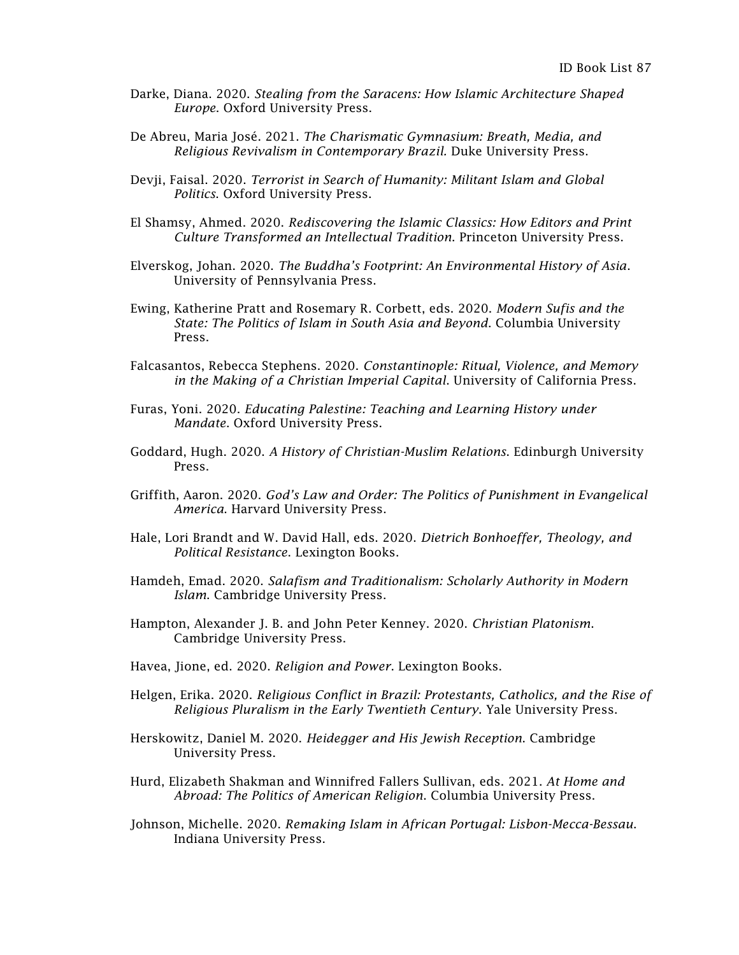- Darke, Diana. 2020. *Stealing from the Saracens: How Islamic Architecture Shaped Europe*. Oxford University Press.
- De Abreu, [Maria José.](https://www.dukeupress.edu/explore-subjects/browse?AuID=7271560) 2021. *The Charismatic Gymnasium: Breath, Media, and Religious Revivalism in Contemporary Brazil.* Duke University Press.
- Devji, Faisal. 2020. *Terrorist in Search of Humanity: Militant Islam and Global Politics*. Oxford University Press.
- El Shamsy, Ahmed. 2020. *Rediscovering the Islamic Classics: How Editors and Print Culture Transformed an Intellectual Tradition*. Princeton University Press.
- Elverskog, Johan. 2020. *The Buddha's Footprint: An Environmental History of Asia*. University of Pennsylvania Press.
- Ewing, Katherine Pratt and Rosemary R. Corbett, eds. 2020. *Modern Sufis and the State: The Politics of Islam in South Asia and Beyond*. Columbia University Press.
- Falcasantos, Rebecca Stephens. 2020. *Constantinople: Ritual, Violence, and Memory in the Making of a Christian Imperial Capital*. University of California Press.
- Furas, Yoni. 2020. *Educating Palestine: Teaching and Learning History under Mandate*. Oxford University Press.
- Goddard, Hugh. 2020. *A History of Christian-Muslim Relations*. Edinburgh University Press.
- Griffith, Aaron. 2020. *God's Law and Order: The Politics of Punishment in Evangelical America*. Harvard University Press.
- Hale, Lori Brandt and W. David Hall, eds. 2020. *Dietrich Bonhoeffer, Theology, and Political Resistance*. Lexington Books.
- Hamdeh, Emad. 2020. *Salafism and Traditionalism: Scholarly Authority in Modern Islam*. Cambridge University Press.
- Hampton, Alexander J. B. and John Peter Kenney. 2020. *Christian Platonism*. Cambridge University Press.
- Havea, Jione, ed. 2020. *Religion and Power*. Lexington Books.
- Helgen, Erika. 2020. *Religious Conflict in Brazil: Protestants, Catholics, and the Rise of Religious Pluralism in the Early Twentieth Century*. Yale University Press.
- Herskowitz, Daniel M. 2020. *Heidegger and His Jewish Reception*. Cambridge University Press.
- Hurd, Elizabeth Shakman and Winnifred Fallers Sullivan, eds. 2021. *At Home and Abroad: The Politics of American Religion*. Columbia University Press.
- Johnson, Michelle. 2020. *Remaking Islam in African Portugal: Lisbon-Mecca-Bessau*. Indiana University Press.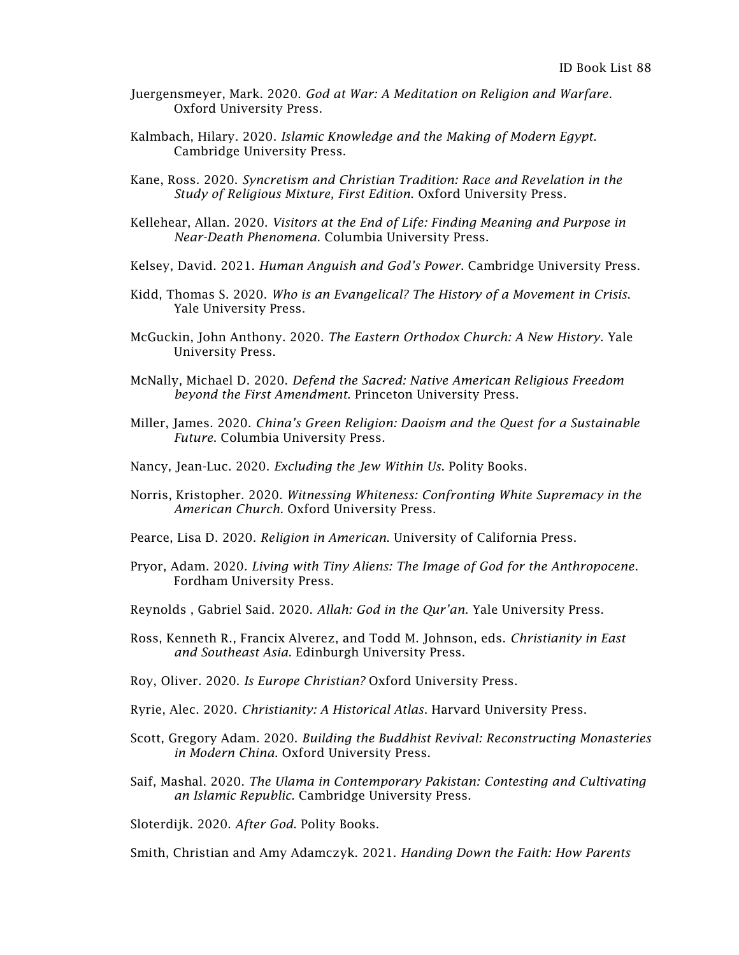- Juergensmeyer, Mark. 2020. *God at War: A Meditation on Religion and Warfare*. Oxford University Press.
- Kalmbach, Hilary. 2020. *Islamic Knowledge and the Making of Modern Egypt*. Cambridge University Press.
- Kane, Ross. 2020. *Syncretism and Christian Tradition: Race and Revelation in the Study of Religious Mixture, First Edition*. Oxford University Press.
- Kellehear, Allan. 2020. *Visitors at the End of Life: Finding Meaning and Purpose in Near-Death Phenomena*. Columbia University Press.
- Kelsey, David. 2021. *Human Anguish and God's Power*. Cambridge University Press.
- Kidd, Thomas S. 2020. *Who is an Evangelical? The History of a Movement in Crisis*. Yale University Press.
- McGuckin, John Anthony. 2020. *The Eastern Orthodox Church: A New History*. Yale University Press.
- McNally, Michael D. 2020. *Defend the Sacred: Native American Religious Freedom beyond the First Amendment*. Princeton University Press.
- Miller, James. 2020. *China's Green Religion: Daoism and the Quest for a Sustainable Future*. Columbia University Press.
- Nancy, Jean-Luc. 2020. *Excluding the Jew Within Us*. Polity Books.
- Norris, Kristopher. 2020. *Witnessing Whiteness: Confronting White Supremacy in the American Church*. Oxford University Press.
- Pearce, Lisa D. 2020. *Religion in American*. University of California Press.
- Pryor, Adam. 2020. *Living with Tiny Aliens: The Image of God for the Anthropocene*. Fordham University Press.
- Reynolds , Gabriel Said. 2020. *Allah: God in the Qur'an*. Yale University Press.
- Ross, Kenneth R., Francix Alverez, and Todd M. Johnson, eds. *Christianity in East and Southeast Asia.* Edinburgh University Press.
- Roy, Oliver. 2020. *Is Europe Christian?* Oxford University Press.
- Ryrie, Alec. 2020. *Christianity: A Historical Atlas*. Harvard University Press.
- Scott, Gregory Adam. 2020. *Building the Buddhist Revival: Reconstructing Monasteries in Modern China*. Oxford University Press.
- Saif, Mashal. 2020. *The Ulama in Contemporary Pakistan: Contesting and Cultivating an Islamic Republic*. Cambridge University Press.

Sloterdijk. 2020. *After God*. Polity Books.

Smith, Christian and Amy Adamczyk. 2021. *Handing Down the Faith: How Parents*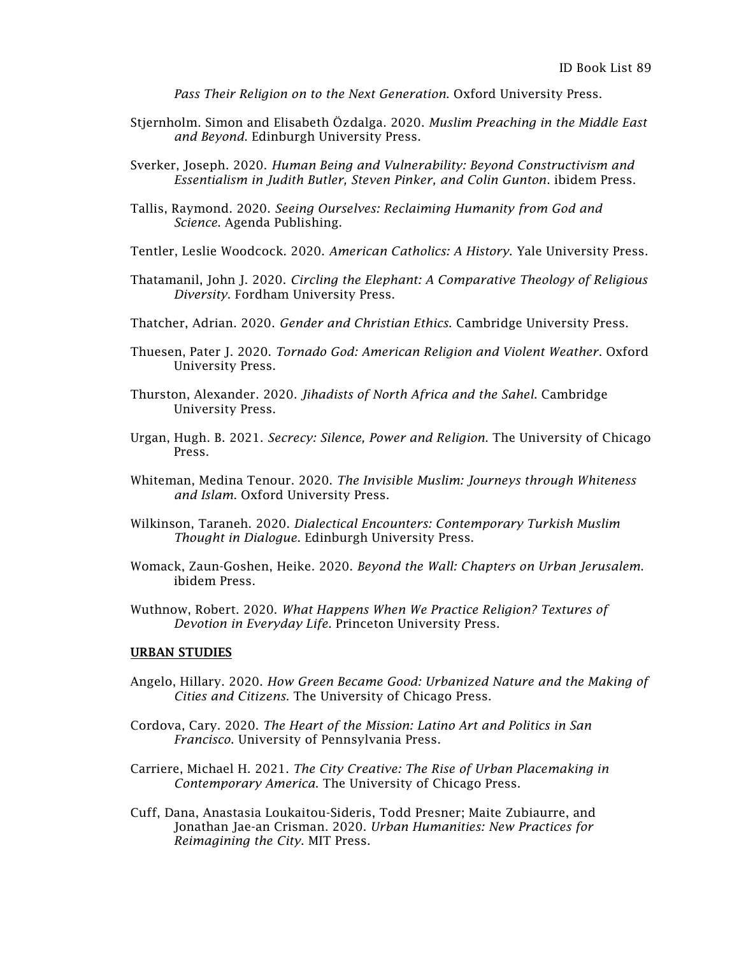*Pass Their Religion on to the Next Generation*. Oxford University Press.

- Stjernholm. Simon and Elisabeth [Özdalga.](https://edinburghuniversitypress.com/elisabeth-ozdalga.html) 2020. *Muslim Preaching in the Middle East and Beyond*. Edinburgh University Press.
- Sverker, Joseph. 2020. *Human Being and Vulnerability: Beyond Constructivism and Essentialism in Judith Butler, Steven Pinker, and Colin Gunton*. ibidem Press.
- Tallis, Raymond. 2020. *Seeing Ourselves: Reclaiming Humanity from God and Science*. Agenda Publishing.
- Tentler, Leslie Woodcock. 2020. *American Catholics: A History*. Yale University Press.
- Thatamanil, John J. 2020. *Circling the Elephant: A Comparative Theology of Religious Diversity*. Fordham University Press.
- Thatcher, Adrian. 2020. *Gender and Christian Ethics*. Cambridge University Press.
- Thuesen, Pater J. 2020. *Tornado God: American Religion and Violent Weather*. Oxford University Press.
- Thurston, Alexander. 2020. *Jihadists of North Africa and the Sahel*. Cambridge University Press.
- Urgan, Hugh. B. 2021. *Secrecy: Silence, Power and Religion*. The University of Chicago Press.
- Whiteman, Medina Tenour. 2020. *The Invisible Muslim: Journeys through Whiteness and Islam*. Oxford University Press.
- Wilkinson, Taraneh. 2020. *Dialectical Encounters: Contemporary Turkish Muslim Thought in Dialogue*. Edinburgh University Press.
- Womack, Zaun-Goshen, Heike. 2020. *Beyond the Wall: Chapters on Urban Jerusalem*. ibidem Press.
- Wuthnow, Robert. 2020. *What Happens When We Practice Religion? Textures of Devotion in Everyday Life*. Princeton University Press.

## URBAN STUDIES

- Angelo, Hillary. 2020. *How Green Became Good: Urbanized Nature and the Making of Cities and Citizens*. The University of Chicago Press.
- Cordova, Cary. 2020. *The Heart of the Mission: Latino Art and Politics in San Francisco*. University of Pennsylvania Press.
- Carriere, Michael H. 2021. *The City Creative: The Rise of Urban Placemaking in Contemporary America*. The University of Chicago Press.
- Cuff, Dana, Anastasia Loukaitou-Sideris, Todd Presner; Maite Zubiaurre, and Jonathan Jae-an Crisman. 2020. *Urban Humanities: New Practices for Reimagining the City*. MIT Press.